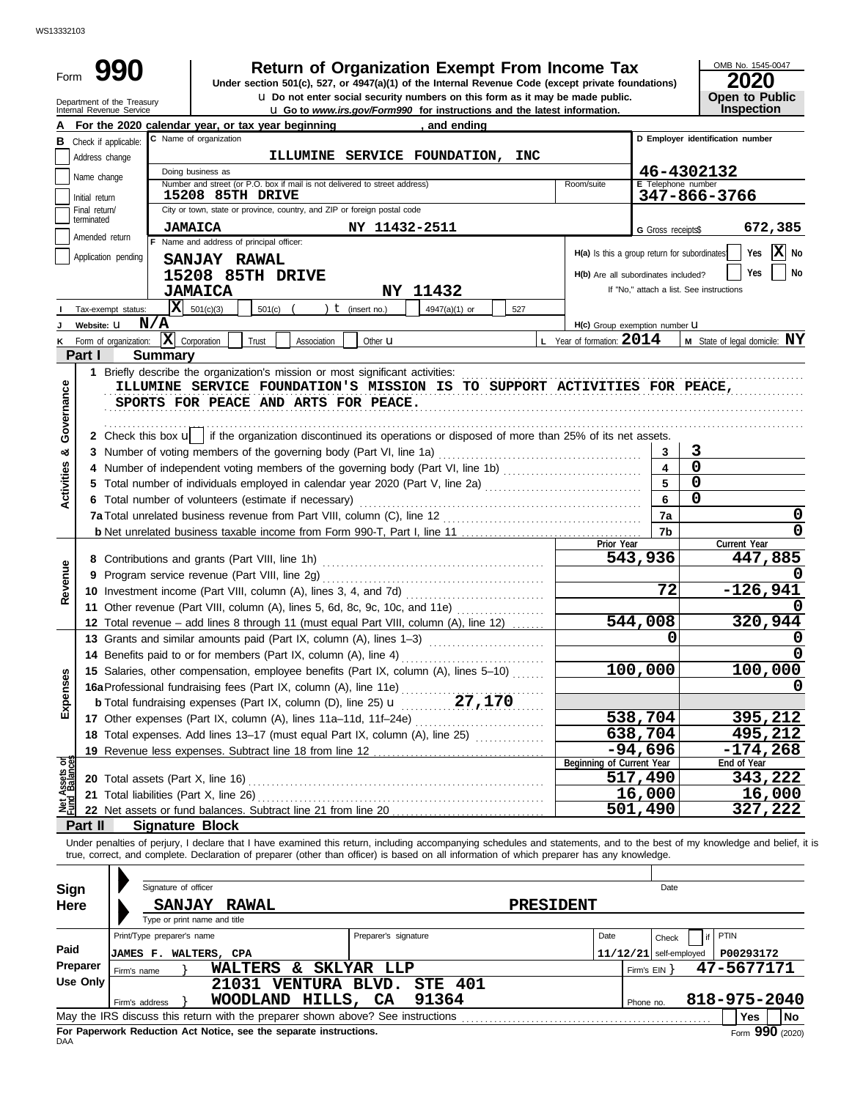|                                                        | <b>Return of Organization Exempt From Income Tax</b><br>Under section 501(c), 527, or 4947(a)(1) of the Internal Revenue Code (except private foundations)<br>u Do not enter social security numbers on this form as it may be made public.                                                                                                                                                             |                                                                                      |                         | OMB No. 1545-0047<br>2020<br><b>Open to Public</b>                                |
|--------------------------------------------------------|---------------------------------------------------------------------------------------------------------------------------------------------------------------------------------------------------------------------------------------------------------------------------------------------------------------------------------------------------------------------------------------------------------|--------------------------------------------------------------------------------------|-------------------------|-----------------------------------------------------------------------------------|
| Department of the Treasury<br>Internal Revenue Service | <b>u</b> Go to www.irs.gov/Form990 for instructions and the latest information.                                                                                                                                                                                                                                                                                                                         |                                                                                      |                         | Inspection                                                                        |
|                                                        | For the 2020 calendar year, or tax year beginning<br>, and ending<br>C Name of organization                                                                                                                                                                                                                                                                                                             |                                                                                      |                         | D Employer identification number                                                  |
| Check if applicable:<br>в                              |                                                                                                                                                                                                                                                                                                                                                                                                         |                                                                                      |                         |                                                                                   |
| Address change                                         | ILLUMINE SERVICE FOUNDATION,<br><b>INC</b>                                                                                                                                                                                                                                                                                                                                                              |                                                                                      |                         |                                                                                   |
| Name change                                            | Doing business as<br>Number and street (or P.O. box if mail is not delivered to street address)                                                                                                                                                                                                                                                                                                         | Room/suite                                                                           | E Telephone number      | 46-4302132                                                                        |
| Initial return                                         | <b>15208 85TH DRIVE</b>                                                                                                                                                                                                                                                                                                                                                                                 |                                                                                      |                         | 347-866-3766                                                                      |
| Final return/                                          | City or town, state or province, country, and ZIP or foreign postal code                                                                                                                                                                                                                                                                                                                                |                                                                                      |                         |                                                                                   |
| terminated                                             | NY 11432-2511<br><b>JAMAICA</b>                                                                                                                                                                                                                                                                                                                                                                         |                                                                                      | G Gross receipts\$      | 672,385                                                                           |
| Amended return                                         | F Name and address of principal officer:                                                                                                                                                                                                                                                                                                                                                                |                                                                                      |                         |                                                                                   |
| Application pending                                    | SANJAY RAWAL<br><b>15208 85TH DRIVE</b><br>NY 11432<br><b>JAMAICA</b>                                                                                                                                                                                                                                                                                                                                   | H(a) Is this a group return for subordinates'<br>H(b) Are all subordinates included? |                         | $ \mathbf{X} $ No<br>Yes<br>Yes<br>No<br>If "No," attach a list. See instructions |
| Tax-exempt status:                                     | x <br>501(c)(3)<br>501(c)<br>$t$ (insert no.)<br>4947(a)(1) or<br>527                                                                                                                                                                                                                                                                                                                                   |                                                                                      |                         |                                                                                   |
| Website: U                                             | N/A                                                                                                                                                                                                                                                                                                                                                                                                     | H(c) Group exemption number LI                                                       |                         |                                                                                   |
| Form of organization:                                  | $\mathbf{X}$ Corporation<br>Trust<br>Association<br>Other <b>u</b>                                                                                                                                                                                                                                                                                                                                      | L Year of formation: $2014$                                                          |                         | <b>M</b> State of legal domicile: $\mathbf{NY}$                                   |
| Part I                                                 | <b>Summary</b>                                                                                                                                                                                                                                                                                                                                                                                          |                                                                                      |                         |                                                                                   |
| Governance                                             | ILLUMINE SERVICE FOUNDATION'S MISSION IS TO SUPPORT ACTIVITIES FOR PEACE,<br>SPORTS FOR PEACE AND ARTS FOR PEACE.<br>2 Check this box u   if the organization discontinued its operations or disposed of more than 25% of its net assets.                                                                                                                                                               |                                                                                      |                         |                                                                                   |
| య                                                      |                                                                                                                                                                                                                                                                                                                                                                                                         |                                                                                      | 3                       | 3                                                                                 |
|                                                        |                                                                                                                                                                                                                                                                                                                                                                                                         |                                                                                      | $\overline{\mathbf{4}}$ | $\mathbf 0$                                                                       |
| ctivities                                              |                                                                                                                                                                                                                                                                                                                                                                                                         |                                                                                      | 5                       | 0                                                                                 |
|                                                        | 6 Total number of volunteers (estimate if necessary)                                                                                                                                                                                                                                                                                                                                                    |                                                                                      | 6                       | 0                                                                                 |
|                                                        |                                                                                                                                                                                                                                                                                                                                                                                                         |                                                                                      | 7a                      | $\mathbf 0$                                                                       |
|                                                        |                                                                                                                                                                                                                                                                                                                                                                                                         |                                                                                      | 7b                      | 0                                                                                 |
|                                                        |                                                                                                                                                                                                                                                                                                                                                                                                         | Prior Year                                                                           |                         | Current Year                                                                      |
|                                                        |                                                                                                                                                                                                                                                                                                                                                                                                         | 543,936                                                                              |                         | 447,885                                                                           |
|                                                        |                                                                                                                                                                                                                                                                                                                                                                                                         |                                                                                      |                         |                                                                                   |
| Revenue                                                | 10 Investment income (Part VIII, column (A), lines 3, 4, and 7d)                                                                                                                                                                                                                                                                                                                                        |                                                                                      | 72                      | $-126,941$                                                                        |
|                                                        |                                                                                                                                                                                                                                                                                                                                                                                                         |                                                                                      |                         |                                                                                   |
|                                                        | 12 Total revenue - add lines 8 through 11 (must equal Part VIII, column (A), line 12)                                                                                                                                                                                                                                                                                                                   | 544,008                                                                              |                         | 320,944                                                                           |
|                                                        | 13 Grants and similar amounts paid (Part IX, column (A), lines 1-3)                                                                                                                                                                                                                                                                                                                                     |                                                                                      | 0                       | O                                                                                 |
|                                                        | 14 Benefits paid to or for members (Part IX, column (A), line 4)                                                                                                                                                                                                                                                                                                                                        |                                                                                      |                         | 0                                                                                 |
|                                                        | 15 Salaries, other compensation, employee benefits (Part IX, column (A), lines 5-10)                                                                                                                                                                                                                                                                                                                    | 100,000                                                                              |                         | 100,000                                                                           |
| Expenses                                               | 16a Professional fundraising fees (Part IX, column (A), line 11e)                                                                                                                                                                                                                                                                                                                                       |                                                                                      |                         | O                                                                                 |
|                                                        |                                                                                                                                                                                                                                                                                                                                                                                                         |                                                                                      |                         |                                                                                   |
|                                                        |                                                                                                                                                                                                                                                                                                                                                                                                         | 538,704                                                                              |                         | <u>395,212</u>                                                                    |
|                                                        | 18 Total expenses. Add lines 13-17 (must equal Part IX, column (A), line 25) [                                                                                                                                                                                                                                                                                                                          | 638,704                                                                              |                         | 495,212                                                                           |
|                                                        |                                                                                                                                                                                                                                                                                                                                                                                                         | $-94,696$                                                                            |                         | $-174,268$                                                                        |
| Assets or                                              |                                                                                                                                                                                                                                                                                                                                                                                                         | Beginning of Current Year                                                            |                         | End of Year                                                                       |
|                                                        |                                                                                                                                                                                                                                                                                                                                                                                                         | 517,490                                                                              |                         | 343,222                                                                           |
|                                                        | 21 Total liabilities (Part X, line 26)                                                                                                                                                                                                                                                                                                                                                                  |                                                                                      | 16,000                  | 16,000                                                                            |
|                                                        |                                                                                                                                                                                                                                                                                                                                                                                                         | 501,490                                                                              |                         | 327,222                                                                           |
| Part II                                                | <b>Signature Block</b><br>Under penalties of perjury, I declare that I have examined this return, including accompanying schedules and statements, and to the best of my knowledge and belief, it is<br>true, correct, and complete. Declaration of preparer (other than officer) is based on all information of which preparer has any knowledge.<br>Signature of officer<br>PRESIDENT<br>SANJAY RAWAL |                                                                                      | Date                    |                                                                                   |
|                                                        |                                                                                                                                                                                                                                                                                                                                                                                                         |                                                                                      |                         |                                                                                   |
|                                                        | Type or print name and title                                                                                                                                                                                                                                                                                                                                                                            |                                                                                      |                         |                                                                                   |
|                                                        | Print/Type preparer's name<br>Preparer's signature                                                                                                                                                                                                                                                                                                                                                      | Date                                                                                 | Check                   | PTIN                                                                              |
| <b>Sign</b><br>Here<br>Paid                            | JAMES F. WALTERS, CPA                                                                                                                                                                                                                                                                                                                                                                                   | $11/12/21$ self-employed                                                             |                         | P00293172                                                                         |
| Preparer<br>Firm's name                                |                                                                                                                                                                                                                                                                                                                                                                                                         |                                                                                      |                         |                                                                                   |
| <b>Use Only</b>                                        | <b>WALTERS &amp;</b><br>SKLYAR LLP<br>21031 VENTURA BLVD.<br><b>STE 401</b>                                                                                                                                                                                                                                                                                                                             |                                                                                      | Firm's $EIN$ }          | 47-5677171                                                                        |

|     | Firm's address | MOODLAND HITTP?'                                                                | CA. | 91304 | Phone no. | UPUL-CIE-815 |                   |    |
|-----|----------------|---------------------------------------------------------------------------------|-----|-------|-----------|--------------|-------------------|----|
|     |                | May the IRS discuss this return with the preparer shown above? See instructions |     |       |           |              | Yes               | No |
| DAA |                | For Paperwork Reduction Act Notice, see the separate instructions.              |     |       |           |              | Form $990$ (2020) |    |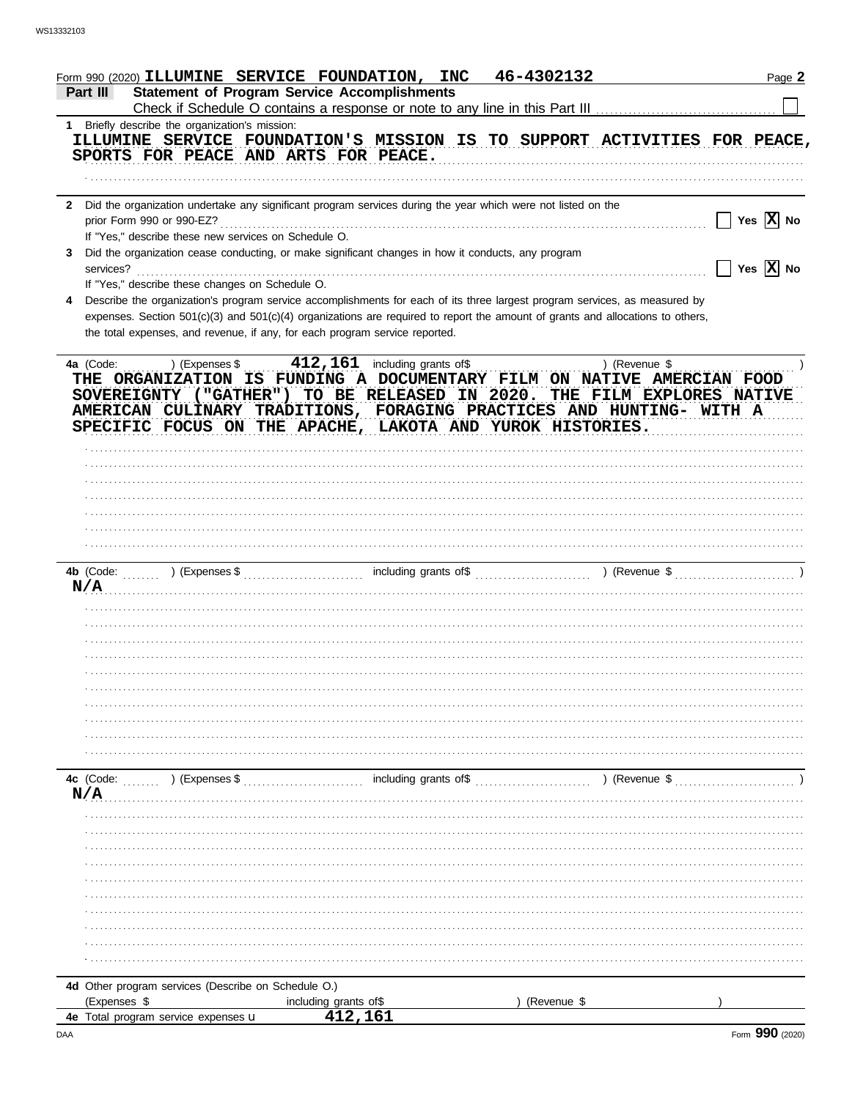| Form 990 (2020) ILLUMINE SERVICE FOUNDATION, INC                                                                                                                                     | 46-4302132                                                                                                                                                                                                                                                                                              | Page 2                       |
|--------------------------------------------------------------------------------------------------------------------------------------------------------------------------------------|---------------------------------------------------------------------------------------------------------------------------------------------------------------------------------------------------------------------------------------------------------------------------------------------------------|------------------------------|
| <b>Statement of Program Service Accomplishments</b><br>Part III                                                                                                                      |                                                                                                                                                                                                                                                                                                         |                              |
| 1 Briefly describe the organization's mission:                                                                                                                                       |                                                                                                                                                                                                                                                                                                         |                              |
| SPORTS FOR PEACE AND ARTS FOR PEACE.                                                                                                                                                 | ILLUMINE SERVICE FOUNDATION'S MISSION IS TO SUPPORT ACTIVITIES FOR PEACE,                                                                                                                                                                                                                               |                              |
|                                                                                                                                                                                      |                                                                                                                                                                                                                                                                                                         |                              |
| Did the organization undertake any significant program services during the year which were not listed on the<br>$\mathbf{2}$<br>If "Yes," describe these new services on Schedule O. |                                                                                                                                                                                                                                                                                                         | Yes $X$ No                   |
| Did the organization cease conducting, or make significant changes in how it conducts, any program<br>3<br>services?                                                                 |                                                                                                                                                                                                                                                                                                         | $\Box$ Yes $\overline{X}$ No |
| If "Yes," describe these changes on Schedule O.                                                                                                                                      |                                                                                                                                                                                                                                                                                                         |                              |
| 4<br>the total expenses, and revenue, if any, for each program service reported.                                                                                                     | Describe the organization's program service accomplishments for each of its three largest program services, as measured by<br>expenses. Section 501(c)(3) and 501(c)(4) organizations are required to report the amount of grants and allocations to others,                                            |                              |
| 412, 161 including grants of \$ (Code: 1991) (Expenses \$ 1, 1991) 412, 161 including grants of \$ 2, 1991)                                                                          | ) (Revenue \$<br>THE ORGANIZATION IS FUNDING A DOCUMENTARY FILM ON NATIVE AMERCIAN FOOD<br>SOVEREIGNTY ("GATHER") TO BE RELEASED IN 2020. THE FILM EXPLORES NATIVE<br>AMERICAN CULINARY TRADITIONS, FORAGING PRACTICES AND HUNTING- WITH A<br>SPECIFIC FOCUS ON THE APACHE, LAKOTA AND YUROK HISTORIES. |                              |
|                                                                                                                                                                                      |                                                                                                                                                                                                                                                                                                         |                              |
|                                                                                                                                                                                      |                                                                                                                                                                                                                                                                                                         |                              |
|                                                                                                                                                                                      |                                                                                                                                                                                                                                                                                                         |                              |
|                                                                                                                                                                                      |                                                                                                                                                                                                                                                                                                         |                              |
|                                                                                                                                                                                      |                                                                                                                                                                                                                                                                                                         |                              |
|                                                                                                                                                                                      |                                                                                                                                                                                                                                                                                                         |                              |
|                                                                                                                                                                                      |                                                                                                                                                                                                                                                                                                         |                              |
|                                                                                                                                                                                      | N/A                                                                                                                                                                                                                                                                                                     |                              |
|                                                                                                                                                                                      |                                                                                                                                                                                                                                                                                                         |                              |
|                                                                                                                                                                                      |                                                                                                                                                                                                                                                                                                         |                              |
|                                                                                                                                                                                      |                                                                                                                                                                                                                                                                                                         |                              |
|                                                                                                                                                                                      |                                                                                                                                                                                                                                                                                                         |                              |
|                                                                                                                                                                                      |                                                                                                                                                                                                                                                                                                         |                              |
|                                                                                                                                                                                      |                                                                                                                                                                                                                                                                                                         |                              |
|                                                                                                                                                                                      |                                                                                                                                                                                                                                                                                                         |                              |
|                                                                                                                                                                                      |                                                                                                                                                                                                                                                                                                         |                              |
|                                                                                                                                                                                      |                                                                                                                                                                                                                                                                                                         |                              |
| 4c (Code:<br>$(1, 1, 1, 1, 1)$ (Expenses \$<br>N/A                                                                                                                                   | including grants of\$<br>) (Revenue \$                                                                                                                                                                                                                                                                  |                              |
|                                                                                                                                                                                      |                                                                                                                                                                                                                                                                                                         |                              |
|                                                                                                                                                                                      |                                                                                                                                                                                                                                                                                                         |                              |
|                                                                                                                                                                                      |                                                                                                                                                                                                                                                                                                         |                              |
|                                                                                                                                                                                      |                                                                                                                                                                                                                                                                                                         |                              |
|                                                                                                                                                                                      |                                                                                                                                                                                                                                                                                                         |                              |
|                                                                                                                                                                                      |                                                                                                                                                                                                                                                                                                         |                              |
|                                                                                                                                                                                      |                                                                                                                                                                                                                                                                                                         |                              |
|                                                                                                                                                                                      |                                                                                                                                                                                                                                                                                                         |                              |
|                                                                                                                                                                                      |                                                                                                                                                                                                                                                                                                         |                              |
| 4d Other program services (Describe on Schedule O.)                                                                                                                                  |                                                                                                                                                                                                                                                                                                         |                              |
| (Expenses \$<br>including grants of\$                                                                                                                                                | (Revenue \$                                                                                                                                                                                                                                                                                             |                              |
| າ<br>41<br>Total program service expenses u                                                                                                                                          |                                                                                                                                                                                                                                                                                                         |                              |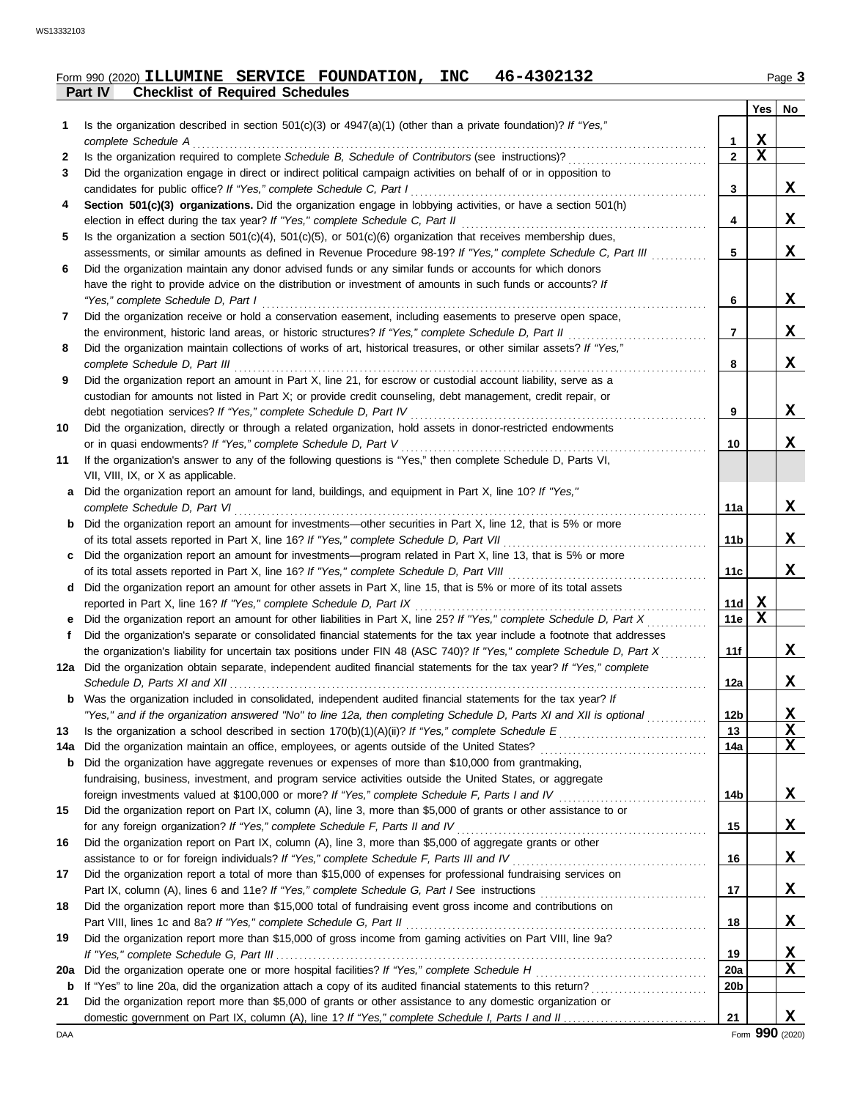# **Form 990 (2020) ILLUMINE SERVICE FOUNDATION, INC 46-4302132** Page 3

|     | <b>Checklist of Required Schedules</b><br><b>Part IV</b>                                                                |                 |             |             |
|-----|-------------------------------------------------------------------------------------------------------------------------|-----------------|-------------|-------------|
|     |                                                                                                                         |                 | Yes         | <b>No</b>   |
| 1   | Is the organization described in section $501(c)(3)$ or $4947(a)(1)$ (other than a private foundation)? If "Yes,"       |                 |             |             |
|     | complete Schedule A                                                                                                     | 1               | X           |             |
| 2   |                                                                                                                         | $\mathbf{2}$    | $\mathbf x$ |             |
| 3   | Did the organization engage in direct or indirect political campaign activities on behalf of or in opposition to        |                 |             |             |
|     | candidates for public office? If "Yes," complete Schedule C, Part I                                                     | 3               |             | X           |
| 4   | Section 501(c)(3) organizations. Did the organization engage in lobbying activities, or have a section 501(h)           |                 |             |             |
|     | election in effect during the tax year? If "Yes," complete Schedule C, Part II                                          | 4               |             | X           |
| 5   | Is the organization a section $501(c)(4)$ , $501(c)(5)$ , or $501(c)(6)$ organization that receives membership dues,    |                 |             |             |
|     | assessments, or similar amounts as defined in Revenue Procedure 98-19? If "Yes," complete Schedule C, Part III          | 5               |             | X           |
| 6   | Did the organization maintain any donor advised funds or any similar funds or accounts for which donors                 |                 |             |             |
|     | have the right to provide advice on the distribution or investment of amounts in such funds or accounts? If             |                 |             |             |
|     | "Yes," complete Schedule D, Part I                                                                                      | 6               |             | X           |
| 7   | Did the organization receive or hold a conservation easement, including easements to preserve open space,               |                 |             |             |
|     | the environment, historic land areas, or historic structures? If "Yes," complete Schedule D, Part II                    | 7               |             | X           |
| 8   | Did the organization maintain collections of works of art, historical treasures, or other similar assets? If "Yes,"     |                 |             |             |
|     | complete Schedule D, Part III                                                                                           | 8               |             | X           |
| 9   | Did the organization report an amount in Part X, line 21, for escrow or custodial account liability, serve as a         |                 |             |             |
|     | custodian for amounts not listed in Part X; or provide credit counseling, debt management, credit repair, or            |                 |             |             |
|     | debt negotiation services? If "Yes," complete Schedule D, Part IV                                                       | 9               |             | X           |
| 10  | Did the organization, directly or through a related organization, hold assets in donor-restricted endowments            |                 |             |             |
|     | or in quasi endowments? If "Yes," complete Schedule D, Part V                                                           | 10              |             | X           |
| 11  | If the organization's answer to any of the following questions is "Yes," then complete Schedule D, Parts VI,            |                 |             |             |
|     | VII, VIII, IX, or X as applicable.                                                                                      |                 |             |             |
| а   | Did the organization report an amount for land, buildings, and equipment in Part X, line 10? If "Yes,"                  |                 |             |             |
|     | complete Schedule D, Part VI                                                                                            | 11a             |             | X           |
| b   | Did the organization report an amount for investments—other securities in Part X, line 12, that is 5% or more           |                 |             |             |
|     | of its total assets reported in Part X, line 16? If "Yes," complete Schedule D, Part VII                                | 11b             |             | X           |
| c   | Did the organization report an amount for investments—program related in Part X, line 13, that is 5% or more            |                 |             |             |
|     | of its total assets reported in Part X, line 16? If "Yes," complete Schedule D, Part VIII                               | 11c             |             | X           |
| d   | Did the organization report an amount for other assets in Part X, line 15, that is 5% or more of its total assets       |                 |             |             |
|     | reported in Part X, line 16? If "Yes," complete Schedule D, Part IX                                                     |                 | X           |             |
|     | Did the organization report an amount for other liabilities in Part X, line 25? If "Yes," complete Schedule D, Part X   | 11d<br>11e      | $\mathbf X$ |             |
| е   |                                                                                                                         |                 |             |             |
| f   | Did the organization's separate or consolidated financial statements for the tax year include a footnote that addresses |                 |             |             |
|     | the organization's liability for uncertain tax positions under FIN 48 (ASC 740)? If "Yes," complete Schedule D, Part X  | 11f             |             | X           |
|     | 12a Did the organization obtain separate, independent audited financial statements for the tax year? If "Yes," complete |                 |             |             |
|     | Schedule D, Parts XI and XII                                                                                            | 12a             |             | х           |
| b   | Was the organization included in consolidated, independent audited financial statements for the tax year? If            |                 |             |             |
|     | "Yes," and if the organization answered "No" to line 12a, then completing Schedule D, Parts XI and XII is optional      | 12 <sub>b</sub> |             | X           |
| 13  |                                                                                                                         | 13              |             | $\mathbf X$ |
| 14a | Did the organization maintain an office, employees, or agents outside of the United States?                             | 14a             |             | X           |
| b   | Did the organization have aggregate revenues or expenses of more than \$10,000 from grantmaking,                        |                 |             |             |
|     | fundraising, business, investment, and program service activities outside the United States, or aggregate               |                 |             |             |
|     |                                                                                                                         | 14b             |             | X           |
| 15  | Did the organization report on Part IX, column (A), line 3, more than \$5,000 of grants or other assistance to or       |                 |             |             |
|     | for any foreign organization? If "Yes," complete Schedule F, Parts II and IV                                            | 15              |             | X           |
| 16  | Did the organization report on Part IX, column (A), line 3, more than \$5,000 of aggregate grants or other              |                 |             |             |
|     |                                                                                                                         | 16              |             | X           |
| 17  | Did the organization report a total of more than \$15,000 of expenses for professional fundraising services on          |                 |             |             |
|     |                                                                                                                         | 17              |             | X           |
| 18  | Did the organization report more than \$15,000 total of fundraising event gross income and contributions on             |                 |             |             |
|     | Part VIII, lines 1c and 8a? If "Yes," complete Schedule G, Part II                                                      | 18              |             | <u>x</u>    |
| 19  | Did the organization report more than \$15,000 of gross income from gaming activities on Part VIII, line 9a?            |                 |             |             |
|     |                                                                                                                         | 19              |             | X           |
| 20a |                                                                                                                         | 20a             |             | X           |
| b   |                                                                                                                         | 20 <sub>b</sub> |             |             |
| 21  | Did the organization report more than \$5,000 of grants or other assistance to any domestic organization or             |                 |             |             |
|     |                                                                                                                         | 21              |             | X           |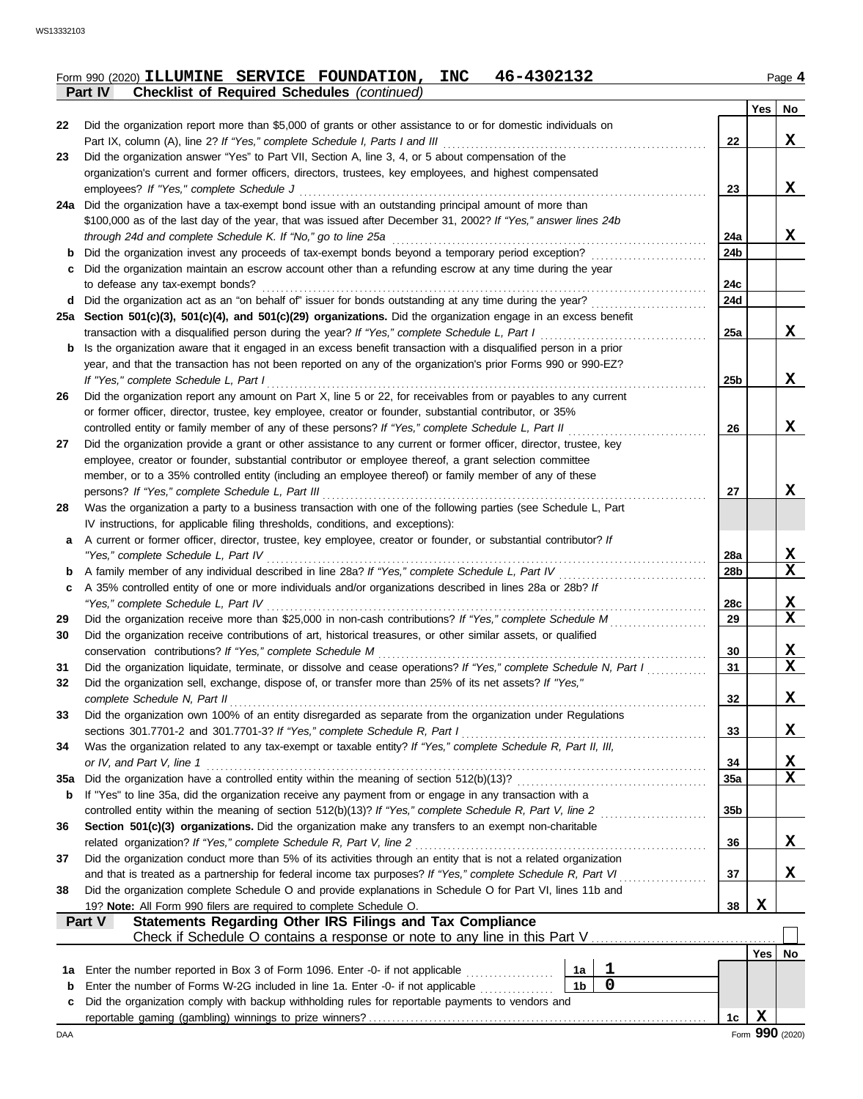|  |                                                            | Form 990 (2020) ILLUMINE SERVICE FOUNDATION, INC 46-4302132 | Page 4 |
|--|------------------------------------------------------------|-------------------------------------------------------------|--------|
|  | <b>Part IV</b> Checklist of Required Schedules (continued) |                                                             |        |

|          |                                                                                                                                                                                                                            |                 | Yes $ $          | No.         |  |  |  |  |
|----------|----------------------------------------------------------------------------------------------------------------------------------------------------------------------------------------------------------------------------|-----------------|------------------|-------------|--|--|--|--|
| 22       | Did the organization report more than \$5,000 of grants or other assistance to or for domestic individuals on                                                                                                              |                 |                  |             |  |  |  |  |
|          | Part IX, column (A), line 2? If "Yes," complete Schedule I, Parts I and III                                                                                                                                                | 22              |                  | X           |  |  |  |  |
| 23       | Did the organization answer "Yes" to Part VII, Section A, line 3, 4, or 5 about compensation of the                                                                                                                        |                 |                  |             |  |  |  |  |
|          | organization's current and former officers, directors, trustees, key employees, and highest compensated                                                                                                                    |                 |                  |             |  |  |  |  |
|          | employees? If "Yes," complete Schedule J                                                                                                                                                                                   | 23              |                  | X           |  |  |  |  |
|          | 24a Did the organization have a tax-exempt bond issue with an outstanding principal amount of more than                                                                                                                    |                 |                  |             |  |  |  |  |
|          | \$100,000 as of the last day of the year, that was issued after December 31, 2002? If "Yes," answer lines 24b                                                                                                              | 24a             |                  | X           |  |  |  |  |
| b        | Did the organization invest any proceeds of tax-exempt bonds beyond a temporary period exception?                                                                                                                          | 24b             |                  |             |  |  |  |  |
| c        | Did the organization maintain an escrow account other than a refunding escrow at any time during the year                                                                                                                  |                 |                  |             |  |  |  |  |
|          | to defease any tax-exempt bonds?                                                                                                                                                                                           | 24c             |                  |             |  |  |  |  |
| d        |                                                                                                                                                                                                                            | 24d             |                  |             |  |  |  |  |
|          | 25a Section 501(c)(3), 501(c)(4), and 501(c)(29) organizations. Did the organization engage in an excess benefit                                                                                                           |                 |                  |             |  |  |  |  |
|          | transaction with a disqualified person during the year? If "Yes," complete Schedule L, Part I                                                                                                                              | 25a             |                  | X           |  |  |  |  |
| b        | Is the organization aware that it engaged in an excess benefit transaction with a disqualified person in a prior                                                                                                           |                 |                  |             |  |  |  |  |
|          | year, and that the transaction has not been reported on any of the organization's prior Forms 990 or 990-EZ?                                                                                                               |                 |                  |             |  |  |  |  |
|          | If "Yes," complete Schedule L, Part I                                                                                                                                                                                      | 25b             |                  | X           |  |  |  |  |
| 26       | Did the organization report any amount on Part X, line 5 or 22, for receivables from or payables to any current<br>or former officer, director, trustee, key employee, creator or founder, substantial contributor, or 35% |                 |                  |             |  |  |  |  |
|          | controlled entity or family member of any of these persons? If "Yes," complete Schedule L, Part II                                                                                                                         |                 |                  |             |  |  |  |  |
| 27       | Did the organization provide a grant or other assistance to any current or former officer, director, trustee, key                                                                                                          | 26              |                  | X           |  |  |  |  |
|          | employee, creator or founder, substantial contributor or employee thereof, a grant selection committee                                                                                                                     |                 |                  |             |  |  |  |  |
|          | member, or to a 35% controlled entity (including an employee thereof) or family member of any of these                                                                                                                     |                 |                  |             |  |  |  |  |
|          | persons? If "Yes," complete Schedule L, Part III                                                                                                                                                                           | 27              |                  | X           |  |  |  |  |
| 28       | Was the organization a party to a business transaction with one of the following parties (see Schedule L, Part                                                                                                             |                 |                  |             |  |  |  |  |
|          | IV instructions, for applicable filing thresholds, conditions, and exceptions):                                                                                                                                            |                 |                  |             |  |  |  |  |
| a        | A current or former officer, director, trustee, key employee, creator or founder, or substantial contributor? If                                                                                                           |                 |                  |             |  |  |  |  |
|          |                                                                                                                                                                                                                            | 28a             |                  | X           |  |  |  |  |
| b        |                                                                                                                                                                                                                            | 28b             |                  | $\mathbf x$ |  |  |  |  |
| c        | A 35% controlled entity of one or more individuals and/or organizations described in lines 28a or 28b? If                                                                                                                  | 28c             |                  | <u>x</u>    |  |  |  |  |
|          |                                                                                                                                                                                                                            |                 |                  |             |  |  |  |  |
| 29<br>30 | Did the organization receive contributions of art, historical treasures, or other similar assets, or qualified                                                                                                             | 29              |                  | $\mathbf X$ |  |  |  |  |
|          |                                                                                                                                                                                                                            | 30              |                  | X           |  |  |  |  |
| 31       | Did the organization liquidate, terminate, or dissolve and cease operations? If "Yes," complete Schedule N, Part I                                                                                                         | 31              |                  | $\mathbf x$ |  |  |  |  |
| 32       | Did the organization sell, exchange, dispose of, or transfer more than 25% of its net assets? If "Yes,"                                                                                                                    |                 |                  |             |  |  |  |  |
|          | complete Schedule N, Part II                                                                                                                                                                                               | 32              |                  | X           |  |  |  |  |
| 33       | Did the organization own 100% of an entity disregarded as separate from the organization under Regulations                                                                                                                 |                 |                  |             |  |  |  |  |
|          | sections 301.7701-2 and 301.7701-3? If "Yes," complete Schedule R, Part I                                                                                                                                                  | 33              |                  | X           |  |  |  |  |
| 34       | Was the organization related to any tax-exempt or taxable entity? If "Yes," complete Schedule R, Part II, III,                                                                                                             |                 |                  |             |  |  |  |  |
|          | or IV, and Part V, line 1                                                                                                                                                                                                  | 34              |                  | <u>x</u>    |  |  |  |  |
| 35a      |                                                                                                                                                                                                                            | 35a             |                  | $\mathbf x$ |  |  |  |  |
| b        | If "Yes" to line 35a, did the organization receive any payment from or engage in any transaction with a                                                                                                                    | 35 <sub>b</sub> |                  |             |  |  |  |  |
| 36       | Section 501(c)(3) organizations. Did the organization make any transfers to an exempt non-charitable                                                                                                                       |                 |                  |             |  |  |  |  |
|          | related organization? If "Yes," complete Schedule R, Part V, line 2                                                                                                                                                        | 36              |                  | X           |  |  |  |  |
| 37       | Did the organization conduct more than 5% of its activities through an entity that is not a related organization                                                                                                           |                 |                  |             |  |  |  |  |
|          | and that is treated as a partnership for federal income tax purposes? If "Yes," complete Schedule R, Part VI                                                                                                               | 37              |                  | X           |  |  |  |  |
| 38       | Did the organization complete Schedule O and provide explanations in Schedule O for Part VI, lines 11b and                                                                                                                 |                 |                  |             |  |  |  |  |
|          | 19? Note: All Form 990 filers are required to complete Schedule O.                                                                                                                                                         | 38              | $\mathbf X$      |             |  |  |  |  |
|          | Statements Regarding Other IRS Filings and Tax Compliance<br>Part V                                                                                                                                                        |                 |                  |             |  |  |  |  |
|          |                                                                                                                                                                                                                            |                 |                  |             |  |  |  |  |
|          |                                                                                                                                                                                                                            |                 | Yes <sub>l</sub> | No          |  |  |  |  |
| 1a       | 1<br>Enter the number reported in Box 3 of Form 1096. Enter -0- if not applicable <i>minimization</i><br>1a                                                                                                                |                 |                  |             |  |  |  |  |
| b        | 0<br>1 <sub>b</sub><br>Enter the number of Forms W-2G included in line 1a. Enter -0- if not applicable                                                                                                                     |                 |                  |             |  |  |  |  |
| c        | Did the organization comply with backup withholding rules for reportable payments to vendors and                                                                                                                           | 1c              | X                |             |  |  |  |  |
|          |                                                                                                                                                                                                                            |                 |                  |             |  |  |  |  |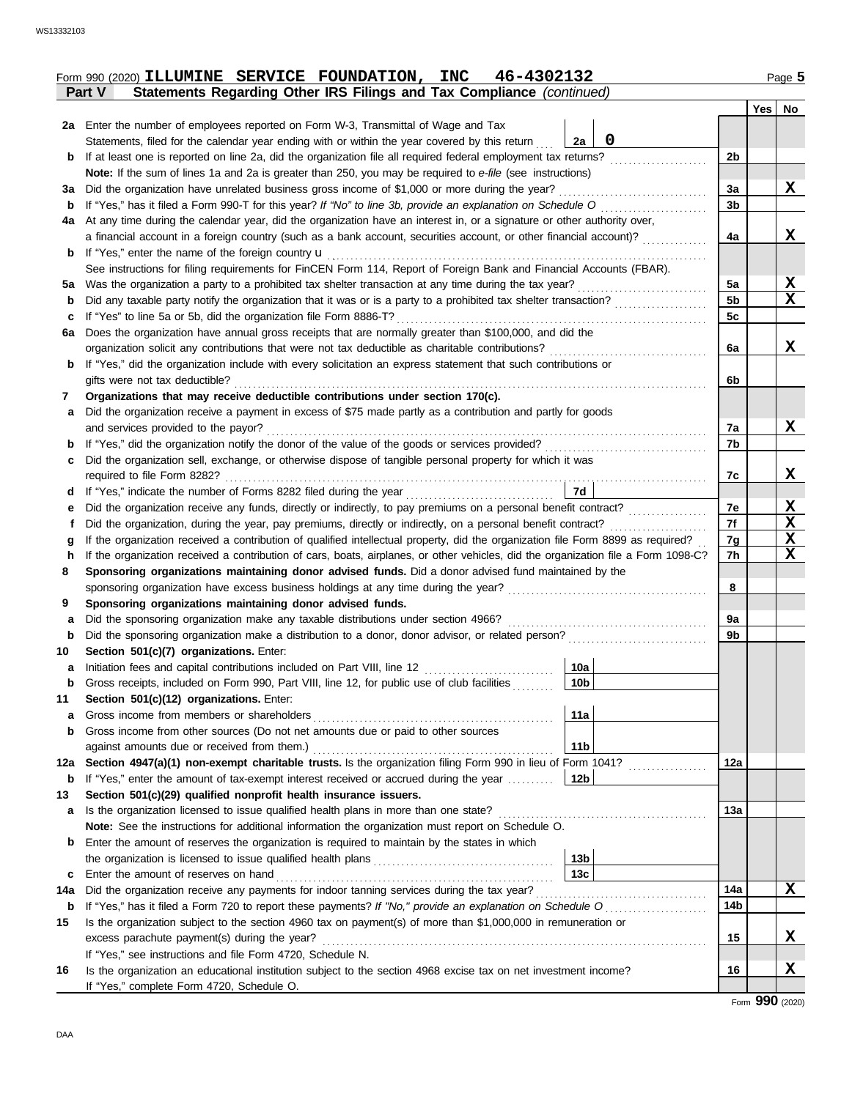|             | Form 990 (2020) ILLUMINE SERVICE FOUNDATION, INC<br>46-4302132                                                                                               |                |     | Page 5      |
|-------------|--------------------------------------------------------------------------------------------------------------------------------------------------------------|----------------|-----|-------------|
|             | Statements Regarding Other IRS Filings and Tax Compliance (continued)<br>Part V                                                                              |                |     |             |
|             |                                                                                                                                                              |                | Yes | No          |
|             | 2a Enter the number of employees reported on Form W-3, Transmittal of Wage and Tax                                                                           |                |     |             |
|             | 0<br>Statements, filed for the calendar year ending with or within the year covered by this return<br>2a                                                     |                |     |             |
| b           |                                                                                                                                                              | 2 <sub>b</sub> |     |             |
|             | Note: If the sum of lines 1a and 2a is greater than 250, you may be required to e-file (see instructions)                                                    |                |     |             |
| За          | Did the organization have unrelated business gross income of \$1,000 or more during the year?                                                                | 3a             |     | X           |
| b           | If "Yes," has it filed a Form 990-T for this year? If "No" to line 3b, provide an explanation on Schedule O                                                  | 3 <sub>b</sub> |     |             |
| 4a          | At any time during the calendar year, did the organization have an interest in, or a signature or other authority over,                                      |                |     |             |
|             | a financial account in a foreign country (such as a bank account, securities account, or other financial account)?                                           | 4a             |     | X           |
| b           | If "Yes," enter the name of the foreign country <b>u</b> electron content to the foreign country <b>u</b>                                                    |                |     |             |
|             | See instructions for filing requirements for FinCEN Form 114, Report of Foreign Bank and Financial Accounts (FBAR).                                          |                |     |             |
| 5a          |                                                                                                                                                              | 5a             |     | $\mathbf x$ |
| b           |                                                                                                                                                              | 5 <sub>b</sub> |     | X           |
| c           |                                                                                                                                                              | 5c             |     |             |
| 6a          | Does the organization have annual gross receipts that are normally greater than \$100,000, and did the                                                       |                |     |             |
|             |                                                                                                                                                              | 6a             |     | X           |
| b           | If "Yes," did the organization include with every solicitation an express statement that such contributions or                                               |                |     |             |
|             | gifts were not tax deductible?                                                                                                                               | 6b             |     |             |
| 7           | Organizations that may receive deductible contributions under section 170(c).                                                                                |                |     |             |
| a           | Did the organization receive a payment in excess of \$75 made partly as a contribution and partly for goods                                                  |                |     |             |
|             | and services provided to the payor?                                                                                                                          | 7a             |     | X           |
| b           |                                                                                                                                                              | 7b             |     |             |
| c           | Did the organization sell, exchange, or otherwise dispose of tangible personal property for which it was                                                     |                |     |             |
|             |                                                                                                                                                              | 7c             |     | X           |
| d           | 7d                                                                                                                                                           |                |     |             |
| е           |                                                                                                                                                              | 7e             |     | X           |
|             |                                                                                                                                                              | 7f             |     | $\mathbf X$ |
| g           | If the organization received a contribution of qualified intellectual property, did the organization file Form 8899 as required?                             | 7g             |     | X           |
| h           | If the organization received a contribution of cars, boats, airplanes, or other vehicles, did the organization file a Form 1098-C?                           | 7h             |     | $\mathbf X$ |
| 8           | Sponsoring organizations maintaining donor advised funds. Did a donor advised fund maintained by the                                                         |                |     |             |
|             |                                                                                                                                                              | 8              |     |             |
| 9           | Sponsoring organizations maintaining donor advised funds.                                                                                                    |                |     |             |
| a           | Did the sponsoring organization make any taxable distributions under section 4966?                                                                           | 9a             |     |             |
| $\mathbf b$ | Did the sponsoring organization make a distribution to a donor, donor advisor, or related person?                                                            | 9b             |     |             |
| 10          | Section 501(c)(7) organizations. Enter:                                                                                                                      |                |     |             |
| a           | 10a <br>Initiation fees and capital contributions included on Part VIII, line 12                                                                             |                |     |             |
| b           | Gross receipts, included on Form 990, Part VIII, line 12, for public use of club facilities<br>10b                                                           |                |     |             |
| 11          | Section 501(c)(12) organizations. Enter:                                                                                                                     |                |     |             |
| a           | 11a<br>Gross income from members or shareholders                                                                                                             |                |     |             |
| b           | Gross income from other sources (Do not net amounts due or paid to other sources                                                                             |                |     |             |
|             | 11 <sub>b</sub><br>against amounts due or received from them.)                                                                                               |                |     |             |
| 12a         | Section 4947(a)(1) non-exempt charitable trusts. Is the organization filing Form 990 in lieu of Form 1041?                                                   | 12a            |     |             |
| b           | If "Yes," enter the amount of tax-exempt interest received or accrued during the year<br>12b                                                                 |                |     |             |
| 13          | Section 501(c)(29) qualified nonprofit health insurance issuers.                                                                                             |                |     |             |
| а           | Is the organization licensed to issue qualified health plans in more than one state?                                                                         | 13a            |     |             |
|             | Note: See the instructions for additional information the organization must report on Schedule O.                                                            |                |     |             |
| b           | Enter the amount of reserves the organization is required to maintain by the states in which                                                                 |                |     |             |
|             | 13 <sub>b</sub>                                                                                                                                              |                |     |             |
| c           | 13 <sub>c</sub><br>Enter the amount of reserves on hand                                                                                                      | 14a            |     |             |
| 14a         |                                                                                                                                                              | 14b            |     | x           |
| b           |                                                                                                                                                              |                |     |             |
| 15          | Is the organization subject to the section 4960 tax on payment(s) of more than \$1,000,000 in remuneration or                                                |                |     |             |
|             | excess parachute payment(s) during the year?                                                                                                                 | 15             |     | X           |
| 16          | If "Yes," see instructions and file Form 4720, Schedule N.                                                                                                   |                |     | X           |
|             | Is the organization an educational institution subject to the section 4968 excise tax on net investment income?<br>If "Yes," complete Form 4720, Schedule O. | 16             |     |             |
|             |                                                                                                                                                              |                |     |             |

DAA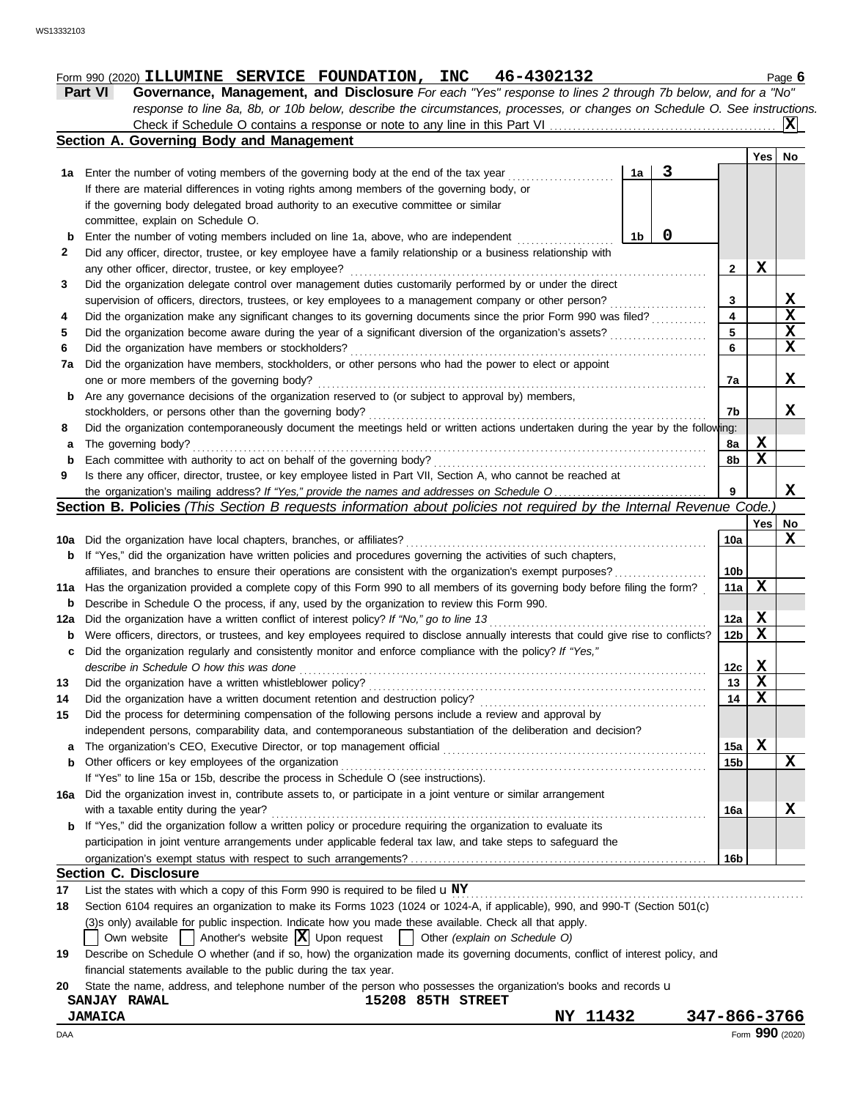$\overline{a}$ 

## **Form 990 (2020) ILLUMINE SERVICE FOUNDATION, INC 46-4302132** Page 6

| <b>Part VI</b> | Governance, Management, and Disclosure For each "Yes" response to lines 2 through 7b below, and for a "No"                |
|----------------|---------------------------------------------------------------------------------------------------------------------------|
|                | response to line 8a, 8b, or 10b below, describe the circumstances, processes, or changes on Schedule O. See instructions. |
|                |                                                                                                                           |

|             | Section A. Governing Body and Management                                                                                            |    |   |                 |             |                         |
|-------------|-------------------------------------------------------------------------------------------------------------------------------------|----|---|-----------------|-------------|-------------------------|
|             |                                                                                                                                     |    |   |                 | Yes         | No                      |
| 1а          | Enter the number of voting members of the governing body at the end of the tax year                                                 | 1a | 3 |                 |             |                         |
|             | If there are material differences in voting rights among members of the governing body, or                                          |    |   |                 |             |                         |
|             | if the governing body delegated broad authority to an executive committee or similar                                                |    |   |                 |             |                         |
|             | committee, explain on Schedule O.                                                                                                   |    |   |                 |             |                         |
| b           | Enter the number of voting members included on line 1a, above, who are independent                                                  | 1b | 0 |                 |             |                         |
| 2           | Did any officer, director, trustee, or key employee have a family relationship or a business relationship with                      |    |   |                 |             |                         |
|             | any other officer, director, trustee, or key employee?                                                                              |    |   | 2               | X           |                         |
| 3           | Did the organization delegate control over management duties customarily performed by or under the direct                           |    |   |                 |             |                         |
|             | supervision of officers, directors, trustees, or key employees to a management company or other person?                             |    |   | 3               |             | $\overline{\mathbf{x}}$ |
| 4           | Did the organization make any significant changes to its governing documents since the prior Form 990 was filed?                    |    |   | 4               |             | $\overline{\mathbf{x}}$ |
| 5           | Did the organization become aware during the year of a significant diversion of the organization's assets?                          |    |   | 5               |             | $\overline{\mathbf{X}}$ |
| 6           | Did the organization have members or stockholders?                                                                                  |    |   | 6               |             | $\overline{\mathbf{x}}$ |
| 7a          | Did the organization have members, stockholders, or other persons who had the power to elect or appoint                             |    |   |                 |             |                         |
|             | one or more members of the governing body?                                                                                          |    |   | 7a              |             | x                       |
| b           | Are any governance decisions of the organization reserved to (or subject to approval by) members,                                   |    |   |                 |             |                         |
|             | stockholders, or persons other than the governing body?                                                                             |    |   | 7b              |             | X                       |
| 8           | Did the organization contemporaneously document the meetings held or written actions undertaken during the year by the following:   |    |   |                 |             |                         |
| а           | The governing body?                                                                                                                 |    |   | 8a              | X           |                         |
| $\mathbf b$ | Each committee with authority to act on behalf of the governing body?                                                               |    |   | 8b              | $\mathbf x$ |                         |
| 9           | Is there any officer, director, trustee, or key employee listed in Part VII, Section A, who cannot be reached at                    |    |   |                 |             |                         |
|             |                                                                                                                                     |    |   | 9               |             | X                       |
|             | Section B. Policies (This Section B requests information about policies not required by the Internal Revenue Code.                  |    |   |                 |             |                         |
|             |                                                                                                                                     |    |   |                 | Yes         | No                      |
| 10a         | Did the organization have local chapters, branches, or affiliates?                                                                  |    |   | 10a             |             | X                       |
| b           | If "Yes," did the organization have written policies and procedures governing the activities of such chapters,                      |    |   |                 |             |                         |
|             | affiliates, and branches to ensure their operations are consistent with the organization's exempt purposes?                         |    |   | 10 <sub>b</sub> |             |                         |
| 11a         | Has the organization provided a complete copy of this Form 990 to all members of its governing body before filing the form?         |    |   | 11a             | X           |                         |
| b           | Describe in Schedule O the process, if any, used by the organization to review this Form 990.                                       |    |   |                 |             |                         |
| 12a         | Did the organization have a written conflict of interest policy? If "No," go to line 13                                             |    |   | 12a             | $\mathbf x$ |                         |
| b           | Were officers, directors, or trustees, and key employees required to disclose annually interests that could give rise to conflicts? |    |   | 12 <sub>b</sub> | $\mathbf X$ |                         |
| c           | Did the organization regularly and consistently monitor and enforce compliance with the policy? If "Yes,"                           |    |   |                 |             |                         |
|             | describe in Schedule O how this was done                                                                                            |    |   | 12c             | X           |                         |
| 13          | Did the organization have a written whistleblower policy?                                                                           |    |   | 13              | $\mathbf x$ |                         |
| 14          | Did the organization have a written document retention and destruction policy?                                                      |    |   | 14              | X           |                         |
| 15          | Did the process for determining compensation of the following persons include a review and approval by                              |    |   |                 |             |                         |
|             | independent persons, comparability data, and contemporaneous substantiation of the deliberation and decision?                       |    |   |                 |             |                         |
| а           |                                                                                                                                     |    |   | 15a             | $\mathbf x$ |                         |
| b           | Other officers or key employees of the organization                                                                                 |    |   | 15 <sub>b</sub> |             | X                       |
|             | If "Yes" to line 15a or 15b, describe the process in Schedule O (see instructions).                                                 |    |   |                 |             |                         |
| 16а         | Did the organization invest in, contribute assets to, or participate in a joint venture or similar arrangement                      |    |   |                 |             |                         |
|             | with a taxable entity during the year?                                                                                              |    |   | 16a             |             | X                       |
| b           | If "Yes," did the organization follow a written policy or procedure requiring the organization to evaluate its                      |    |   |                 |             |                         |
|             | participation in joint venture arrangements under applicable federal tax law, and take steps to safeguard the                       |    |   |                 |             |                         |
|             |                                                                                                                                     |    |   | 16 <sub>b</sub> |             |                         |
|             | <b>Section C. Disclosure</b>                                                                                                        |    |   |                 |             |                         |
| 17          | List the states with which a copy of this Form 990 is required to be filed $\mathbf{u}$ NY                                          |    |   |                 |             |                         |
| 18          | Section 6104 requires an organization to make its Forms 1023 (1024 or 1024-A, if applicable), 990, and 990-T (Section 501(c)        |    |   |                 |             |                         |
|             | (3)s only) available for public inspection. Indicate how you made these available. Check all that apply.                            |    |   |                 |             |                         |
|             | Own website $\ \cdot\ $ Another's website $ \mathbf{X} $ Upon request<br>  Other (explain on Schedule O)                            |    |   |                 |             |                         |
| 19          | Describe on Schedule O whether (and if so, how) the organization made its governing documents, conflict of interest policy, and     |    |   |                 |             |                         |

financial statements available to the public during the tax year.

|  |                     | 20 State the name, address, and telephone number of the person who possesses the organization's books and records <b>u</b> |  |                   |  |  |  |  |  |
|--|---------------------|----------------------------------------------------------------------------------------------------------------------------|--|-------------------|--|--|--|--|--|
|  | <b>SANJAY RAWAL</b> |                                                                                                                            |  | 15208 85TH STREET |  |  |  |  |  |

| <b>SANJAY</b><br><b>TRAWAL</b> | 15208 85TH STREET |          |              |
|--------------------------------|-------------------|----------|--------------|
| <b>JAMAICA</b>                 |                   | NY 11432 | 347-866-3766 |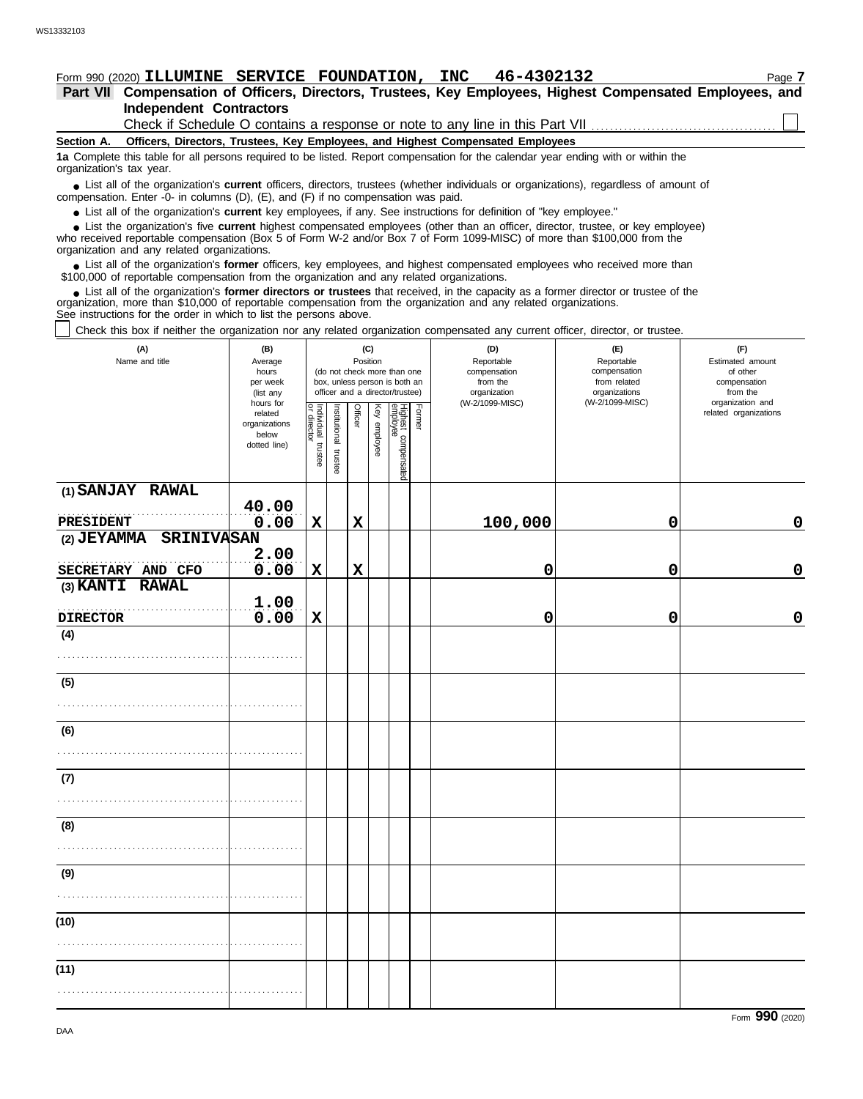## **Form 990 (2020) ILLUMINE SERVICE FOUNDATION, INC 46-4302132** Page 7

**Independent Contractors Part VII Compensation of Officers, Directors, Trustees, Key Employees, Highest Compensated Employees, and**

Check if Schedule O contains a response or note to any line in this Part VII.

**Section A. Officers, Directors, Trustees, Key Employees, and Highest Compensated Employees**

**1a** Complete this table for all persons required to be listed. Report compensation for the calendar year ending with or within the organization's tax year.

■ List all of the organization's **current** officers, directors, trustees (whether individuals or organizations), regardless of amount of the organization Enter -0- in columns (D), (E), and (E) if no compensation was paid compensation. Enter -0- in columns (D), (E), and (F) if no compensation was paid.

● List all of the organization's **current** key employees, if any. See instructions for definition of "key employee."

who received reportable compensation (Box 5 of Form W-2 and/or Box 7 of Form 1099-MISC) of more than \$100,000 from the organization and any related organizations. ■ List the organization's five **current** highest compensated employees (other than an officer, director, trustee, or key employee)<br>
a received reportable compensation (Box 5 of Form W-2 and/or Box 7 of Form 1099-MISC) of

■ List all of the organization's **former** officers, key employees, and highest compensated employees who received more than<br>00,000 of reportable compensation from the organization and any related organizations \$100,000 of reportable compensation from the organization and any related organizations.

■ List all of the organization's **former directors or trustees** that received, in the capacity as a former director or trustee of the<br>enization, more than \$10,000 of reportable compensation from the organization and any r organization, more than \$10,000 of reportable compensation from the organization and any related organizations. See instructions for the order in which to list the persons above.

Check this box if neither the organization nor any related organization compensated any current officer, director, or trustee.

| (A)<br>Name and title     | (B)<br>Average<br>hours<br>per week<br>(list any               |                                   |                       |                                                                                         | (C)<br>Position | (do not check more than one<br>box, unless person is both an<br>officer and a director/trustee) |                 | (D)<br>Reportable<br>compensation<br>from the<br>organization | (E)<br>Reportable<br>compensation<br>from related<br>organizations | (F)<br>Estimated amount<br>of other<br>compensation<br>from the |
|---------------------------|----------------------------------------------------------------|-----------------------------------|-----------------------|-----------------------------------------------------------------------------------------|-----------------|-------------------------------------------------------------------------------------------------|-----------------|---------------------------------------------------------------|--------------------------------------------------------------------|-----------------------------------------------------------------|
|                           | hours for<br>related<br>organizations<br>below<br>dotted line) | Individual trustee<br>or director | Institutional trustee | (W-2/1099-MISC)<br>Former<br>Officer<br>Key employee<br>Highest compensated<br>employee |                 |                                                                                                 | (W-2/1099-MISC) | organization and<br>related organizations                     |                                                                    |                                                                 |
| (1) SANJAY RAWAL          | 40.00                                                          |                                   |                       |                                                                                         |                 |                                                                                                 |                 |                                                               |                                                                    |                                                                 |
| PRESIDENT                 | 0.00                                                           | $\mathbf X$                       |                       | $\mathbf x$                                                                             |                 |                                                                                                 |                 | 100,000                                                       | 0                                                                  | $\mathbf 0$                                                     |
| SRINIVASAN<br>(2) JEYAMMA |                                                                |                                   |                       |                                                                                         |                 |                                                                                                 |                 |                                                               |                                                                    |                                                                 |
| SECRETARY AND CFO         | 2.00<br>0.00                                                   | X                                 |                       | $\mathbf x$                                                                             |                 |                                                                                                 |                 | 0                                                             | 0                                                                  | $\pmb{0}$                                                       |
| (3) KANTI RAWAL           |                                                                |                                   |                       |                                                                                         |                 |                                                                                                 |                 |                                                               |                                                                    |                                                                 |
|                           | 1.00                                                           |                                   |                       |                                                                                         |                 |                                                                                                 |                 |                                                               |                                                                    |                                                                 |
| <b>DIRECTOR</b>           | 0.00                                                           | $\mathbf X$                       |                       |                                                                                         |                 |                                                                                                 |                 | 0                                                             | 0                                                                  | $\pmb{0}$                                                       |
| (4)                       |                                                                |                                   |                       |                                                                                         |                 |                                                                                                 |                 |                                                               |                                                                    |                                                                 |
|                           |                                                                |                                   |                       |                                                                                         |                 |                                                                                                 |                 |                                                               |                                                                    |                                                                 |
| (5)                       |                                                                |                                   |                       |                                                                                         |                 |                                                                                                 |                 |                                                               |                                                                    |                                                                 |
|                           |                                                                |                                   |                       |                                                                                         |                 |                                                                                                 |                 |                                                               |                                                                    |                                                                 |
| (6)                       |                                                                |                                   |                       |                                                                                         |                 |                                                                                                 |                 |                                                               |                                                                    |                                                                 |
| (7)                       |                                                                |                                   |                       |                                                                                         |                 |                                                                                                 |                 |                                                               |                                                                    |                                                                 |
|                           |                                                                |                                   |                       |                                                                                         |                 |                                                                                                 |                 |                                                               |                                                                    |                                                                 |
| (8)                       |                                                                |                                   |                       |                                                                                         |                 |                                                                                                 |                 |                                                               |                                                                    |                                                                 |
|                           |                                                                |                                   |                       |                                                                                         |                 |                                                                                                 |                 |                                                               |                                                                    |                                                                 |
| (9)                       |                                                                |                                   |                       |                                                                                         |                 |                                                                                                 |                 |                                                               |                                                                    |                                                                 |
|                           |                                                                |                                   |                       |                                                                                         |                 |                                                                                                 |                 |                                                               |                                                                    |                                                                 |
| (10)                      |                                                                |                                   |                       |                                                                                         |                 |                                                                                                 |                 |                                                               |                                                                    |                                                                 |
| (11)                      |                                                                |                                   |                       |                                                                                         |                 |                                                                                                 |                 |                                                               |                                                                    |                                                                 |
|                           |                                                                |                                   |                       |                                                                                         |                 |                                                                                                 |                 |                                                               |                                                                    |                                                                 |

Form **990** (2020)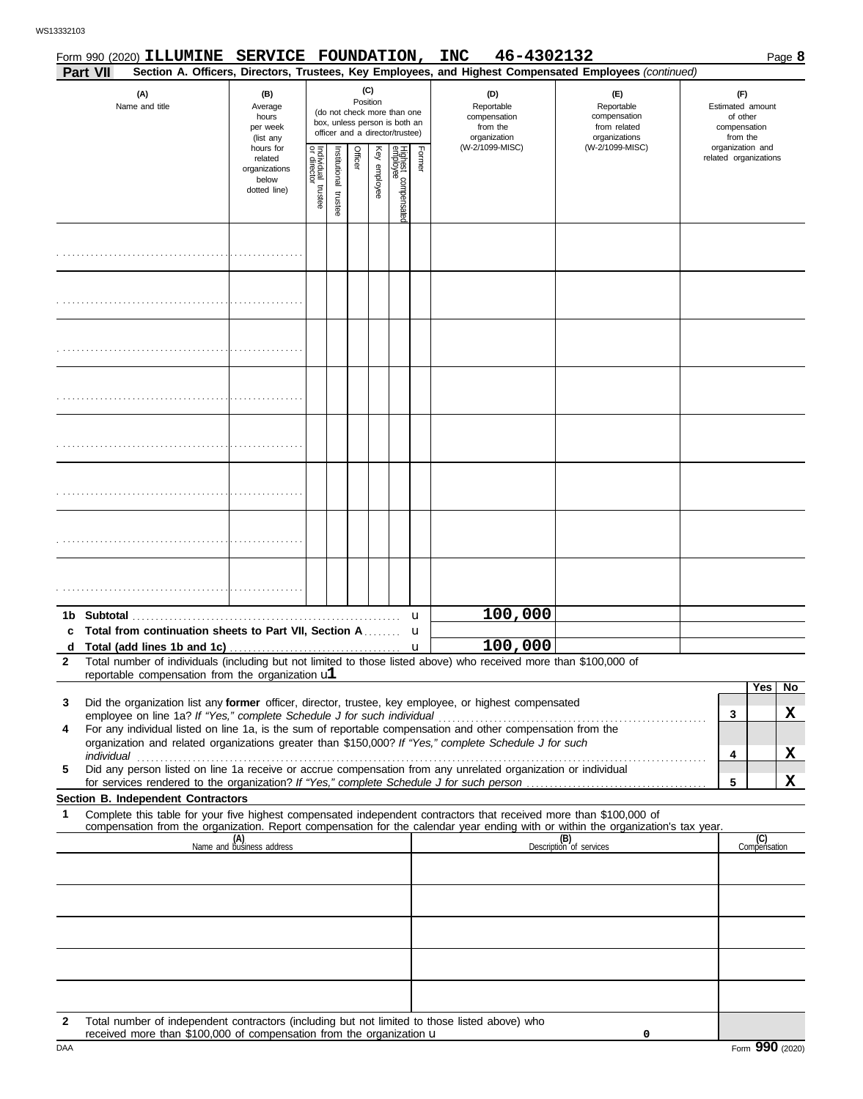|              |                       | Form 990 (2020) ILLUMINE                              | SERVICE FOUNDATION,                                            |                                   |                      |         |                 |                                                                                                 |        | 46-4302132<br><b>INC</b>                                                                                           |                                                                                                                                  |                                                                 | Page 8              |
|--------------|-----------------------|-------------------------------------------------------|----------------------------------------------------------------|-----------------------------------|----------------------|---------|-----------------|-------------------------------------------------------------------------------------------------|--------|--------------------------------------------------------------------------------------------------------------------|----------------------------------------------------------------------------------------------------------------------------------|-----------------------------------------------------------------|---------------------|
|              | Part VII              |                                                       |                                                                |                                   |                      |         |                 |                                                                                                 |        |                                                                                                                    | Section A. Officers, Directors, Trustees, Key Employees, and Highest Compensated Employees (continued)                           |                                                                 |                     |
|              | (A)<br>Name and title |                                                       | (B)<br>Average<br>hours<br>per week<br>(list any               |                                   |                      |         | (C)<br>Position | (do not check more than one<br>box, unless person is both an<br>officer and a director/trustee) |        | (D)<br>Reportable<br>compensation<br>from the<br>organization                                                      | (E)<br>Reportable<br>compensation<br>from related<br>organizations                                                               | (F)<br>Estimated amount<br>of other<br>compensation<br>from the |                     |
|              |                       |                                                       | hours for<br>related<br>organizations<br>below<br>dotted line) | Individual trustee<br>or director | nstitutional trustee | Officer | Key employee    | Highest compensatec<br>employee                                                                 | Former | (W-2/1099-MISC)                                                                                                    | (W-2/1099-MISC)                                                                                                                  | organization and<br>related organizations                       |                     |
|              |                       |                                                       |                                                                |                                   |                      |         |                 |                                                                                                 |        |                                                                                                                    |                                                                                                                                  |                                                                 |                     |
|              |                       |                                                       |                                                                |                                   |                      |         |                 |                                                                                                 |        |                                                                                                                    |                                                                                                                                  |                                                                 |                     |
|              |                       |                                                       |                                                                |                                   |                      |         |                 |                                                                                                 |        |                                                                                                                    |                                                                                                                                  |                                                                 |                     |
|              |                       |                                                       |                                                                |                                   |                      |         |                 |                                                                                                 |        |                                                                                                                    |                                                                                                                                  |                                                                 |                     |
|              |                       |                                                       |                                                                |                                   |                      |         |                 |                                                                                                 |        |                                                                                                                    |                                                                                                                                  |                                                                 |                     |
|              |                       |                                                       |                                                                |                                   |                      |         |                 |                                                                                                 |        |                                                                                                                    |                                                                                                                                  |                                                                 |                     |
|              |                       |                                                       |                                                                |                                   |                      |         |                 |                                                                                                 |        |                                                                                                                    |                                                                                                                                  |                                                                 |                     |
|              |                       |                                                       |                                                                |                                   |                      |         |                 |                                                                                                 |        |                                                                                                                    |                                                                                                                                  |                                                                 |                     |
|              |                       |                                                       |                                                                |                                   |                      |         |                 |                                                                                                 | u      | 100,000                                                                                                            |                                                                                                                                  |                                                                 |                     |
|              |                       | Total from continuation sheets to Part VII, Section A |                                                                |                                   |                      |         |                 |                                                                                                 | u      |                                                                                                                    |                                                                                                                                  |                                                                 |                     |
| $\mathbf{2}$ |                       |                                                       |                                                                |                                   |                      |         |                 |                                                                                                 |        | 100,000                                                                                                            |                                                                                                                                  |                                                                 |                     |
|              |                       | reportable compensation from the organization $ul$    |                                                                |                                   |                      |         |                 |                                                                                                 |        | Total number of individuals (including but not limited to those listed above) who received more than \$100,000 of  |                                                                                                                                  |                                                                 |                     |
|              |                       |                                                       |                                                                |                                   |                      |         |                 |                                                                                                 |        |                                                                                                                    |                                                                                                                                  |                                                                 | Yes  <br>No         |
| 3            |                       |                                                       |                                                                |                                   |                      |         |                 |                                                                                                 |        | Did the organization list any former officer, director, trustee, key employee, or highest compensated              |                                                                                                                                  | 3                                                               | X                   |
| 4            |                       |                                                       |                                                                |                                   |                      |         |                 |                                                                                                 |        | For any individual listed on line 1a, is the sum of reportable compensation and other compensation from the        |                                                                                                                                  |                                                                 |                     |
|              |                       |                                                       |                                                                |                                   |                      |         |                 |                                                                                                 |        | organization and related organizations greater than \$150,000? If "Yes," complete Schedule J for such              |                                                                                                                                  | 4                                                               | X                   |
| 5            |                       |                                                       |                                                                |                                   |                      |         |                 |                                                                                                 |        | Did any person listed on line 1a receive or accrue compensation from any unrelated organization or individual      |                                                                                                                                  |                                                                 |                     |
|              |                       | Section B. Independent Contractors                    |                                                                |                                   |                      |         |                 |                                                                                                 |        |                                                                                                                    |                                                                                                                                  | 5                                                               | X                   |
| 1            |                       |                                                       |                                                                |                                   |                      |         |                 |                                                                                                 |        | Complete this table for your five highest compensated independent contractors that received more than \$100,000 of |                                                                                                                                  |                                                                 |                     |
|              |                       |                                                       |                                                                |                                   |                      |         |                 |                                                                                                 |        |                                                                                                                    | compensation from the organization. Report compensation for the calendar year ending with or within the organization's tax year. |                                                                 |                     |
|              |                       |                                                       | (A)<br>Name and business address                               |                                   |                      |         |                 |                                                                                                 |        |                                                                                                                    | (B)<br>Description of services                                                                                                   |                                                                 | (C)<br>Compensation |
|              |                       |                                                       |                                                                |                                   |                      |         |                 |                                                                                                 |        |                                                                                                                    |                                                                                                                                  |                                                                 |                     |
|              |                       |                                                       |                                                                |                                   |                      |         |                 |                                                                                                 |        |                                                                                                                    |                                                                                                                                  |                                                                 |                     |
|              |                       |                                                       |                                                                |                                   |                      |         |                 |                                                                                                 |        |                                                                                                                    |                                                                                                                                  |                                                                 |                     |
|              |                       |                                                       |                                                                |                                   |                      |         |                 |                                                                                                 |        |                                                                                                                    |                                                                                                                                  |                                                                 |                     |
|              |                       |                                                       |                                                                |                                   |                      |         |                 |                                                                                                 |        |                                                                                                                    |                                                                                                                                  |                                                                 |                     |
|              |                       |                                                       |                                                                |                                   |                      |         |                 |                                                                                                 |        |                                                                                                                    |                                                                                                                                  |                                                                 |                     |
|              |                       |                                                       |                                                                |                                   |                      |         |                 |                                                                                                 |        |                                                                                                                    |                                                                                                                                  |                                                                 |                     |
|              |                       |                                                       |                                                                |                                   |                      |         |                 |                                                                                                 |        | dependent contractors (including but not limited to these ligted shous) who                                        |                                                                                                                                  |                                                                 |                     |

**2** Total number of independent contractors (including but not limited to those listed above) who received more than \$100,000 of compensation from the organization u

**0**

| MINE SERVICE FOUNDATION, | <b>INC</b> |
|--------------------------|------------|
|--------------------------|------------|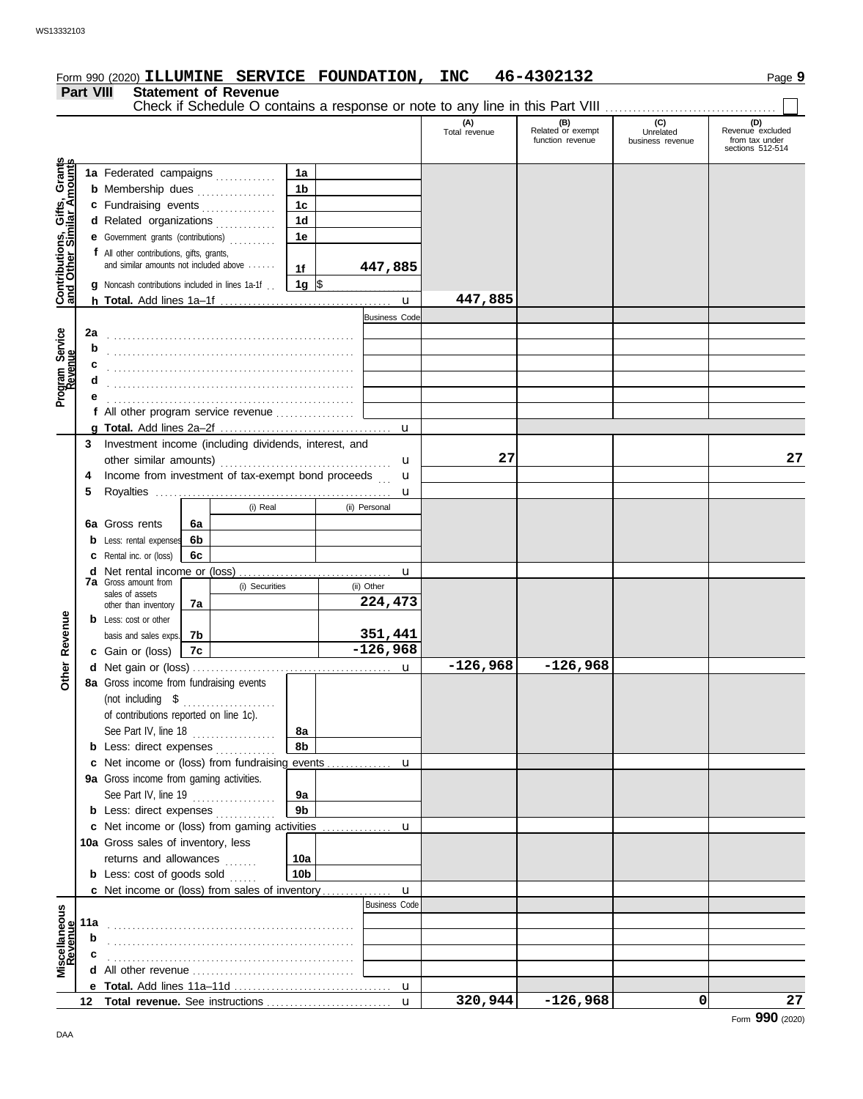|                                              |                  | Form 990 (2020) ILLUMINE SERVICE FOUNDATION, INC        |    |                             |                 |                      |                      |    | 46-4302132                                                                    |                                      | Page 9                                                        |
|----------------------------------------------|------------------|---------------------------------------------------------|----|-----------------------------|-----------------|----------------------|----------------------|----|-------------------------------------------------------------------------------|--------------------------------------|---------------------------------------------------------------|
|                                              | <b>Part VIII</b> |                                                         |    | <b>Statement of Revenue</b> |                 |                      |                      |    | Check if Schedule O contains a response or note to any line in this Part VIII |                                      |                                                               |
|                                              |                  |                                                         |    |                             |                 |                      | (A)<br>Total revenue |    | (B)<br>Related or exempt<br>function revenue                                  | (C)<br>Unrelated<br>business revenue | (D)<br>Revenue excluded<br>from tax under<br>sections 512-514 |
|                                              |                  | 1a Federated campaigns                                  |    |                             | 1a              |                      |                      |    |                                                                               |                                      |                                                               |
| Grants<br>mounts                             |                  | <b>b</b> Membership dues                                |    |                             | 1 <sub>b</sub>  |                      |                      |    |                                                                               |                                      |                                                               |
|                                              |                  | c Fundraising events                                    |    |                             | 1 <sub>c</sub>  |                      |                      |    |                                                                               |                                      |                                                               |
|                                              |                  | d Related organizations                                 |    |                             | 1 <sub>d</sub>  |                      |                      |    |                                                                               |                                      |                                                               |
| Contributions, Gifts,<br>and Other Similar A |                  | e Government grants (contributions)                     |    |                             | 1e              |                      |                      |    |                                                                               |                                      |                                                               |
|                                              |                  | f All other contributions, gifts, grants,               |    |                             |                 |                      |                      |    |                                                                               |                                      |                                                               |
|                                              |                  | and similar amounts not included above                  |    |                             | 1f              | 447,885              |                      |    |                                                                               |                                      |                                                               |
|                                              |                  | <b>g</b> Noncash contributions included in lines 1a-1f. |    |                             | 1g  \$          |                      |                      |    |                                                                               |                                      |                                                               |
|                                              |                  |                                                         |    |                             |                 | $\mathbf{u}$         | 447,885              |    |                                                                               |                                      |                                                               |
|                                              |                  |                                                         |    |                             |                 | <b>Business Code</b> |                      |    |                                                                               |                                      |                                                               |
|                                              | 2a               |                                                         |    |                             |                 |                      |                      |    |                                                                               |                                      |                                                               |
| Program Service<br>Revenue                   | b                |                                                         |    |                             |                 |                      |                      |    |                                                                               |                                      |                                                               |
|                                              | c                |                                                         |    |                             |                 |                      |                      |    |                                                                               |                                      |                                                               |
|                                              |                  |                                                         |    |                             |                 |                      |                      |    |                                                                               |                                      |                                                               |
|                                              |                  |                                                         |    |                             |                 |                      |                      |    |                                                                               |                                      |                                                               |
|                                              |                  | f All other program service revenue                     |    |                             |                 |                      |                      |    |                                                                               |                                      |                                                               |
|                                              |                  |                                                         |    |                             |                 | $\mathbf{u}$         |                      |    |                                                                               |                                      |                                                               |
|                                              | 3                | Investment income (including dividends, interest, and   |    |                             |                 |                      |                      | 27 |                                                                               |                                      |                                                               |
|                                              |                  |                                                         |    |                             |                 | u                    |                      |    |                                                                               |                                      | 27                                                            |
|                                              | 4                | Income from investment of tax-exempt bond proceeds      |    |                             |                 | u                    |                      |    |                                                                               |                                      |                                                               |
|                                              | 5                |                                                         |    | (i) Real                    |                 | u<br>(ii) Personal   |                      |    |                                                                               |                                      |                                                               |
|                                              |                  | 6a Gross rents                                          | 6a |                             |                 |                      |                      |    |                                                                               |                                      |                                                               |
|                                              |                  | <b>b</b> Less: rental expenses                          | 6b |                             |                 |                      |                      |    |                                                                               |                                      |                                                               |
|                                              |                  | <b>c</b> Rental inc. or (loss)                          | 6с |                             |                 |                      |                      |    |                                                                               |                                      |                                                               |
|                                              |                  |                                                         |    |                             |                 | u                    |                      |    |                                                                               |                                      |                                                               |
|                                              |                  | <b>7a</b> Gross amount from                             |    | (i) Securities              |                 | (ii) Other           |                      |    |                                                                               |                                      |                                                               |
|                                              |                  | sales of assets<br>other than inventory                 | 7a |                             |                 | 224,473              |                      |    |                                                                               |                                      |                                                               |
|                                              |                  | <b>b</b> Less: cost or other                            |    |                             |                 |                      |                      |    |                                                                               |                                      |                                                               |
| Revenue                                      |                  | basis and sales exps.                                   | 7b |                             |                 | 351,441              |                      |    |                                                                               |                                      |                                                               |
|                                              |                  | c Gain or (loss)                                        | 7c |                             |                 | $-126,968$           |                      |    |                                                                               |                                      |                                                               |
|                                              |                  | d Net gain or (loss)                                    |    |                             |                 | $\mathbf{u}$         | $-126,968$           |    | $-126,968$                                                                    |                                      |                                                               |
| $\frac{1}{\alpha}$                           |                  | 8a Gross income from fundraising events                 |    |                             |                 |                      |                      |    |                                                                               |                                      |                                                               |
|                                              |                  | (not including \$                                       |    | .                           |                 |                      |                      |    |                                                                               |                                      |                                                               |
|                                              |                  | of contributions reported on line 1c).                  |    |                             |                 |                      |                      |    |                                                                               |                                      |                                                               |
|                                              |                  | See Part IV, line 18                                    |    |                             | 8a              |                      |                      |    |                                                                               |                                      |                                                               |
|                                              |                  | <b>b</b> Less: direct expenses                          |    |                             | 8b              |                      |                      |    |                                                                               |                                      |                                                               |
|                                              |                  |                                                         |    |                             |                 |                      |                      |    |                                                                               |                                      |                                                               |
|                                              |                  | 9a Gross income from gaming activities.                 |    |                             |                 |                      |                      |    |                                                                               |                                      |                                                               |
|                                              |                  | See Part IV, line 19                                    |    | .                           | 9a              |                      |                      |    |                                                                               |                                      |                                                               |
|                                              |                  | <b>b</b> Less: direct expenses                          |    |                             | 9 <sub>b</sub>  |                      |                      |    |                                                                               |                                      |                                                               |
|                                              |                  | 10a Gross sales of inventory, less                      |    |                             |                 |                      |                      |    |                                                                               |                                      |                                                               |
|                                              |                  | returns and allowances                                  |    |                             | 10a             |                      |                      |    |                                                                               |                                      |                                                               |
|                                              |                  | <b>b</b> Less: cost of goods sold                       |    |                             | 10 <sub>b</sub> |                      |                      |    |                                                                               |                                      |                                                               |
|                                              |                  | c Net income or (loss) from sales of inventory          |    |                             |                 | $\mathbf{u}$         |                      |    |                                                                               |                                      |                                                               |
|                                              |                  |                                                         |    |                             |                 | <b>Business Code</b> |                      |    |                                                                               |                                      |                                                               |
|                                              | 11a              |                                                         |    |                             |                 |                      |                      |    |                                                                               |                                      |                                                               |
|                                              | b                |                                                         |    |                             |                 |                      |                      |    |                                                                               |                                      |                                                               |
|                                              |                  |                                                         |    |                             |                 |                      |                      |    |                                                                               |                                      |                                                               |
| Miscellaneous<br>Revenue                     |                  |                                                         |    |                             |                 |                      |                      |    |                                                                               |                                      |                                                               |
|                                              |                  |                                                         |    |                             |                 |                      |                      |    |                                                                               |                                      |                                                               |
|                                              |                  |                                                         |    |                             |                 |                      | 320,944              |    | $-126,968$                                                                    | 0                                    | 27                                                            |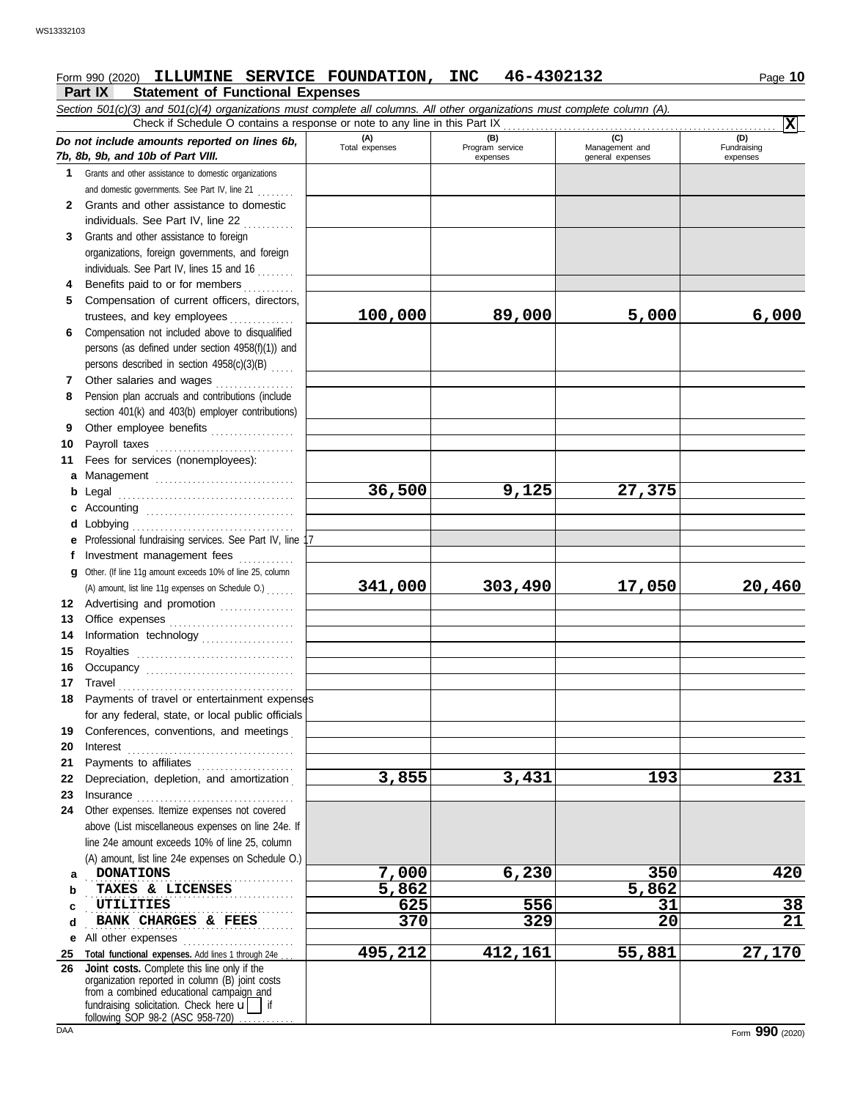# **Form 990 (2020) ILLUMINE SERVICE FOUNDATION, INC 46-4302132** Page 10

*Section 501(c)(3) and 501(c)(4) organizations must complete all columns. All other organizations must complete column (A).*

#### **Part IX Statement of Functional Expenses**

*Do not include amounts reported on lines 6b, 7b, 8b, 9b, and 10b of Part VIII.* **1 2 3** Grants and other assistance to foreign **4** Benefits paid to or for members **........**.. **5** Compensation of current officers, directors, **6** Compensation not included above to disqualified **7** Other salaries and wages **. . . . . . . . . . . .** . . **8 9 10** Payroll taxes ............................... **11 a** Management .............................. **b** Legal **c** Accounting . . . . . . . . . . . . . . . . . . . . . . . . . . . . . . . . **d** Lobbying . . . . . . . . . . . . . . . . . . . . . . . . . . . . . . . . . . . **e** Professional fundraising services. See Part IV, line 17 **f g** Other. (If line 11g amount exceeds 10% of line 25, column **12** Advertising and promotion ............... **13** Office expenses **.......................**... **14 15 16** Occupancy . . . . . . . . . . . . . . . . . . . . . . . . . . . . . . . . **17** Travel . . . . . . . . . . . . . . . . . . . . . . . . . . . . . . . . . . . . . . **18** Payments of travel or entertainment expenses **19** Conferences, conventions, and meetings . **20** Interest . . . . . . . . . . . . . . . . . . . . . . . . . . . . . . . . . . . . **21 22** Depreciation, depletion, and amortization . **23** Insurance . . . . . . . . . . . . . . . . . . . . . . . . . . . . . . . . . . **24** Other expenses. Itemize expenses not covered **a** . . . . . . . . . . . . . . . . . . . . . . . . . . . . . . . . . . . . . . . . . . . . . **b c d e** All other expenses . . . . . . . . . . . . . . . . . . . . . . . . **25 Total functional expenses.** Add lines 1 through 24e . . . **26** Grants and other assistance to domestic organizations and domestic governments. See Part IV, line 21 . . . . . . . . Grants and other assistance to domestic individuals. See Part IV, line 22 organizations, foreign governments, and foreign individuals. See Part IV, lines 15 and 16 trustees, and key employees .............. persons (as defined under section 4958(f)(1)) and persons described in section 4958(c)(3)(B) . . . . . Pension plan accruals and contributions (include section 401(k) and 403(b) employer contributions) Other employee benefits .................. Fees for services (nonemployees): . . . . . . . . . . . . . . . . . . . . . . . . . . . . . . . . . . . . . . Investment management fees Information technology . . . . . . . . . . . . . . . . . . . . Royalties . . . . . . . . . . . . . . . . . . . . . . . . . . . . . . . . . . for any federal, state, or local public officials Payments to affiliates ....................... above (List miscellaneous expenses on line 24e. If line 24e amount exceeds 10% of line 25, column (A) amount, list line 24e expenses on Schedule O.) organization reported in column (B) joint costs **(A) (B) (C) (D)** Total expenses<br>
expenses Program service<br>
Program service<br>  $\frac{1}{2}$ <br>  $\frac{1}{2}$ <br>  $\frac{1}{2}$ <br>  $\frac{1}{2}$ <br>  $\frac{1}{2}$ <br>  $\frac{1}{2}$ <br>  $\frac{1}{2}$ <br>  $\frac{1}{2}$ <br>  $\frac{1}{2}$ <br>  $\frac{1}{2}$ <br>  $\frac{1}{2}$ <br>  $\frac{1}{2}$ <br>  $\frac{1}{2}$ <br>  $\frac{1}{2}$ <br>  $\frac{1}{2}$ expenses general expenses Fundraising expenses **TAXES & LICENSES 5,862 5,962 5,862** UTILITIES . . . . . . . . . . . . . . . . . . . . . . . . . . . . . . . . . . . . . . . . . . . . . **BANK CHARGES & FEES 370 329 20 21** Check if Schedule O contains a response or note to any line in this Part IX **Joint costs.** Complete this line only if the (A) amount, list line 11g expenses on Schedule O.) . . . . . . **X 100,000 89,000 5,000 6,000 36,500 9,125 27,375 341,000 303,490 17,050 20,460 3,855 3,431 193 231 DONATIONS 7,000 6,230 350 420 UTILITIES 625 556 31 38 495,212 412,161 55,881 27,170**

fundraising solicitation. Check here  $\mathbf{u}$  | if

following SOP 98-2 (ASC 958-720)

from a combined educational campaign and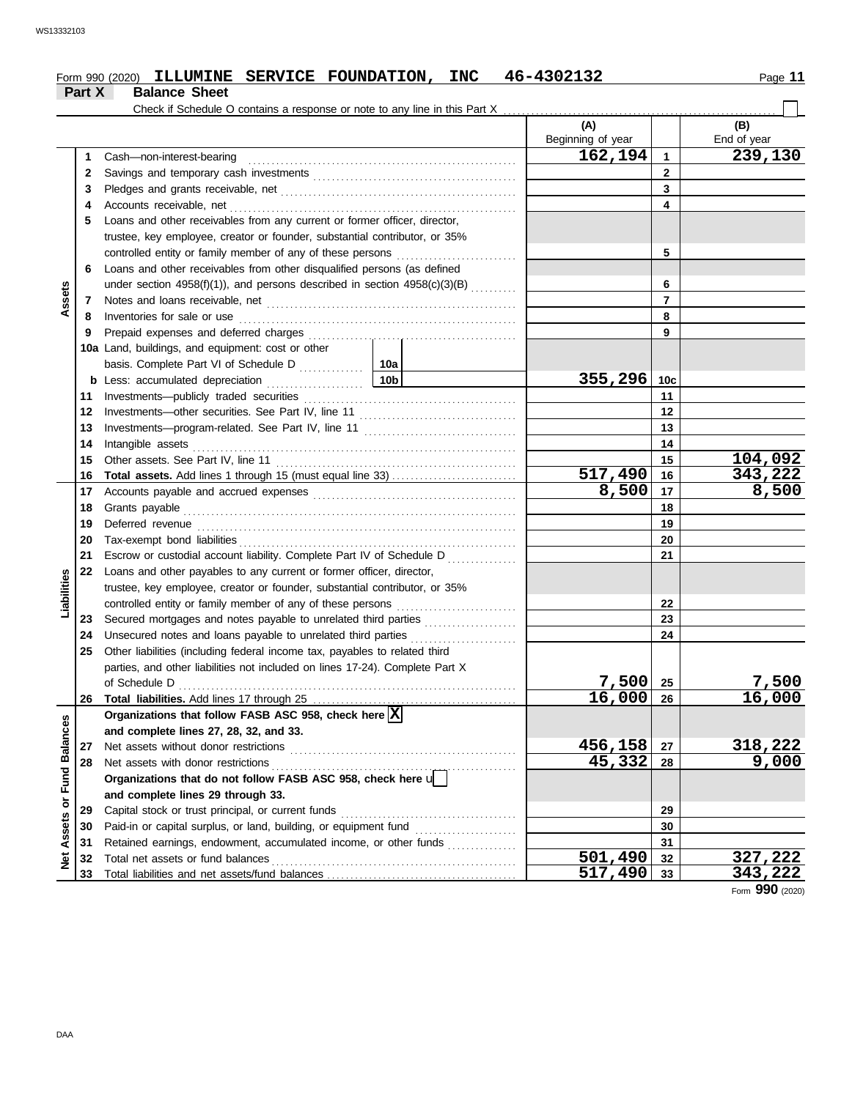|  | Form 990 (2020) |  |  | ILLUMINE SERVICE FOUNDATION, | <b>INC</b> | 46-4302132 | Page |
|--|-----------------|--|--|------------------------------|------------|------------|------|
|--|-----------------|--|--|------------------------------|------------|------------|------|

|                         | Part X | <b>Balance Sheet</b>                                                                              |        |                          |                |                    |
|-------------------------|--------|---------------------------------------------------------------------------------------------------|--------|--------------------------|----------------|--------------------|
|                         |        | Check if Schedule O contains a response or note to any line in this Part X                        |        |                          |                |                    |
|                         |        |                                                                                                   |        | (A)<br>Beginning of year |                | (B)<br>End of year |
|                         | 1      | Cash-non-interest-bearing                                                                         |        | 162,194                  | $\mathbf 1$    | 239, 130           |
|                         | 2      |                                                                                                   |        |                          | $\mathbf{2}$   |                    |
|                         | 3      |                                                                                                   |        |                          | 3              |                    |
|                         | 4      |                                                                                                   |        |                          | 4              |                    |
|                         | 5      | Loans and other receivables from any current or former officer, director,                         |        |                          |                |                    |
|                         |        | trustee, key employee, creator or founder, substantial contributor, or 35%                        |        |                          |                |                    |
|                         |        |                                                                                                   |        |                          | 5              |                    |
|                         | 6      | Loans and other receivables from other disqualified persons (as defined                           |        |                          |                |                    |
|                         |        | under section $4958(f)(1)$ ), and persons described in section $4958(c)(3)(B)$ <sub>.</sub>       |        |                          | 6              |                    |
| Assets                  | 7      |                                                                                                   |        |                          | $\overline{7}$ |                    |
|                         | 8      |                                                                                                   |        |                          | 8              |                    |
|                         | 9      |                                                                                                   |        |                          | 9              |                    |
|                         |        | 10a Land, buildings, and equipment: cost or other                                                 |        |                          |                |                    |
|                         |        |                                                                                                   |        |                          |                |                    |
|                         |        |                                                                                                   |        | $355, 296$ 10c           |                |                    |
|                         | 11     |                                                                                                   |        |                          | 11             |                    |
|                         | 12     |                                                                                                   |        |                          | 12             |                    |
|                         | 13     |                                                                                                   |        |                          | 13             |                    |
|                         | 14     |                                                                                                   |        |                          | 14             |                    |
|                         | 15     |                                                                                                   |        |                          | 15             | 104,092            |
|                         | 16     |                                                                                                   |        | 517,490                  | 16             | 343,222            |
|                         | 17     |                                                                                                   |        | 8,500                    | 17             | 8,500              |
|                         | 18     |                                                                                                   |        | 18                       |                |                    |
|                         | 19     |                                                                                                   |        |                          | 19             |                    |
|                         | 20     |                                                                                                   |        |                          | 20             |                    |
|                         | 21     | Escrow or custodial account liability. Complete Part IV of Schedule D                             |        |                          | 21             |                    |
|                         | 22     | Loans and other payables to any current or former officer, director,                              |        |                          |                |                    |
| Liabilities             |        | trustee, key employee, creator or founder, substantial contributor, or 35%                        |        |                          |                |                    |
|                         |        | controlled entity or family member of any of these persons                                        |        |                          | 22             |                    |
|                         | 23     | Secured mortgages and notes payable to unrelated third parties                                    |        |                          | 23             |                    |
|                         | 24     | Unsecured notes and loans payable to unrelated third parties                                      |        |                          | 24             |                    |
|                         | 25     | Other liabilities (including federal income tax, payables to related third                        |        |                          |                |                    |
|                         |        | parties, and other liabilities not included on lines 17-24). Complete Part X                      |        |                          |                |                    |
|                         |        |                                                                                                   |        | $7,500$ $\vert$          | 25             | <u>7,500</u>       |
|                         | 26     |                                                                                                   |        | 16,000                   | 26             | 16,000             |
|                         |        | Organizations that follow FASB ASC 958, check here $\boxed{\text{X}}$                             |        |                          |                |                    |
|                         |        | and complete lines 27, 28, 32, and 33.                                                            |        |                          |                |                    |
|                         | 27     | Net assets without donor restrictions                                                             |        | 456,158                  | 27             | 318,222            |
|                         | 28     | Net assets with donor restrictions<br>Organizations that do not follow FASB ASC 958, check here u | 45,332 | 28                       | <u>9,000</u>   |                    |
|                         |        |                                                                                                   |        |                          |                |                    |
|                         |        | and complete lines 29 through 33.                                                                 |        |                          |                |                    |
| Assets or Fund Balances | 29     | Capital stock or trust principal, or current funds                                                |        |                          | 29             |                    |
|                         | 30     |                                                                                                   |        |                          | 30             |                    |
|                         | 31     | Retained earnings, endowment, accumulated income, or other funds                                  |        |                          | 31             |                    |
| Net                     | 32     | Total net assets or fund balances                                                                 |        | 501,490                  | 32             | 327,222            |
|                         | 33     |                                                                                                   |        | 517,490                  | 33             | 343,222            |

Form **990** (2020)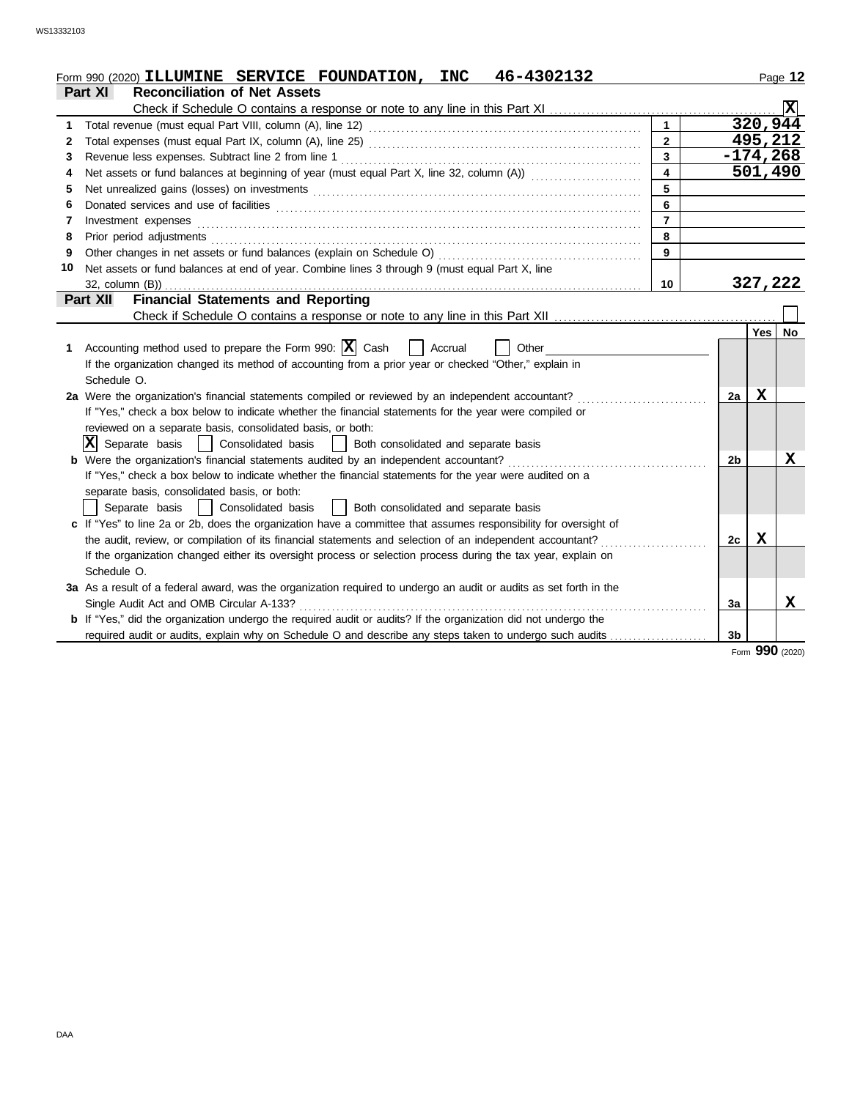|    | 46-4302132<br>Form 990 (2020) ILLUMINE SERVICE FOUNDATION, INC                                                                                                                                                                 |                         |                |     | Page 12     |
|----|--------------------------------------------------------------------------------------------------------------------------------------------------------------------------------------------------------------------------------|-------------------------|----------------|-----|-------------|
|    | <b>Reconciliation of Net Assets</b><br>Part XI                                                                                                                                                                                 |                         |                |     |             |
|    |                                                                                                                                                                                                                                |                         |                |     | x           |
| 1. |                                                                                                                                                                                                                                | $\mathbf{1}$            |                |     | 320, 944    |
| 2  |                                                                                                                                                                                                                                | $\overline{2}$          |                |     | 495,212     |
| 3  | Revenue less expenses. Subtract line 2 from line 1                                                                                                                                                                             | $\mathbf{3}$            |                |     | $-174,268$  |
| 4  | Net assets or fund balances at beginning of year (must equal Part X, line 32, column (A)) [[[[[[[[[[[[[[[[[[[                                                                                                                  | $\overline{\mathbf{4}}$ |                |     | 501,490     |
| 5  | Net unrealized gains (losses) on investments [11] matter contracts and the state of the state of the state of the state of the state of the state of the state of the state of the state of the state of the state of the stat | 5                       |                |     |             |
| 6  |                                                                                                                                                                                                                                | 6                       |                |     |             |
| 7  | Investment expenses                                                                                                                                                                                                            | $\overline{7}$          |                |     |             |
| 8  | Prior period adjustments [11, 12] and the contract of the contract of the contract of the contract of the contract of the contract of the contract of the contract of the contract of the contract of the contract of the cont | 8                       |                |     |             |
| 9  | Other changes in net assets or fund balances (explain on Schedule O)                                                                                                                                                           | $\mathbf{9}$            |                |     |             |
| 10 | Net assets or fund balances at end of year. Combine lines 3 through 9 (must equal Part X, line                                                                                                                                 |                         |                |     |             |
|    | $32$ , column $(B)$ )                                                                                                                                                                                                          | 10                      |                |     | 327,222     |
|    | <b>Financial Statements and Reporting</b><br>Part XII                                                                                                                                                                          |                         |                |     |             |
|    |                                                                                                                                                                                                                                |                         |                |     |             |
|    |                                                                                                                                                                                                                                |                         |                | Yes | No          |
| 1. | Accounting method used to prepare the Form 990: $ X $ Cash<br>Accrual<br>Other                                                                                                                                                 |                         |                |     |             |
|    | If the organization changed its method of accounting from a prior year or checked "Other," explain in                                                                                                                          |                         |                |     |             |
|    | Schedule O.                                                                                                                                                                                                                    |                         |                |     |             |
|    | 2a Were the organization's financial statements compiled or reviewed by an independent accountant?                                                                                                                             |                         | 2a             | X   |             |
|    | If "Yes," check a box below to indicate whether the financial statements for the year were compiled or                                                                                                                         |                         |                |     |             |
|    | reviewed on a separate basis, consolidated basis, or both:                                                                                                                                                                     |                         |                |     |             |
|    | $ \mathbf{X} $ Separate basis   Consolidated basis<br>  Both consolidated and separate basis                                                                                                                                   |                         |                |     |             |
|    | <b>b</b> Were the organization's financial statements audited by an independent accountant?                                                                                                                                    |                         | 2 <sub>b</sub> |     | X           |
|    | If "Yes," check a box below to indicate whether the financial statements for the year were audited on a                                                                                                                        |                         |                |     |             |
|    | separate basis, consolidated basis, or both:                                                                                                                                                                                   |                         |                |     |             |
|    | Separate basis<br>Consolidated basis<br>  Both consolidated and separate basis                                                                                                                                                 |                         |                |     |             |
|    | c If "Yes" to line 2a or 2b, does the organization have a committee that assumes responsibility for oversight of                                                                                                               |                         |                |     |             |
|    | the audit, review, or compilation of its financial statements and selection of an independent accountant?                                                                                                                      |                         | 2c             | X   |             |
|    | If the organization changed either its oversight process or selection process during the tax year, explain on                                                                                                                  |                         |                |     |             |
|    | Schedule O.                                                                                                                                                                                                                    |                         |                |     |             |
|    | 3a As a result of a federal award, was the organization required to undergo an audit or audits as set forth in the                                                                                                             |                         |                |     |             |
|    | Single Audit Act and OMB Circular A-133?                                                                                                                                                                                       |                         | 3a             |     | $\mathbf x$ |
|    | <b>b</b> If "Yes," did the organization undergo the required audit or audits? If the organization did not undergo the                                                                                                          |                         |                |     |             |
|    | required audit or audits, explain why on Schedule O and describe any steps taken to undergo such audits                                                                                                                        |                         | 3 <sub>b</sub> |     |             |

Form **990** (2020)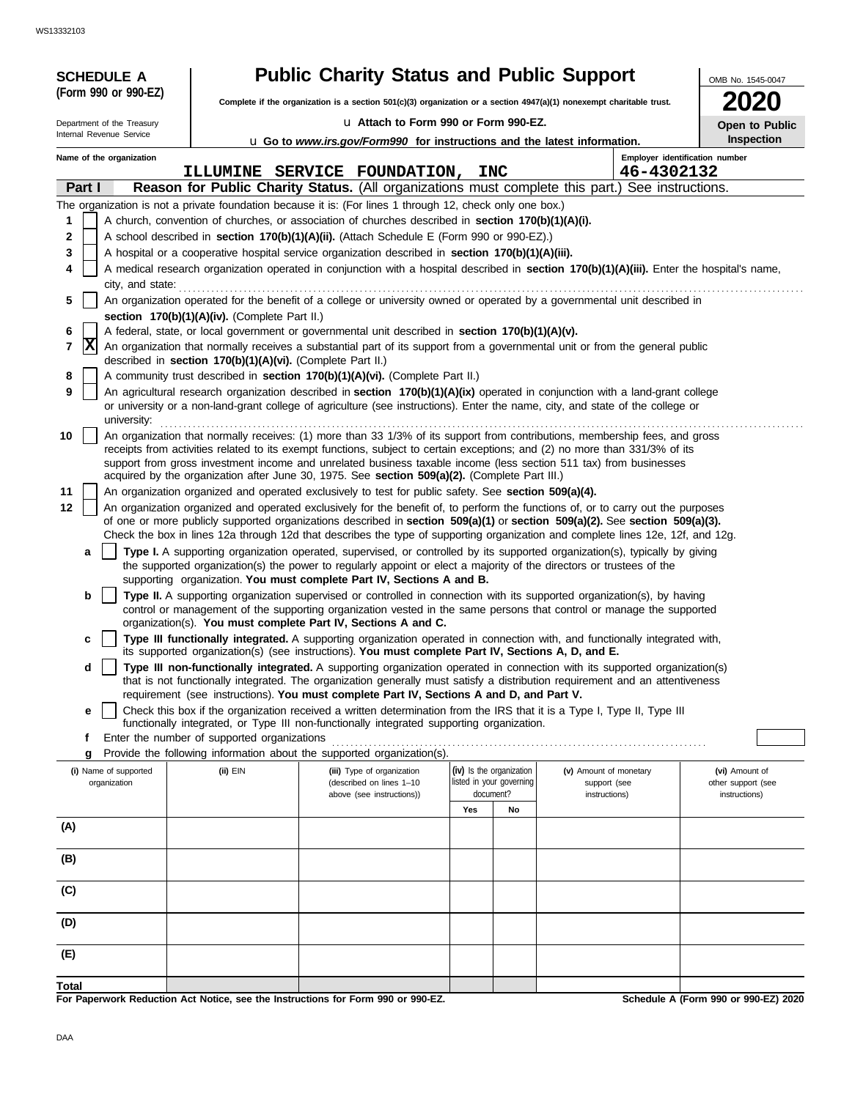WS13332103

| <b>SCHEDULE A</b>          |                                                                                                                                                                | <b>Public Charity Status and Public Support</b>                                                                                                                                                                                                                        |                                                                                        |                          |                        | OMB No. 1545-0047              |  |  |  |
|----------------------------|----------------------------------------------------------------------------------------------------------------------------------------------------------------|------------------------------------------------------------------------------------------------------------------------------------------------------------------------------------------------------------------------------------------------------------------------|----------------------------------------------------------------------------------------|--------------------------|------------------------|--------------------------------|--|--|--|
| (Form 990 or 990-EZ)       |                                                                                                                                                                | Complete if the organization is a section $501(c)(3)$ organization or a section $4947(a)(1)$ nonexempt charitable trust.                                                                                                                                               |                                                                                        |                          |                        |                                |  |  |  |
| Department of the Treasury |                                                                                                                                                                | u Attach to Form 990 or Form 990-EZ.                                                                                                                                                                                                                                   |                                                                                        |                          |                        | Open to Public                 |  |  |  |
| Internal Revenue Service   |                                                                                                                                                                |                                                                                                                                                                                                                                                                        | Inspection<br>u Go to www.irs.gov/Form990 for instructions and the latest information. |                          |                        |                                |  |  |  |
| Name of the organization   |                                                                                                                                                                | ILLUMINE SERVICE FOUNDATION,                                                                                                                                                                                                                                           |                                                                                        | <b>INC</b>               | 46-4302132             | Employer identification number |  |  |  |
| Part I                     |                                                                                                                                                                | Reason for Public Charity Status. (All organizations must complete this part.) See instructions.                                                                                                                                                                       |                                                                                        |                          |                        |                                |  |  |  |
|                            |                                                                                                                                                                | The organization is not a private foundation because it is: (For lines 1 through 12, check only one box.)                                                                                                                                                              |                                                                                        |                          |                        |                                |  |  |  |
| 1                          |                                                                                                                                                                | A church, convention of churches, or association of churches described in section 170(b)(1)(A)(i).                                                                                                                                                                     |                                                                                        |                          |                        |                                |  |  |  |
| 2                          |                                                                                                                                                                | A school described in section 170(b)(1)(A)(ii). (Attach Schedule E (Form 990 or 990-EZ).)                                                                                                                                                                              |                                                                                        |                          |                        |                                |  |  |  |
| 3<br>4                     |                                                                                                                                                                | A hospital or a cooperative hospital service organization described in section 170(b)(1)(A)(iii).                                                                                                                                                                      |                                                                                        |                          |                        |                                |  |  |  |
|                            | A medical research organization operated in conjunction with a hospital described in section 170(b)(1)(A)(iii). Enter the hospital's name,<br>city, and state: |                                                                                                                                                                                                                                                                        |                                                                                        |                          |                        |                                |  |  |  |
| 5                          |                                                                                                                                                                | An organization operated for the benefit of a college or university owned or operated by a governmental unit described in                                                                                                                                              |                                                                                        |                          |                        |                                |  |  |  |
|                            | section 170(b)(1)(A)(iv). (Complete Part II.)                                                                                                                  |                                                                                                                                                                                                                                                                        |                                                                                        |                          |                        |                                |  |  |  |
| 6<br>$ \mathbf{x} $<br>7   |                                                                                                                                                                | A federal, state, or local government or governmental unit described in section 170(b)(1)(A)(v).                                                                                                                                                                       |                                                                                        |                          |                        |                                |  |  |  |
|                            | described in section 170(b)(1)(A)(vi). (Complete Part II.)                                                                                                     | An organization that normally receives a substantial part of its support from a governmental unit or from the general public                                                                                                                                           |                                                                                        |                          |                        |                                |  |  |  |
| 8                          |                                                                                                                                                                | A community trust described in section 170(b)(1)(A)(vi). (Complete Part II.)                                                                                                                                                                                           |                                                                                        |                          |                        |                                |  |  |  |
| 9<br>university:           |                                                                                                                                                                | An agricultural research organization described in section 170(b)(1)(A)(ix) operated in conjunction with a land-grant college<br>or university or a non-land-grant college of agriculture (see instructions). Enter the name, city, and state of the college or        |                                                                                        |                          |                        |                                |  |  |  |
| 10                         |                                                                                                                                                                | An organization that normally receives: (1) more than 33 1/3% of its support from contributions, membership fees, and gross                                                                                                                                            |                                                                                        |                          |                        |                                |  |  |  |
|                            |                                                                                                                                                                | receipts from activities related to its exempt functions, subject to certain exceptions; and (2) no more than 331/3% of its                                                                                                                                            |                                                                                        |                          |                        |                                |  |  |  |
|                            |                                                                                                                                                                | support from gross investment income and unrelated business taxable income (less section 511 tax) from businesses<br>acquired by the organization after June 30, 1975. See section 509(a)(2). (Complete Part III.)                                                     |                                                                                        |                          |                        |                                |  |  |  |
| 11                         |                                                                                                                                                                | An organization organized and operated exclusively to test for public safety. See section 509(a)(4).                                                                                                                                                                   |                                                                                        |                          |                        |                                |  |  |  |
| 12                         |                                                                                                                                                                | An organization organized and operated exclusively for the benefit of, to perform the functions of, or to carry out the purposes                                                                                                                                       |                                                                                        |                          |                        |                                |  |  |  |
|                            |                                                                                                                                                                | of one or more publicly supported organizations described in section $509(a)(1)$ or section $509(a)(2)$ . See section $509(a)(3)$ .<br>Check the box in lines 12a through 12d that describes the type of supporting organization and complete lines 12e, 12f, and 12g. |                                                                                        |                          |                        |                                |  |  |  |
| a                          |                                                                                                                                                                | Type I. A supporting organization operated, supervised, or controlled by its supported organization(s), typically by giving                                                                                                                                            |                                                                                        |                          |                        |                                |  |  |  |
|                            |                                                                                                                                                                | the supported organization(s) the power to regularly appoint or elect a majority of the directors or trustees of the                                                                                                                                                   |                                                                                        |                          |                        |                                |  |  |  |
| b                          |                                                                                                                                                                | supporting organization. You must complete Part IV, Sections A and B.<br>Type II. A supporting organization supervised or controlled in connection with its supported organization(s), by having                                                                       |                                                                                        |                          |                        |                                |  |  |  |
|                            |                                                                                                                                                                | control or management of the supporting organization vested in the same persons that control or manage the supported                                                                                                                                                   |                                                                                        |                          |                        |                                |  |  |  |
|                            |                                                                                                                                                                | organization(s). You must complete Part IV, Sections A and C.                                                                                                                                                                                                          |                                                                                        |                          |                        |                                |  |  |  |
| c                          |                                                                                                                                                                | Type III functionally integrated. A supporting organization operated in connection with, and functionally integrated with,<br>its supported organization(s) (see instructions). You must complete Part IV, Sections A, D, and E.                                       |                                                                                        |                          |                        |                                |  |  |  |
| d                          |                                                                                                                                                                | Type III non-functionally integrated. A supporting organization operated in connection with its supported organization(s)                                                                                                                                              |                                                                                        |                          |                        |                                |  |  |  |
|                            |                                                                                                                                                                | that is not functionally integrated. The organization generally must satisfy a distribution requirement and an attentiveness                                                                                                                                           |                                                                                        |                          |                        |                                |  |  |  |
| e                          |                                                                                                                                                                | requirement (see instructions). You must complete Part IV, Sections A and D, and Part V.<br>Check this box if the organization received a written determination from the IRS that it is a Type I, Type II, Type III                                                    |                                                                                        |                          |                        |                                |  |  |  |
|                            |                                                                                                                                                                | functionally integrated, or Type III non-functionally integrated supporting organization.                                                                                                                                                                              |                                                                                        |                          |                        |                                |  |  |  |
| f                          | Enter the number of supported organizations                                                                                                                    | Provide the following information about the supported organization(s).                                                                                                                                                                                                 |                                                                                        |                          |                        |                                |  |  |  |
| g<br>(i) Name of supported | (ii) EIN                                                                                                                                                       | (iii) Type of organization                                                                                                                                                                                                                                             | (iv) Is the organization                                                               |                          | (v) Amount of monetary | (vi) Amount of                 |  |  |  |
| organization               |                                                                                                                                                                | (described on lines 1-10                                                                                                                                                                                                                                               |                                                                                        | listed in your governing | support (see           | other support (see             |  |  |  |
|                            |                                                                                                                                                                | above (see instructions))                                                                                                                                                                                                                                              | Yes                                                                                    | document?<br>No          | instructions)          | instructions)                  |  |  |  |
| (A)                        |                                                                                                                                                                |                                                                                                                                                                                                                                                                        |                                                                                        |                          |                        |                                |  |  |  |
|                            |                                                                                                                                                                |                                                                                                                                                                                                                                                                        |                                                                                        |                          |                        |                                |  |  |  |
| (B)                        |                                                                                                                                                                |                                                                                                                                                                                                                                                                        |                                                                                        |                          |                        |                                |  |  |  |
| (C)                        |                                                                                                                                                                |                                                                                                                                                                                                                                                                        |                                                                                        |                          |                        |                                |  |  |  |
| (D)                        |                                                                                                                                                                |                                                                                                                                                                                                                                                                        |                                                                                        |                          |                        |                                |  |  |  |
|                            |                                                                                                                                                                |                                                                                                                                                                                                                                                                        |                                                                                        |                          |                        |                                |  |  |  |
| (E)                        |                                                                                                                                                                |                                                                                                                                                                                                                                                                        |                                                                                        |                          |                        |                                |  |  |  |
| Total                      |                                                                                                                                                                |                                                                                                                                                                                                                                                                        |                                                                                        |                          |                        |                                |  |  |  |

**For Paperwork Reduction Act Notice, see the Instructions for Form 990 or 990-EZ.**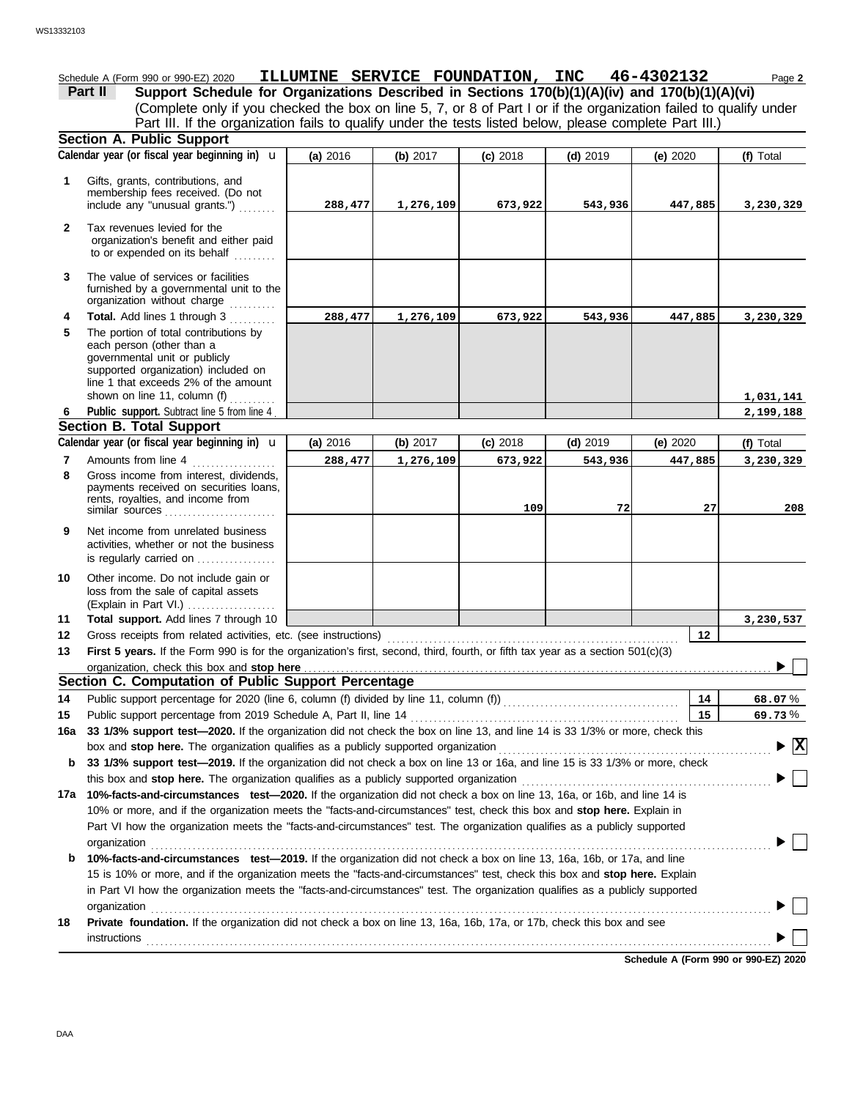(Explain in Part VI.) . . . . . . . . . . . . . . . . . . . governmental unit or publicly **Section A. Public Support Total support.** Add lines 7 through 10 loss from the sale of capital assets Other income. Do not include gain or is regularly carried on ................. activities, whether or not the business Net income from unrelated business rents, royalties, and income from payments received on securities loans, Gross income from interest, dividends, line 1 that exceeds 2% of the amount supported organization) included on each person (other than a The portion of total contributions by **Total.** Add lines 1 through 3 .......... The value of services or facilities to or expended on its behalf ......... organization's benefit and either paid Tax revenues levied for the First 5 years. If the Form 990 is for the organization's first, second, third, fourth, or fifth tax year as a section 501(c)(3) Gross receipts from related activities, etc. (see instructions) . . . . . . . . . . . . . . . . . . . . . . . . . . . . . . . . . . . . . . . . . . . . . . . . . . . . . . . . . . . . . . . Amounts from line 4 Public support. Subtract line 5 from line 4 include any "unusual grants.") . . . . . . . . membership fees received. (Do not Gifts, grants, contributions, and Schedule A (Form 990 or 990-EZ) 2020 **ILLUMINE SERVICE FOUNDATION, INC** 46-4302132 Page 2 **13 12 11 9 8 6 4 3 2 1 (a)** 2016 **(b)** 2017 **(c)** 2018 **(d)** 2019 **(e)** 2020 (Complete only if you checked the box on line 5, 7, or 8 of Part I or if the organization failed to qualify under **Part II Support Schedule for Organizations Described in Sections 170(b)(1)(A)(iv) and 170(b)(1)(A)(vi)** Calendar year (or fiscal year beginning in) **u** | (a) 2016 | (b) 2017 | (c) 2018 | (d) 2019 | (e) 2020 | (f) Total furnished by a governmental unit to the organization without charge **5 Section B. Total Support 7** similar sources **10** organization, check this box and stop here **Section C. Computation of Public Support Percentage 12 14** Public support percentage for 2020 (line 6, column (f) divided by line 11, column (f)) . . . . . . . . . . . . . . . . . . . . . . . . . . . . . . . . . . . . . . Public support percentage from 2019 Schedule A, Part II, line 14 . . . . . . . . . . . . . . . . . . . . . . . . . . . . . . . . . . . . . . . . . . . . . . . . . . . . . . . . . . **15 16a 33 1/3% support test—2020.** If the organization did not check the box on line 13, and line 14 is 33 1/3% or more, check this box and stop here. The organization qualifies as a publicly supported organization ............... **b 33 1/3% support test—2019.** If the organization did not check a box on line 13 or 16a, and line 15 is 33 1/3% or more, check this box and **stop here.** The organization qualifies as a publicly supported organization . . . . . . . . . . . . . . . . . . . . . . . . . . . . . . . . . . . . . . . . . . . . . . . . . . . . . . **17a 10%-facts-and-circumstances test—2020.** If the organization did not check a box on line 13, 16a, or 16b, and line 14 is 10% or more, and if the organization meets the "facts-and-circumstances" test, check this box and **stop here.** Explain in Part VI how the organization meets the "facts-and-circumstances" test. The organization qualifies as a publicly supported **b 10%-facts-and-circumstances test—2019.** If the organization did not check a box on line 13, 16a, 16b, or 17a, and line in Part VI how the organization meets the "facts-and-circumstances" test. The organization qualifies as a publicly supported 15 is 10% or more, and if the organization meets the "facts-and-circumstances" test, check this box and **stop here.** Explain **18 Private foundation.** If the organization did not check a box on line 13, 16a, 16b, 17a, or 17b, check this box and see **14 15** % **68.07** % **69.73** Calendar year (or fiscal year beginning in)  $\mathbf{u}$  (a) 2016 (b) 2017 (c) 2018 (d) 2019 (e) 2020 (f) Total Part III. If the organization fails to qualify under the tests listed below, please complete Part III.) **(a)** 2016 shown on line 11, column (f)  $\ldots$ organization www.community.com/www.community.com/www.community.com/www.community.com/www.community.com/www.com organization and the contract of the contract of the contract of the contract of the contract of the contract of the contract of the contract of the contract of the contract of the contract of the contract of the contract **instructions** u **(b)** 2017 **(c)** 2018 **(d)** 2019 **(e)** 2020 **288,477 1,276,109 673,922 543,936 447,885 3,230,329 288,477 1,276,109 673,922 543,936 447,885 3,230,329 1,031,141 2,199,188 288,477 1,276,109 673,922 543,936 447,885 3,230,329 109 72 27 208 3,230,537 X**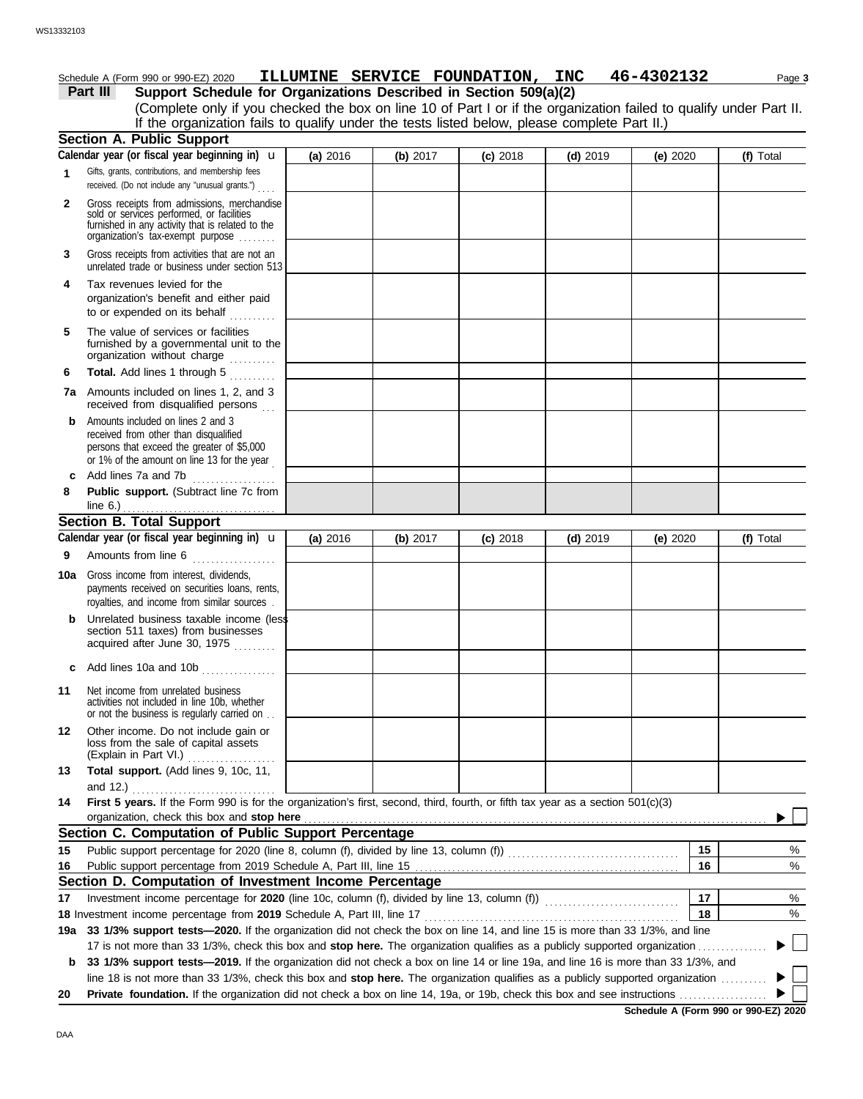|     | Schedule A (Form 990 or 990-EZ) 2020                                                                                                                                                                                                                                 |          |          | ILLUMINE SERVICE FOUNDATION, INC |            | 46-4302132 |    | Page 3    |
|-----|----------------------------------------------------------------------------------------------------------------------------------------------------------------------------------------------------------------------------------------------------------------------|----------|----------|----------------------------------|------------|------------|----|-----------|
|     | Support Schedule for Organizations Described in Section 509(a)(2)<br>Part III                                                                                                                                                                                        |          |          |                                  |            |            |    |           |
|     | (Complete only if you checked the box on line 10 of Part I or if the organization failed to qualify under Part II.                                                                                                                                                   |          |          |                                  |            |            |    |           |
|     | If the organization fails to qualify under the tests listed below, please complete Part II.)                                                                                                                                                                         |          |          |                                  |            |            |    |           |
|     | <b>Section A. Public Support</b>                                                                                                                                                                                                                                     |          |          |                                  |            |            |    |           |
|     | Calendar year (or fiscal year beginning in) $\mathbf u$                                                                                                                                                                                                              | (a) 2016 | (b) 2017 | $(c)$ 2018                       | $(d)$ 2019 | (e) $2020$ |    | (f) Total |
| 1   | Gifts, grants, contributions, and membership fees<br>received. (Do not include any "unusual grants.")                                                                                                                                                                |          |          |                                  |            |            |    |           |
| 2   | Gross receipts from admissions, merchandise<br>sold or services performed, or facilities<br>furnished in any activity that is related to the<br>organization's tax-exempt purpose                                                                                    |          |          |                                  |            |            |    |           |
| 3   | Gross receipts from activities that are not an<br>unrelated trade or business under section 513                                                                                                                                                                      |          |          |                                  |            |            |    |           |
| 4   | Tax revenues levied for the<br>organization's benefit and either paid<br>to or expended on its behalf<br>in de de de                                                                                                                                                 |          |          |                                  |            |            |    |           |
| 5   | The value of services or facilities<br>furnished by a governmental unit to the<br>organization without charge                                                                                                                                                        |          |          |                                  |            |            |    |           |
| 6   | Total. Add lines 1 through 5                                                                                                                                                                                                                                         |          |          |                                  |            |            |    |           |
|     | 7a Amounts included on lines 1, 2, and 3<br>received from disqualified persons                                                                                                                                                                                       |          |          |                                  |            |            |    |           |
| b   | Amounts included on lines 2 and 3<br>received from other than disqualified<br>persons that exceed the greater of \$5,000<br>or 1% of the amount on line 13 for the year                                                                                              |          |          |                                  |            |            |    |           |
| c   | Add lines 7a and 7b                                                                                                                                                                                                                                                  |          |          |                                  |            |            |    |           |
| 8   | Public support. (Subtract line 7c from<br>line 6.) $\ldots$ $\ldots$ $\ldots$ $\ldots$ $\ldots$ $\ldots$                                                                                                                                                             |          |          |                                  |            |            |    |           |
|     | <b>Section B. Total Support</b>                                                                                                                                                                                                                                      |          |          |                                  |            |            |    |           |
|     | Calendar year (or fiscal year beginning in) $\mathbf u$                                                                                                                                                                                                              | (a) 2016 | (b) 2017 | $(c)$ 2018                       | $(d)$ 2019 | (e) 2020   |    | (f) Total |
| 9   | Amounts from line 6                                                                                                                                                                                                                                                  |          |          |                                  |            |            |    |           |
| 10a | Gross income from interest, dividends,<br>payments received on securities loans, rents,<br>royalties, and income from similar sources.                                                                                                                               |          |          |                                  |            |            |    |           |
|     | Unrelated business taxable income (less<br>section 511 taxes) from businesses<br>acquired after June 30, 1975                                                                                                                                                        |          |          |                                  |            |            |    |           |
|     | c Add lines 10a and 10b $\ldots$                                                                                                                                                                                                                                     |          |          |                                  |            |            |    |           |
| 11  | Net income from unrelated business<br>activities not included in line 10b, whether<br>or not the business is regularly carried on                                                                                                                                    |          |          |                                  |            |            |    |           |
| 12  | Other income. Do not include gain or<br>loss from the sale of capital assets<br>(Explain in Part VI.)<br>.                                                                                                                                                           |          |          |                                  |            |            |    |           |
| 13  | Total support. (Add lines 9, 10c, 11,<br>and $12.$ )                                                                                                                                                                                                                 |          |          |                                  |            |            |    |           |
| 14  | First 5 years. If the Form 990 is for the organization's first, second, third, fourth, or fifth tax year as a section 501(c)(3)<br>organization, check this box and stop here                                                                                        |          |          |                                  |            |            |    |           |
|     | Section C. Computation of Public Support Percentage                                                                                                                                                                                                                  |          |          |                                  |            |            |    |           |
| 15  |                                                                                                                                                                                                                                                                      |          |          |                                  |            |            | 15 | %         |
| 16  |                                                                                                                                                                                                                                                                      |          |          |                                  |            |            | 16 | %         |
|     | Section D. Computation of Investment Income Percentage                                                                                                                                                                                                               |          |          |                                  |            |            |    |           |
| 17  |                                                                                                                                                                                                                                                                      |          |          |                                  |            |            | 17 | %         |
|     | 18 Investment income percentage from 2019 Schedule A, Part III, line 17                                                                                                                                                                                              |          |          |                                  |            |            | 18 | %         |
|     | 19a 33 1/3% support tests-2020. If the organization did not check the box on line 14, and line 15 is more than 33 1/3%, and line                                                                                                                                     |          |          |                                  |            |            |    |           |
|     | 17 is not more than 33 1/3%, check this box and stop here. The organization qualifies as a publicly supported organization.                                                                                                                                          |          |          |                                  |            |            |    |           |
| b   | 33 1/3% support tests—2019. If the organization did not check a box on line 14 or line 19a, and line 16 is more than 33 1/3%, and<br>line 18 is not more than 33 1/3%, check this box and stop here. The organization qualifies as a publicly supported organization |          |          |                                  |            |            |    |           |
| 20  |                                                                                                                                                                                                                                                                      |          |          |                                  |            |            |    |           |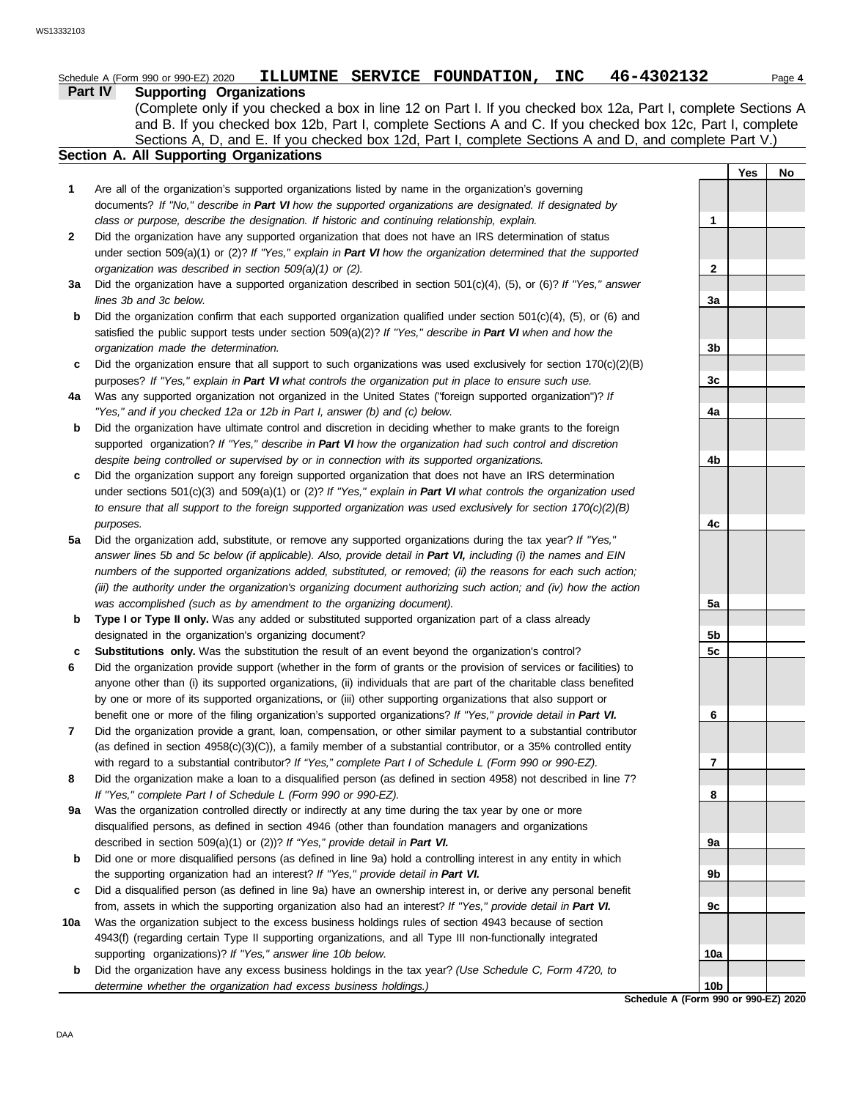|        | ILLUMINE SERVICE FOUNDATION, INC 46-4302132<br>Schedule A (Form 990 or 990-EZ) 2020                                                                                                                                             |                      |            | Page 4 |
|--------|---------------------------------------------------------------------------------------------------------------------------------------------------------------------------------------------------------------------------------|----------------------|------------|--------|
|        | <b>Supporting Organizations</b><br><b>Part IV</b>                                                                                                                                                                               |                      |            |        |
|        | (Complete only if you checked a box in line 12 on Part I. If you checked box 12a, Part I, complete Sections A<br>and B. If you checked box 12b, Part I, complete Sections A and C. If you checked box 12c, Part I, complete     |                      |            |        |
|        | Sections A, D, and E. If you checked box 12d, Part I, complete Sections A and D, and complete Part V.)                                                                                                                          |                      |            |        |
|        | <b>Section A. All Supporting Organizations</b>                                                                                                                                                                                  |                      |            |        |
|        |                                                                                                                                                                                                                                 |                      | <b>Yes</b> | No     |
| 1      | Are all of the organization's supported organizations listed by name in the organization's governing                                                                                                                            |                      |            |        |
|        | documents? If "No," describe in Part VI how the supported organizations are designated. If designated by                                                                                                                        |                      |            |        |
|        | class or purpose, describe the designation. If historic and continuing relationship, explain.                                                                                                                                   | 1                    |            |        |
| 2      | Did the organization have any supported organization that does not have an IRS determination of status                                                                                                                          |                      |            |        |
|        | under section 509(a)(1) or (2)? If "Yes," explain in Part VI how the organization determined that the supported                                                                                                                 |                      |            |        |
|        | organization was described in section 509(a)(1) or (2).                                                                                                                                                                         | 2                    |            |        |
| За     | Did the organization have a supported organization described in section $501(c)(4)$ , (5), or (6)? If "Yes," answer                                                                                                             |                      |            |        |
|        | lines 3b and 3c below.                                                                                                                                                                                                          | 3a                   |            |        |
| b      | Did the organization confirm that each supported organization qualified under section $501(c)(4)$ , (5), or (6) and                                                                                                             |                      |            |        |
|        | satisfied the public support tests under section 509(a)(2)? If "Yes," describe in Part VI when and how the                                                                                                                      |                      |            |        |
|        | organization made the determination.                                                                                                                                                                                            | 3b                   |            |        |
| c      | Did the organization ensure that all support to such organizations was used exclusively for section $170(c)(2)(B)$                                                                                                              |                      |            |        |
|        | purposes? If "Yes," explain in Part VI what controls the organization put in place to ensure such use.<br>Was any supported organization not organized in the United States ("foreign supported organization")? If              | 3c                   |            |        |
| 4a     | "Yes," and if you checked 12a or 12b in Part I, answer (b) and (c) below.                                                                                                                                                       | 4a                   |            |        |
| b      | Did the organization have ultimate control and discretion in deciding whether to make grants to the foreign                                                                                                                     |                      |            |        |
|        | supported organization? If "Yes," describe in Part VI how the organization had such control and discretion                                                                                                                      |                      |            |        |
|        | despite being controlled or supervised by or in connection with its supported organizations.                                                                                                                                    | 4b                   |            |        |
| c      | Did the organization support any foreign supported organization that does not have an IRS determination                                                                                                                         |                      |            |        |
|        | under sections $501(c)(3)$ and $509(a)(1)$ or (2)? If "Yes," explain in Part VI what controls the organization used                                                                                                             |                      |            |        |
|        | to ensure that all support to the foreign supported organization was used exclusively for section $170(c)(2)(B)$                                                                                                                |                      |            |        |
|        | purposes.                                                                                                                                                                                                                       | 4с                   |            |        |
| 5a     | Did the organization add, substitute, or remove any supported organizations during the tax year? If "Yes,"                                                                                                                      |                      |            |        |
|        | answer lines 5b and 5c below (if applicable). Also, provide detail in Part VI, including (i) the names and EIN                                                                                                                  |                      |            |        |
|        | numbers of the supported organizations added, substituted, or removed; (ii) the reasons for each such action;                                                                                                                   |                      |            |        |
|        | (iii) the authority under the organization's organizing document authorizing such action; and (iv) how the action                                                                                                               |                      |            |        |
|        | was accomplished (such as by amendment to the organizing document).                                                                                                                                                             | 5a                   |            |        |
| b      | Type I or Type II only. Was any added or substituted supported organization part of a class already                                                                                                                             |                      |            |        |
|        | designated in the organization's organizing document?                                                                                                                                                                           | 5b<br>5 <sub>c</sub> |            |        |
| c<br>6 | Substitutions only. Was the substitution the result of an event beyond the organization's control?<br>Did the organization provide support (whether in the form of grants or the provision of services or facilities) to        |                      |            |        |
|        | anyone other than (i) its supported organizations, (ii) individuals that are part of the charitable class benefited                                                                                                             |                      |            |        |
|        | by one or more of its supported organizations, or (iii) other supporting organizations that also support or                                                                                                                     |                      |            |        |
|        | benefit one or more of the filing organization's supported organizations? If "Yes," provide detail in Part VI.                                                                                                                  | 6                    |            |        |
| 7      | Did the organization provide a grant, loan, compensation, or other similar payment to a substantial contributor                                                                                                                 |                      |            |        |
|        | (as defined in section $4958(c)(3)(C)$ ), a family member of a substantial contributor, or a 35% controlled entity                                                                                                              |                      |            |        |
|        | with regard to a substantial contributor? If "Yes," complete Part I of Schedule L (Form 990 or 990-EZ).                                                                                                                         | 7                    |            |        |
| 8      | Did the organization make a loan to a disqualified person (as defined in section 4958) not described in line 7?                                                                                                                 |                      |            |        |
|        | If "Yes," complete Part I of Schedule L (Form 990 or 990-EZ).                                                                                                                                                                   | 8                    |            |        |
| 9a     | Was the organization controlled directly or indirectly at any time during the tax year by one or more                                                                                                                           |                      |            |        |
|        | disqualified persons, as defined in section 4946 (other than foundation managers and organizations                                                                                                                              |                      |            |        |
|        | described in section 509(a)(1) or (2))? If "Yes," provide detail in Part VI.                                                                                                                                                    | 9a                   |            |        |
| b      | Did one or more disqualified persons (as defined in line 9a) hold a controlling interest in any entity in which                                                                                                                 |                      |            |        |
|        | the supporting organization had an interest? If "Yes," provide detail in Part VI.                                                                                                                                               | 9b                   |            |        |
| c      | Did a disqualified person (as defined in line 9a) have an ownership interest in, or derive any personal benefit<br>from, assets in which the supporting organization also had an interest? If "Yes," provide detail in Part VI. | 9c                   |            |        |
| 10a    | Was the organization subject to the excess business holdings rules of section 4943 because of section                                                                                                                           |                      |            |        |
|        | 4943(f) (regarding certain Type II supporting organizations, and all Type III non-functionally integrated                                                                                                                       |                      |            |        |
|        | supporting organizations)? If "Yes," answer line 10b below.                                                                                                                                                                     | 10a                  |            |        |
| b      | Did the organization have any excess business holdings in the tax year? (Use Schedule C, Form 4720, to                                                                                                                          |                      |            |        |
|        | determine whether the organization had excess business holdings.)                                                                                                                                                               | 10 <sub>b</sub>      |            |        |

**Schedule A (Form 990 or 990-EZ) 2020 10b**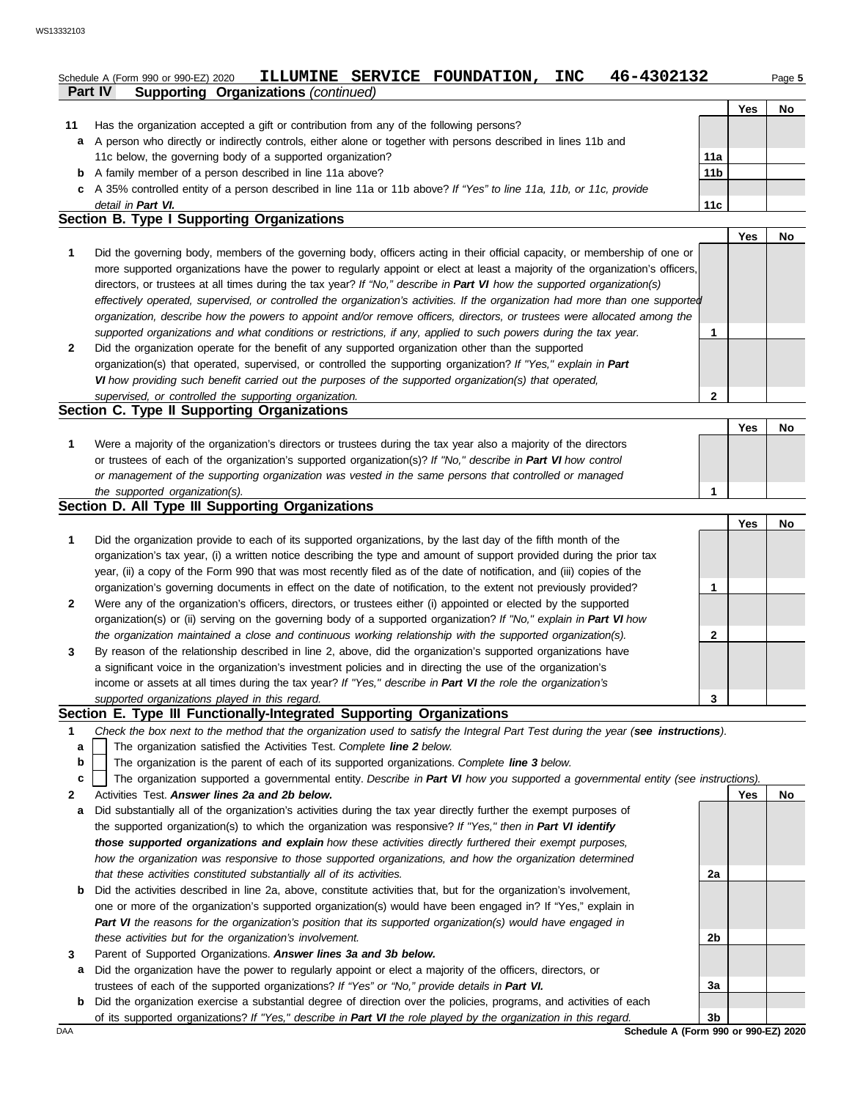## **Part IV Supporting Organizations** *(continued)* Schedule A (Form 990 or 990-EZ) 2020 **ILLUMINE SERVICE FOUNDATION, INC** 46-4302132 Page 5

|    |                                                                                                                      |                 | Yes | No |
|----|----------------------------------------------------------------------------------------------------------------------|-----------------|-----|----|
| 11 | Has the organization accepted a gift or contribution from any of the following persons?                              |                 |     |    |
| a  | A person who directly or indirectly controls, either alone or together with persons described in lines 11b and       |                 |     |    |
|    | 11c below, the governing body of a supported organization?                                                           | 11a             |     |    |
|    | <b>b</b> A family member of a person described in line 11a above?                                                    | 11 <sub>b</sub> |     |    |
|    | c A 35% controlled entity of a person described in line 11a or 11b above? If "Yes" to line 11a, 11b, or 11c, provide |                 |     |    |
|    | detail in Part VI.                                                                                                   | 11c             |     |    |

#### **Section B. Type I Supporting Organizations**

|                                                                                                                                |   | Yes | No |
|--------------------------------------------------------------------------------------------------------------------------------|---|-----|----|
| Did the governing body, members of the governing body, officers acting in their official capacity, or membership of one or     |   |     |    |
| more supported organizations have the power to regularly appoint or elect at least a majority of the organization's officers,  |   |     |    |
| directors, or trustees at all times during the tax year? If "No," describe in Part VI how the supported organization(s)        |   |     |    |
| effectively operated, supervised, or controlled the organization's activities. If the organization had more than one supported |   |     |    |
| organization, describe how the powers to appoint and/or remove officers, directors, or trustees were allocated among the       |   |     |    |
| supported organizations and what conditions or restrictions, if any, applied to such powers during the tax year.               |   |     |    |
| Did the organization operate for the benefit of any supported organization other than the supported                            |   |     |    |
| organization(s) that operated, supervised, or controlled the supporting organization? If "Yes," explain in Part                |   |     |    |
| VI how providing such benefit carried out the purposes of the supported organization(s) that operated,                         |   |     |    |
| supervised, or controlled the supporting organization.                                                                         | n |     |    |
| Section C. Type II Supporting Organizations                                                                                    |   |     |    |

| Were a majority of the organization's directors or trustees during the tax year also a majority of the directors |  |  |
|------------------------------------------------------------------------------------------------------------------|--|--|
| or trustees of each of the organization's supported organization(s)? If "No," describe in Part VI how control    |  |  |
| or management of the supporting organization was vested in the same persons that controlled or managed           |  |  |
| the supported organization(s).                                                                                   |  |  |

#### **Section D. All Type III Supporting Organizations**

|                |                                                                                                                        |   | Yes | Nc |
|----------------|------------------------------------------------------------------------------------------------------------------------|---|-----|----|
|                | Did the organization provide to each of its supported organizations, by the last day of the fifth month of the         |   |     |    |
|                | organization's tax year, (i) a written notice describing the type and amount of support provided during the prior tax  |   |     |    |
|                | year, (ii) a copy of the Form 990 that was most recently filed as of the date of notification, and (iii) copies of the |   |     |    |
|                | organization's governing documents in effect on the date of notification, to the extent not previously provided?       |   |     |    |
| $\overline{2}$ | Were any of the organization's officers, directors, or trustees either (i) appointed or elected by the supported       |   |     |    |
|                | organization(s) or (ii) serving on the governing body of a supported organization? If "No," explain in Part VI how     |   |     |    |
|                | the organization maintained a close and continuous working relationship with the supported organization(s).            | 2 |     |    |
| 3              | By reason of the relationship described in line 2, above, did the organization's supported organizations have          |   |     |    |
|                | a significant voice in the organization's investment policies and in directing the use of the organization's           |   |     |    |
|                | income or assets at all times during the tax year? If "Yes," describe in Part VI the role the organization's           |   |     |    |
|                | supported organizations played in this regard.                                                                         |   |     |    |

#### **Section E. Type III Functionally-Integrated Supporting Organizations**

- **1** *Check the box next to the method that the organization used to satisfy the Integral Part Test during the year (see instructions).*
	- The organization satisfied the Activities Test. *Complete line 2 below.* **a**
	- The organization is the parent of each of its supported organizations. *Complete line 3 below.* **b**
	- The organization supported a governmental entity. *Describe in Part VI how you supported a governmental entity (see instructions).* **c**
- **2** Activities Test. *Answer lines 2a and 2b below.*
- **a** Did substantially all of the organization's activities during the tax year directly further the exempt purposes of the supported organization(s) to which the organization was responsive? *If "Yes," then in Part VI identify those supported organizations and explain how these activities directly furthered their exempt purposes, how the organization was responsive to those supported organizations, and how the organization determined that these activities constituted substantially all of its activities.*
- **b** Did the activities described in line 2a, above, constitute activities that, but for the organization's involvement, one or more of the organization's supported organization(s) would have been engaged in? If "Yes," explain in *Part VI the reasons for the organization's position that its supported organization(s) would have engaged in these activities but for the organization's involvement.*
- **3** Parent of Supported Organizations. *Answer lines 3a and 3b below.*
	- **a** Did the organization have the power to regularly appoint or elect a majority of the officers, directors, or trustees of each of the supported organizations? *If "Yes" or "No," provide details in Part VI.*
- **b** Did the organization exercise a substantial degree of direction over the policies, programs, and activities of each of its supported organizations? *If "Yes," describe in Part VI the role played by the organization in this regard.*

**Yes No 2a 2b 3a 3b**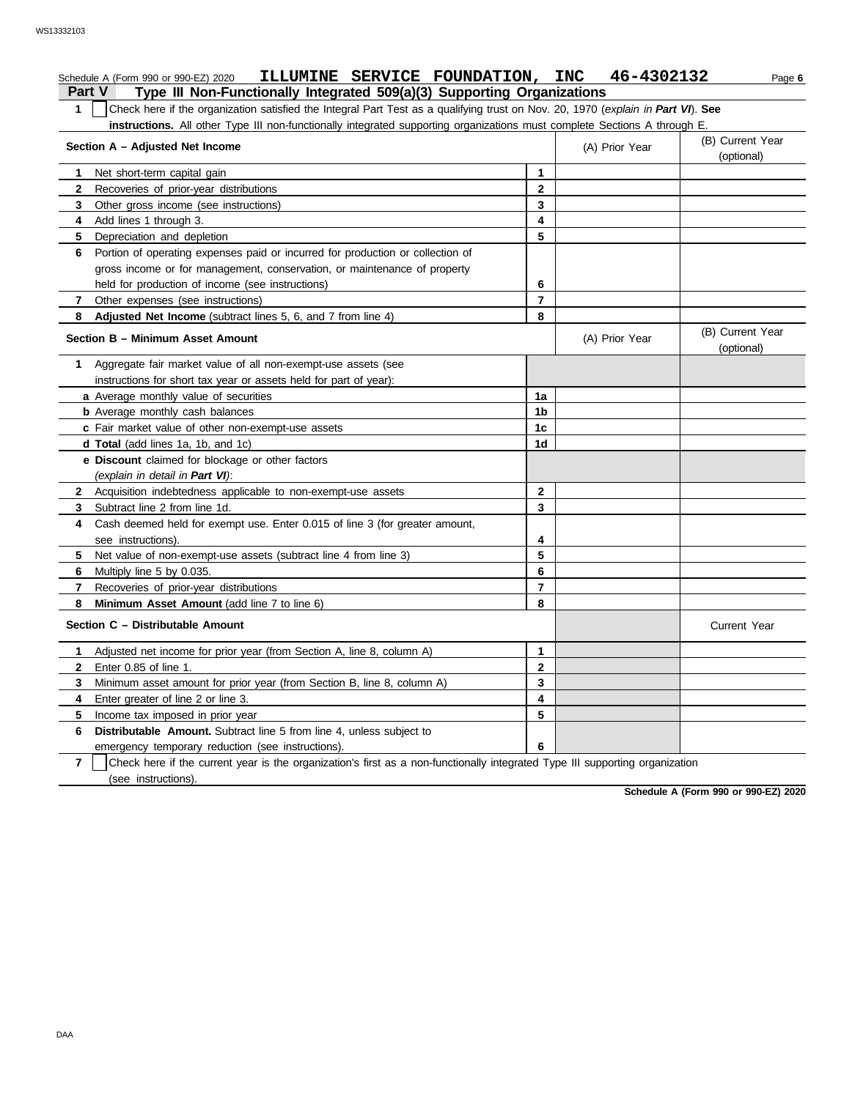|                | ILLUMINE SERVICE FOUNDATION, INC<br>Schedule A (Form 990 or 990-EZ) 2020                                                                                     |                | 46-4302132     | Page 6                         |
|----------------|--------------------------------------------------------------------------------------------------------------------------------------------------------------|----------------|----------------|--------------------------------|
|                | Type III Non-Functionally Integrated 509(a)(3) Supporting Organizations<br><b>Part V</b>                                                                     |                |                |                                |
| $\mathbf{1}$   | Check here if the organization satisfied the Integral Part Test as a qualifying trust on Nov. 20, 1970 (explain in Part VI). See                             |                |                |                                |
|                | instructions. All other Type III non-functionally integrated supporting organizations must complete Sections A through E.<br>Section A - Adjusted Net Income |                | (A) Prior Year | (B) Current Year<br>(optional) |
| 1              | Net short-term capital gain                                                                                                                                  | 1              |                |                                |
| $\mathbf{2}$   | Recoveries of prior-year distributions                                                                                                                       | $\overline{2}$ |                |                                |
| 3              | Other gross income (see instructions)                                                                                                                        | 3              |                |                                |
| 4              | Add lines 1 through 3.                                                                                                                                       | 4              |                |                                |
| 5              | Depreciation and depletion                                                                                                                                   | 5              |                |                                |
| 6              | Portion of operating expenses paid or incurred for production or collection of                                                                               |                |                |                                |
|                | gross income or for management, conservation, or maintenance of property                                                                                     |                |                |                                |
|                | held for production of income (see instructions)                                                                                                             | 6              |                |                                |
| 7              | Other expenses (see instructions)                                                                                                                            | $\overline{7}$ |                |                                |
| 8              | Adjusted Net Income (subtract lines 5, 6, and 7 from line 4)                                                                                                 | 8              |                |                                |
|                | Section B - Minimum Asset Amount                                                                                                                             |                | (A) Prior Year | (B) Current Year<br>(optional) |
| 1              | Aggregate fair market value of all non-exempt-use assets (see                                                                                                |                |                |                                |
|                | instructions for short tax year or assets held for part of year):                                                                                            |                |                |                                |
|                | a Average monthly value of securities                                                                                                                        | 1a             |                |                                |
|                | <b>b</b> Average monthly cash balances                                                                                                                       | 1 <sub>b</sub> |                |                                |
|                | c Fair market value of other non-exempt-use assets                                                                                                           | 1 <sub>c</sub> |                |                                |
|                | d Total (add lines 1a, 1b, and 1c)                                                                                                                           | 1d             |                |                                |
|                | e Discount claimed for blockage or other factors<br>(explain in detail in Part VI):                                                                          |                |                |                                |
|                | 2 Acquisition indebtedness applicable to non-exempt-use assets                                                                                               | $\mathbf{2}$   |                |                                |
| 3              | Subtract line 2 from line 1d.                                                                                                                                | 3              |                |                                |
| 4              | Cash deemed held for exempt use. Enter 0.015 of line 3 (for greater amount,<br>see instructions).                                                            | 4              |                |                                |
| 5.             | Net value of non-exempt-use assets (subtract line 4 from line 3)                                                                                             | 5              |                |                                |
| 6              | Multiply line 5 by 0.035.                                                                                                                                    | 6              |                |                                |
| 7              | Recoveries of prior-year distributions                                                                                                                       | $\overline{7}$ |                |                                |
| 8              | Minimum Asset Amount (add line 7 to line 6)                                                                                                                  | 8              |                |                                |
|                | Section C - Distributable Amount                                                                                                                             |                |                | <b>Current Year</b>            |
| 1              | Adjusted net income for prior year (from Section A, line 8, column A)                                                                                        | 1              |                |                                |
| 2              | Enter 0.85 of line 1.                                                                                                                                        | $\bf{2}$       |                |                                |
| 3              | Minimum asset amount for prior year (from Section B, line 8, column A)                                                                                       | 3              |                |                                |
| 4              | Enter greater of line 2 or line 3.                                                                                                                           | 4              |                |                                |
| 5              | Income tax imposed in prior year                                                                                                                             | 5              |                |                                |
| 6              | Distributable Amount. Subtract line 5 from line 4, unless subject to                                                                                         |                |                |                                |
|                | emergency temporary reduction (see instructions).                                                                                                            | 6              |                |                                |
| $\overline{7}$ | Check here if the current year is the organization's first as a non-functionally integrated Type III supporting organization                                 |                |                |                                |
|                | (see instructions).                                                                                                                                          |                |                |                                |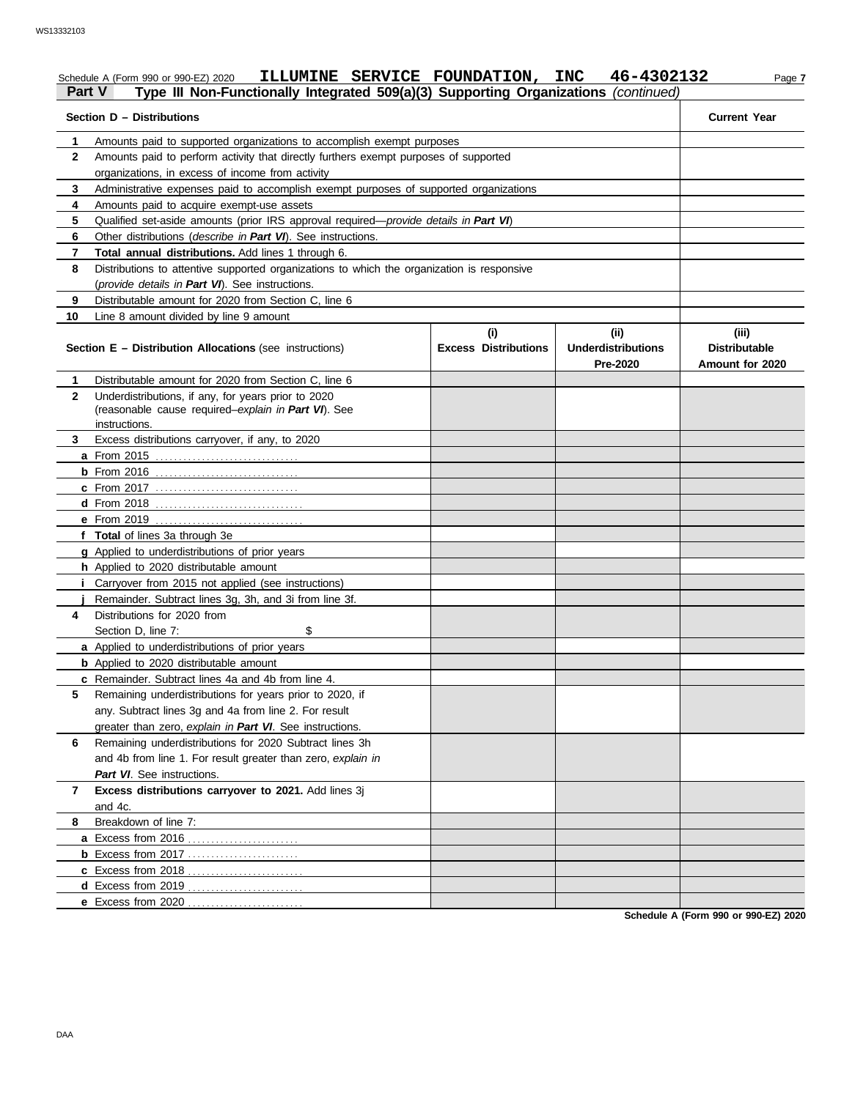## Schedule A (Form 990 or 990-EZ) 2020 **ILLUMINE SERVICE FOUNDATION, INC** 46-4302132 Page 7 **Part V Type III Non-Functionally Integrated 509(a)(3) Supporting Organizations** *(continued)*

|              | Section D - Distributions                                                                     |                             |                           | <b>Current Year</b>                  |
|--------------|-----------------------------------------------------------------------------------------------|-----------------------------|---------------------------|--------------------------------------|
| 1            | Amounts paid to supported organizations to accomplish exempt purposes                         |                             |                           |                                      |
| $\mathbf{2}$ | Amounts paid to perform activity that directly furthers exempt purposes of supported          |                             |                           |                                      |
|              | organizations, in excess of income from activity                                              |                             |                           |                                      |
| 3            | Administrative expenses paid to accomplish exempt purposes of supported organizations         |                             |                           |                                      |
| 4            | Amounts paid to acquire exempt-use assets                                                     |                             |                           |                                      |
| 5            | Qualified set-aside amounts (prior IRS approval required— <i>provide details in Part VI</i> ) |                             |                           |                                      |
| 6            | Other distributions (describe in Part VI). See instructions.                                  |                             |                           |                                      |
| 7            | Total annual distributions. Add lines 1 through 6.                                            |                             |                           |                                      |
| 8            | Distributions to attentive supported organizations to which the organization is responsive    |                             |                           |                                      |
|              | (provide details in Part VI). See instructions.                                               |                             |                           |                                      |
| 9            | Distributable amount for 2020 from Section C, line 6                                          |                             |                           |                                      |
| 10           | Line 8 amount divided by line 9 amount                                                        |                             |                           |                                      |
|              |                                                                                               | (i)                         | (ii)                      | (iii)                                |
|              | <b>Section E – Distribution Allocations (see instructions)</b>                                | <b>Excess Distributions</b> | <b>Underdistributions</b> | <b>Distributable</b>                 |
|              |                                                                                               |                             | Pre-2020                  | Amount for 2020                      |
| 1            | Distributable amount for 2020 from Section C, line 6                                          |                             |                           |                                      |
| $\mathbf{2}$ | Underdistributions, if any, for years prior to 2020                                           |                             |                           |                                      |
|              | (reasonable cause required-explain in Part VI). See                                           |                             |                           |                                      |
|              | instructions.                                                                                 |                             |                           |                                      |
| 3.           | Excess distributions carryover, if any, to 2020                                               |                             |                           |                                      |
|              |                                                                                               |                             |                           |                                      |
|              |                                                                                               |                             |                           |                                      |
|              |                                                                                               |                             |                           |                                      |
|              |                                                                                               |                             |                           |                                      |
|              | e From 2019                                                                                   |                             |                           |                                      |
|              | f Total of lines 3a through 3e                                                                |                             |                           |                                      |
|              | g Applied to underdistributions of prior years                                                |                             |                           |                                      |
|              | h Applied to 2020 distributable amount                                                        |                             |                           |                                      |
|              | <i>i</i> Carryover from 2015 not applied (see instructions)                                   |                             |                           |                                      |
|              | Remainder. Subtract lines 3g, 3h, and 3i from line 3f.                                        |                             |                           |                                      |
| 4            | Distributions for 2020 from                                                                   |                             |                           |                                      |
|              | \$<br>Section D. line 7:                                                                      |                             |                           |                                      |
|              | a Applied to underdistributions of prior years                                                |                             |                           |                                      |
|              | <b>b</b> Applied to 2020 distributable amount                                                 |                             |                           |                                      |
|              | c Remainder. Subtract lines 4a and 4b from line 4.                                            |                             |                           |                                      |
|              | Remaining underdistributions for years prior to 2020, if                                      |                             |                           |                                      |
|              | any. Subtract lines 3g and 4a from line 2. For result                                         |                             |                           |                                      |
|              | greater than zero, explain in Part VI. See instructions.                                      |                             |                           |                                      |
| 6            | Remaining underdistributions for 2020 Subtract lines 3h                                       |                             |                           |                                      |
|              | and 4b from line 1. For result greater than zero, explain in                                  |                             |                           |                                      |
|              | Part VI. See instructions.                                                                    |                             |                           |                                      |
| 7            | Excess distributions carryover to 2021. Add lines 3j                                          |                             |                           |                                      |
|              | and 4c.                                                                                       |                             |                           |                                      |
| 8            | Breakdown of line 7:                                                                          |                             |                           |                                      |
|              |                                                                                               |                             |                           |                                      |
|              | <b>b</b> Excess from 2017                                                                     |                             |                           |                                      |
|              |                                                                                               |                             |                           |                                      |
|              |                                                                                               |                             |                           |                                      |
|              | e Excess from 2020                                                                            |                             |                           | Schodule A (Form 000 or 000 EZ) 2020 |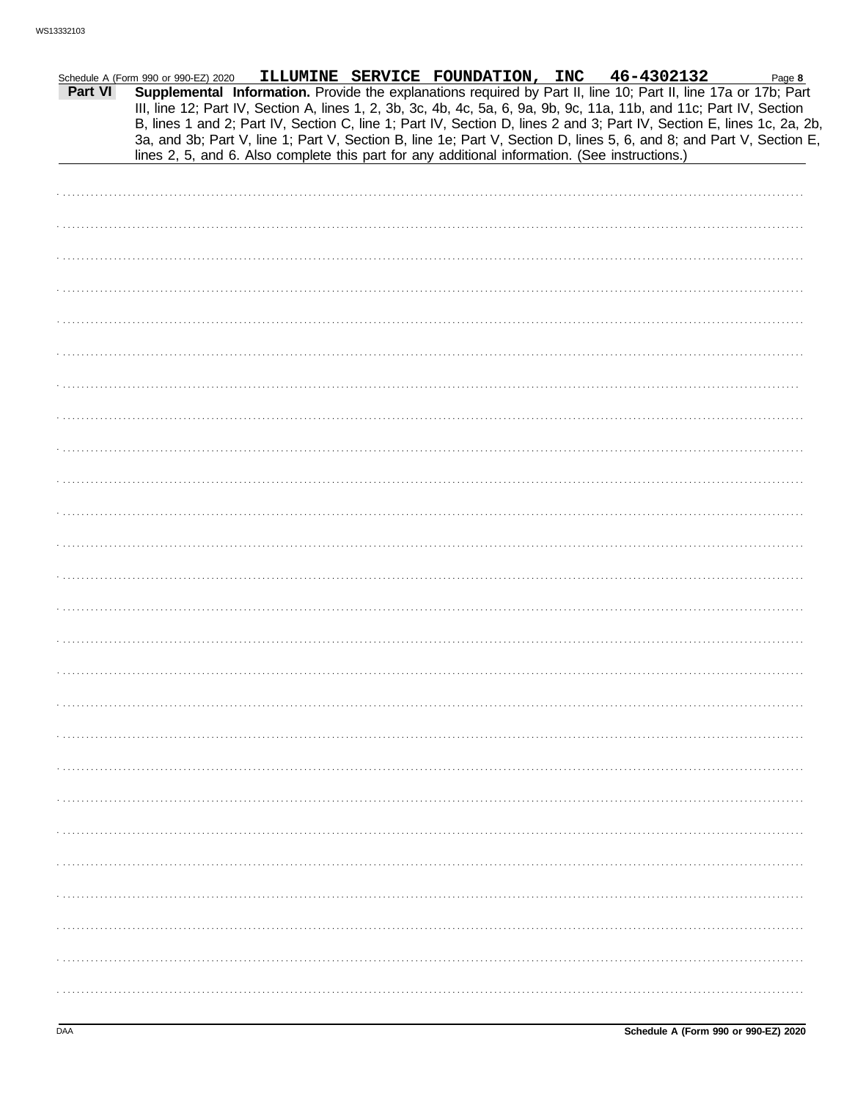|         | Schedule A (Form 990 or 990-EZ) 2020                                                                                                                                                                                                                                                                                                             |  |  |  |  |  |  |
|---------|--------------------------------------------------------------------------------------------------------------------------------------------------------------------------------------------------------------------------------------------------------------------------------------------------------------------------------------------------|--|--|--|--|--|--|
| Part VI | m 990 or 990-EZ) 2020 <b>ILLUMINE SERVICE FOUNDATION, INC</b> $46-4302132$ Page 8<br><b>Supplemental Information.</b> Provide the explanations required by Part II, line 10; Part II, line 17a or 17b; Part<br>III, line 12; Part IV, Section A, lines 1, 2, 3b, 3c, 4b, 4c, 5a, 6, 9a, 9b, 9c, 11a, 11b, and 11c; Part IV, Section              |  |  |  |  |  |  |
|         | B, lines 1 and 2; Part IV, Section C, line 1; Part IV, Section D, lines 2 and 3; Part IV, Section E, lines 1c, 2a, 2b,<br>3a, and 3b; Part V, line 1; Part V, Section B, line 1e; Part V, Section D, lines 5, 6, and 8; and Part V, Section E,<br>lines 2, 5, and 6. Also complete this part for any additional information. (See instructions.) |  |  |  |  |  |  |
|         |                                                                                                                                                                                                                                                                                                                                                  |  |  |  |  |  |  |
|         |                                                                                                                                                                                                                                                                                                                                                  |  |  |  |  |  |  |
|         |                                                                                                                                                                                                                                                                                                                                                  |  |  |  |  |  |  |
|         |                                                                                                                                                                                                                                                                                                                                                  |  |  |  |  |  |  |
|         |                                                                                                                                                                                                                                                                                                                                                  |  |  |  |  |  |  |
|         |                                                                                                                                                                                                                                                                                                                                                  |  |  |  |  |  |  |
|         |                                                                                                                                                                                                                                                                                                                                                  |  |  |  |  |  |  |
|         |                                                                                                                                                                                                                                                                                                                                                  |  |  |  |  |  |  |
|         |                                                                                                                                                                                                                                                                                                                                                  |  |  |  |  |  |  |
|         |                                                                                                                                                                                                                                                                                                                                                  |  |  |  |  |  |  |
|         |                                                                                                                                                                                                                                                                                                                                                  |  |  |  |  |  |  |
|         |                                                                                                                                                                                                                                                                                                                                                  |  |  |  |  |  |  |
|         |                                                                                                                                                                                                                                                                                                                                                  |  |  |  |  |  |  |
|         |                                                                                                                                                                                                                                                                                                                                                  |  |  |  |  |  |  |
|         |                                                                                                                                                                                                                                                                                                                                                  |  |  |  |  |  |  |
|         |                                                                                                                                                                                                                                                                                                                                                  |  |  |  |  |  |  |
|         |                                                                                                                                                                                                                                                                                                                                                  |  |  |  |  |  |  |
|         |                                                                                                                                                                                                                                                                                                                                                  |  |  |  |  |  |  |
|         |                                                                                                                                                                                                                                                                                                                                                  |  |  |  |  |  |  |
|         |                                                                                                                                                                                                                                                                                                                                                  |  |  |  |  |  |  |
|         |                                                                                                                                                                                                                                                                                                                                                  |  |  |  |  |  |  |
|         |                                                                                                                                                                                                                                                                                                                                                  |  |  |  |  |  |  |
|         |                                                                                                                                                                                                                                                                                                                                                  |  |  |  |  |  |  |
|         |                                                                                                                                                                                                                                                                                                                                                  |  |  |  |  |  |  |
|         |                                                                                                                                                                                                                                                                                                                                                  |  |  |  |  |  |  |
|         |                                                                                                                                                                                                                                                                                                                                                  |  |  |  |  |  |  |
|         |                                                                                                                                                                                                                                                                                                                                                  |  |  |  |  |  |  |
|         |                                                                                                                                                                                                                                                                                                                                                  |  |  |  |  |  |  |
|         |                                                                                                                                                                                                                                                                                                                                                  |  |  |  |  |  |  |
|         |                                                                                                                                                                                                                                                                                                                                                  |  |  |  |  |  |  |
|         |                                                                                                                                                                                                                                                                                                                                                  |  |  |  |  |  |  |
|         |                                                                                                                                                                                                                                                                                                                                                  |  |  |  |  |  |  |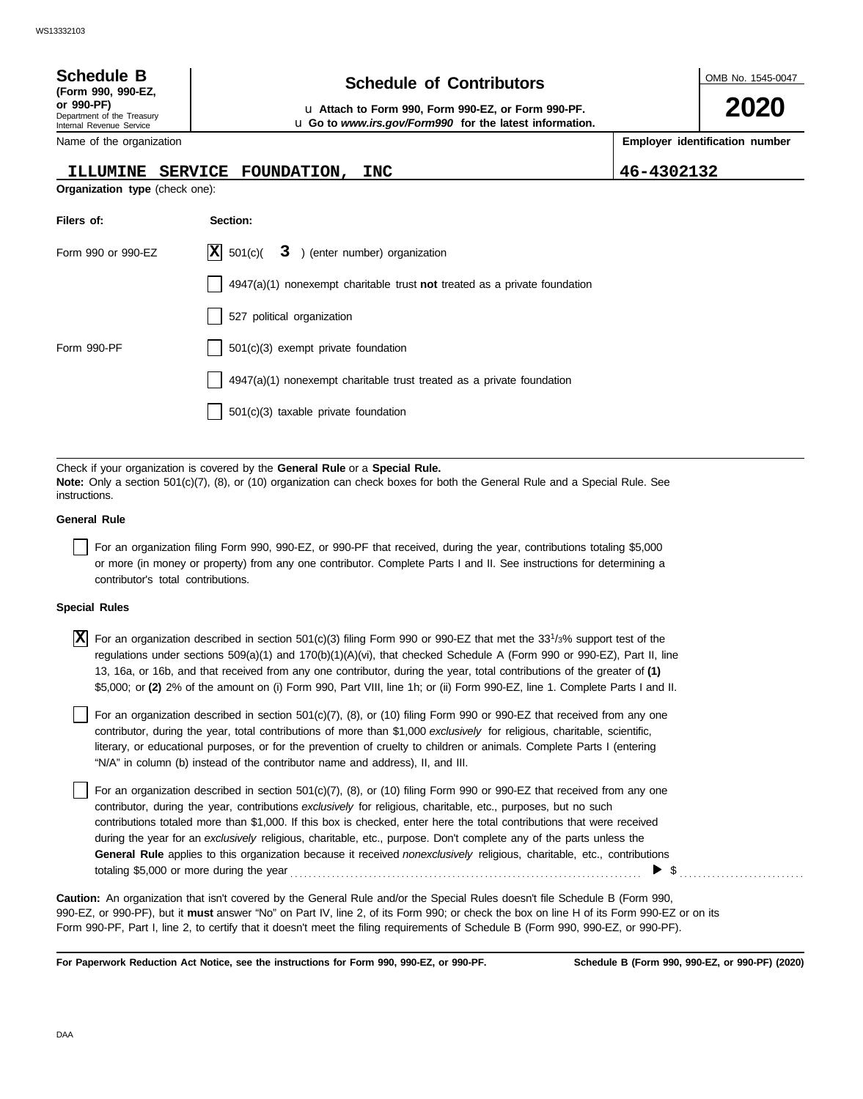| <b>Schedule B</b><br>(Form 990, 990-EZ,<br>or 990-PF)<br>Department of the Treasury<br>Internal Revenue Service | <b>Schedule of Contributors</b><br>u Attach to Form 990, Form 990-EZ, or Form 990-PF.<br><b>u</b> Go to <i>www.irs.gov/Form990</i> for the latest information. |            | OMB No. 1545-0047<br>2020      |
|-----------------------------------------------------------------------------------------------------------------|----------------------------------------------------------------------------------------------------------------------------------------------------------------|------------|--------------------------------|
| Name of the organization<br>ILLUMINE<br><b>Organization type (check one):</b>                                   | <b>SERVICE</b><br><b>FOUNDATION,</b><br><b>INC</b>                                                                                                             | 46-4302132 | Employer identification number |
| Filers of:                                                                                                      | Section:                                                                                                                                                       |            |                                |
| Form 990 or 990-EZ                                                                                              | $ \mathbf{X} $<br>501(c)(<br>3.<br>(enter number) organization                                                                                                 |            |                                |
|                                                                                                                 | $4947(a)(1)$ nonexempt charitable trust <b>not</b> treated as a private foundation                                                                             |            |                                |
|                                                                                                                 | 527 political organization                                                                                                                                     |            |                                |
| Form 990-PF                                                                                                     | 501(c)(3) exempt private foundation                                                                                                                            |            |                                |

501(c)(3) taxable private foundation

Check if your organization is covered by the **General Rule** or a **Special Rule. Note:** Only a section 501(c)(7), (8), or (10) organization can check boxes for both the General Rule and a Special Rule. See instructions.

4947(a)(1) nonexempt charitable trust treated as a private foundation

#### **General Rule**

For an organization filing Form 990, 990-EZ, or 990-PF that received, during the year, contributions totaling \$5,000 or more (in money or property) from any one contributor. Complete Parts I and II. See instructions for determining a contributor's total contributions.

#### **Special Rules**

 $\overline{X}$  For an organization described in section 501(c)(3) filing Form 990 or 990-EZ that met the 33<sup>1</sup>/3% support test of the regulations under sections 509(a)(1) and 170(b)(1)(A)(vi), that checked Schedule A (Form 990 or 990-EZ), Part II, line 13, 16a, or 16b, and that received from any one contributor, during the year, total contributions of the greater of **(1)** \$5,000; or **(2)** 2% of the amount on (i) Form 990, Part VIII, line 1h; or (ii) Form 990-EZ, line 1. Complete Parts I and II.

literary, or educational purposes, or for the prevention of cruelty to children or animals. Complete Parts I (entering For an organization described in section 501(c)(7), (8), or (10) filing Form 990 or 990-EZ that received from any one contributor, during the year, total contributions of more than \$1,000 *exclusively* for religious, charitable, scientific, "N/A" in column (b) instead of the contributor name and address), II, and III.

For an organization described in section 501(c)(7), (8), or (10) filing Form 990 or 990-EZ that received from any one contributor, during the year, contributions *exclusively* for religious, charitable, etc., purposes, but no such contributions totaled more than \$1,000. If this box is checked, enter here the total contributions that were received during the year for an *exclusively* religious, charitable, etc., purpose. Don't complete any of the parts unless the **General Rule** applies to this organization because it received *nonexclusively* religious, charitable, etc., contributions totaling \$5,000 or more during the year . . . . . . . . . . . . . . . . . . . . . . . . . . . . . . . . . . . . . . . . . . . . . . . . . . . . . . . . . . . . . . . . . . . . . . . . . . . . \$ . . . . . . . . . . . . . . . . . . . . . . . . . . .

990-EZ, or 990-PF), but it **must** answer "No" on Part IV, line 2, of its Form 990; or check the box on line H of its Form 990-EZ or on its Form 990-PF, Part I, line 2, to certify that it doesn't meet the filing requirements of Schedule B (Form 990, 990-EZ, or 990-PF). **Caution:** An organization that isn't covered by the General Rule and/or the Special Rules doesn't file Schedule B (Form 990,

**For Paperwork Reduction Act Notice, see the instructions for Form 990, 990-EZ, or 990-PF.**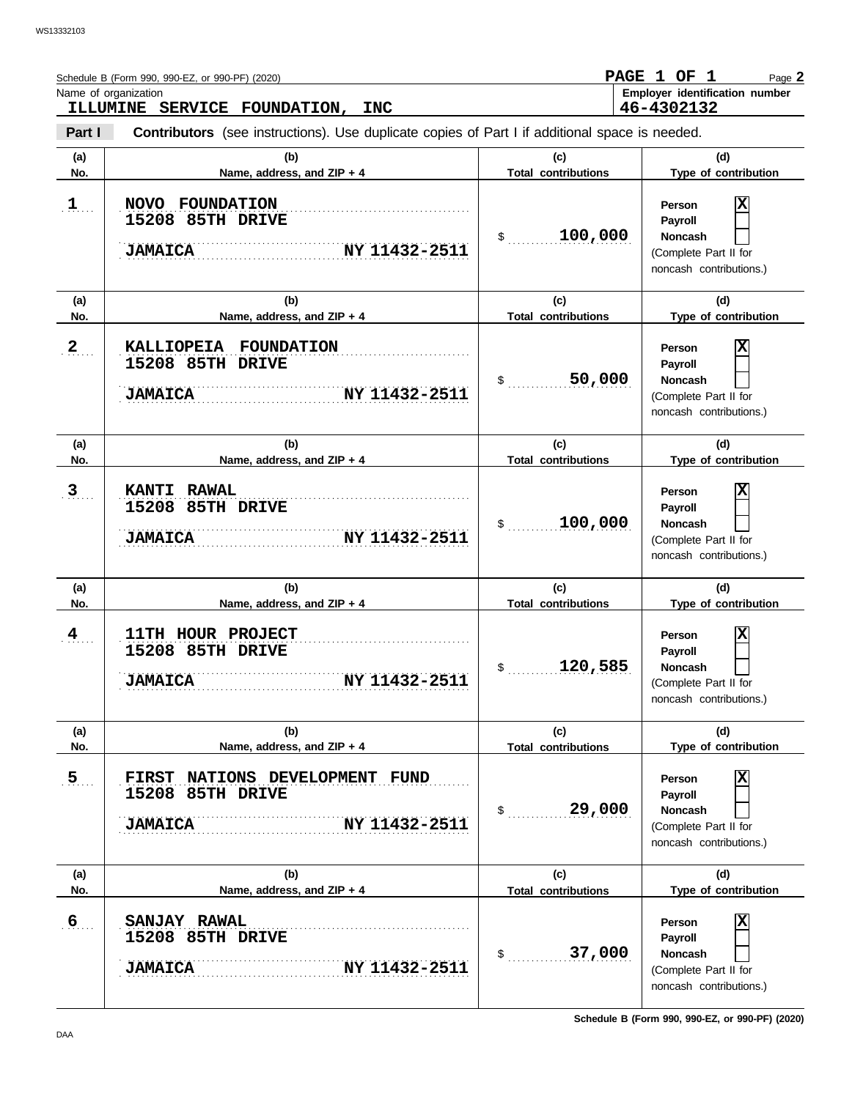|                | Schedule B (Form 990, 990-EZ, or 990-PF) (2020)<br>Name of organization<br>ILLUMINE SERVICE FOUNDATION,<br><b>INC</b> |                                   | PAGE 1 OF 1<br>Page 2<br>Employer identification number<br>46-4302132                                |
|----------------|-----------------------------------------------------------------------------------------------------------------------|-----------------------------------|------------------------------------------------------------------------------------------------------|
| Part I         | <b>Contributors</b> (see instructions). Use duplicate copies of Part I if additional space is needed.                 |                                   |                                                                                                      |
| (a)<br>No.     | (b)<br>Name, address, and ZIP + 4                                                                                     | (c)<br><b>Total contributions</b> | (d)<br>Type of contribution                                                                          |
| $1$            | NOVO FOUNDATION<br><b>15208 85TH DRIVE</b><br>NY 11432-2511<br><b>JAMAICA</b>                                         | 100,000<br>$\mathsf{\$}$          | X<br>Person<br>Payroll<br><b>Noncash</b><br>(Complete Part II for<br>noncash contributions.)         |
| (a)<br>No.     | (b)<br>Name, address, and ZIP + 4                                                                                     | (c)<br><b>Total contributions</b> | (d)<br>Type of contribution                                                                          |
| 2              | KALLIOPEIA FOUNDATION<br><b>15208 85TH DRIVE</b><br>NY 11432-2511<br><b>JAMAICA</b>                                   | 50,000<br>$\mathsf{S}$            | X<br>Person<br>Payroll<br>Noncash<br>(Complete Part II for<br>noncash contributions.)                |
| (a)<br>No.     | (b)<br>Name, address, and ZIP + 4                                                                                     | (c)<br><b>Total contributions</b> | (d)<br>Type of contribution                                                                          |
| 3              | KANTI RAWAL<br><b>15208 85TH DRIVE</b><br>NY 11432-2511<br><b>JAMAICA</b>                                             | 100,000<br>$\frac{1}{2}$          | X<br>Person<br>Payroll<br><b>Noncash</b><br>(Complete Part II for<br>noncash contributions.)         |
| (a)<br>No.     | (b)<br>Name, address, and ZIP + 4                                                                                     | (c)<br><b>Total contributions</b> | (d)<br>Type of contribution                                                                          |
| $4$            | <b>11TH HOUR PROJECT</b><br>15208<br>85TH DRIVE<br>NY 11432-2511<br><b>JAMAICA</b>                                    | 120,585<br>\$                     | ΙX<br>Person<br><b>Payroll</b><br><b>Noncash</b><br>(Complete Part II for<br>noncash contributions.) |
| (a)<br>No.     | (b)<br>Name, address, and ZIP + 4                                                                                     | (c)<br><b>Total contributions</b> | (d)<br>Type of contribution                                                                          |
| $5$            | <b>NATIONS DEVELOPMENT</b><br><b>FIRST</b><br>FUND<br><b>15208 85TH DRIVE</b><br>NY 11432-2511<br><b>JAMAICA</b>      | 29,000<br>\$                      | Person<br>Payroll<br>Noncash<br>(Complete Part II for<br>noncash contributions.)                     |
| (a)<br>No.     | (b)<br>Name, address, and ZIP + 4                                                                                     | (c)<br><b>Total contributions</b> | (d)<br>Type of contribution                                                                          |
| $\overline{6}$ | SANJAY RAWAL<br><b>15208 85TH DRIVE</b><br>NY 11432-2511<br><b>JAMAICA</b>                                            | 37,000<br>\$                      | X<br>Person<br>Payroll<br>Noncash<br>(Complete Part II for<br>noncash contributions.)                |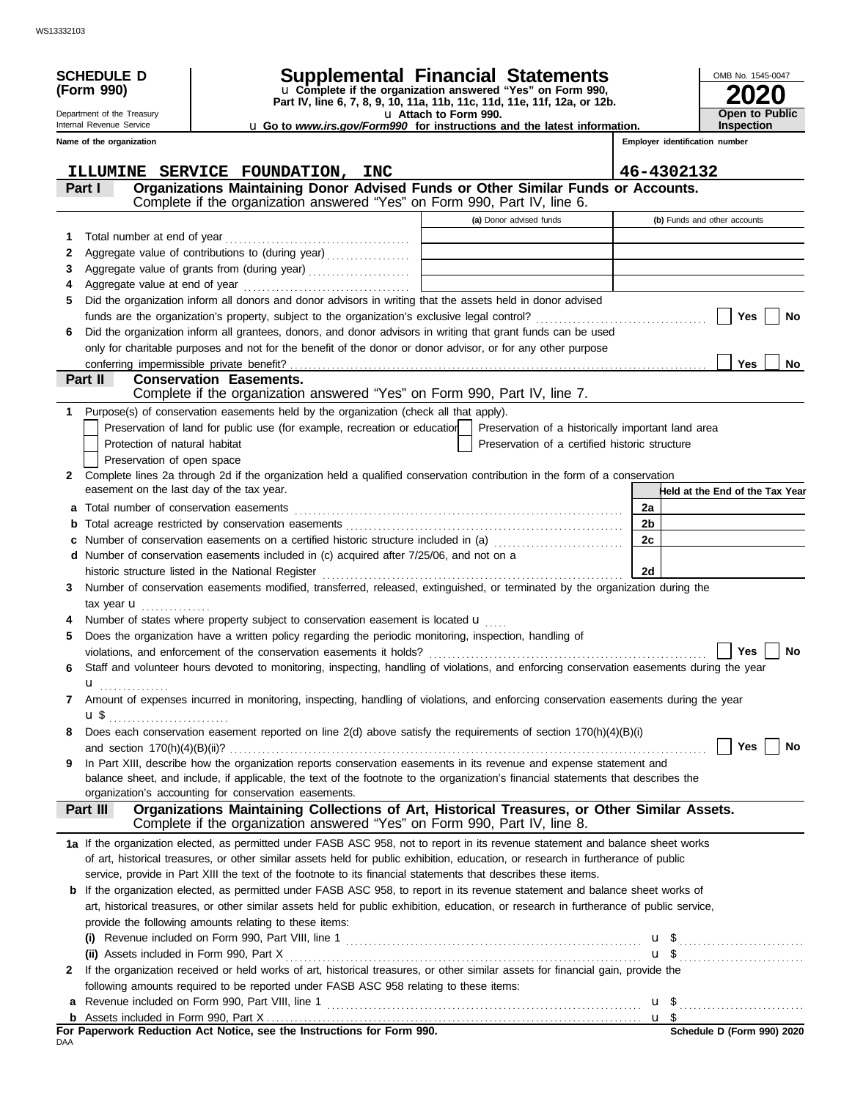|              | <b>SCHEDULE D</b>                         |                                                                                                                                               | Supplemental Financial Statements                                                                    |                | OMB No. 1545-0047               |
|--------------|-------------------------------------------|-----------------------------------------------------------------------------------------------------------------------------------------------|------------------------------------------------------------------------------------------------------|----------------|---------------------------------|
|              | (Form 990)                                |                                                                                                                                               | u Complete if the organization answered "Yes" on Form 990,                                           |                |                                 |
|              | Department of the Treasury                |                                                                                                                                               | Part IV, line 6, 7, 8, 9, 10, 11a, 11b, 11c, 11d, 11e, 11f, 12a, or 12b.<br>u Attach to Form 990.    |                | <b>Open to Public</b>           |
|              | Internal Revenue Service                  |                                                                                                                                               | <b>u</b> Go to www.irs.gov/Form990 for instructions and the latest information.                      |                | <b>Inspection</b>               |
|              | Name of the organization                  |                                                                                                                                               |                                                                                                      |                | Employer identification number  |
|              |                                           |                                                                                                                                               |                                                                                                      |                |                                 |
|              | Part I                                    | ILLUMINE SERVICE FOUNDATION, INC<br>Organizations Maintaining Donor Advised Funds or Other Similar Funds or Accounts.                         |                                                                                                      |                | 46-4302132                      |
|              |                                           | Complete if the organization answered "Yes" on Form 990, Part IV, line 6.                                                                     |                                                                                                      |                |                                 |
|              |                                           |                                                                                                                                               | (a) Donor advised funds                                                                              |                | (b) Funds and other accounts    |
| 1            |                                           |                                                                                                                                               |                                                                                                      |                |                                 |
| 2            |                                           |                                                                                                                                               |                                                                                                      |                |                                 |
| 3            |                                           |                                                                                                                                               | the control of the control of the control of the control of                                          |                |                                 |
| 4            |                                           |                                                                                                                                               |                                                                                                      |                |                                 |
| 5            |                                           | Did the organization inform all donors and donor advisors in writing that the assets held in donor advised                                    |                                                                                                      |                |                                 |
|              |                                           | funds are the organization's property, subject to the organization's exclusive legal control?                                                 |                                                                                                      |                | Yes<br><b>No</b>                |
| 6            |                                           | Did the organization inform all grantees, donors, and donor advisors in writing that grant funds can be used                                  |                                                                                                      |                |                                 |
|              |                                           | only for charitable purposes and not for the benefit of the donor or donor advisor, or for any other purpose                                  |                                                                                                      |                |                                 |
|              | conferring impermissible private benefit? |                                                                                                                                               |                                                                                                      |                | <b>Yes</b><br>No                |
|              | Part II                                   | <b>Conservation Easements.</b><br>Complete if the organization answered "Yes" on Form 990, Part IV, line 7.                                   |                                                                                                      |                |                                 |
|              |                                           |                                                                                                                                               |                                                                                                      |                |                                 |
|              |                                           | Purpose(s) of conservation easements held by the organization (check all that apply).                                                         |                                                                                                      |                |                                 |
|              | Protection of natural habitat             | Preservation of land for public use (for example, recreation or education                                                                     | Preservation of a historically important land area<br>Preservation of a certified historic structure |                |                                 |
|              | Preservation of open space                |                                                                                                                                               |                                                                                                      |                |                                 |
| 2            |                                           | Complete lines 2a through 2d if the organization held a qualified conservation contribution in the form of a conservation                     |                                                                                                      |                |                                 |
|              | easement on the last day of the tax year. |                                                                                                                                               |                                                                                                      |                | Held at the End of the Tax Year |
| a            | Total number of conservation easements    |                                                                                                                                               |                                                                                                      | 2a             |                                 |
|              |                                           |                                                                                                                                               |                                                                                                      | 2 <sub>b</sub> |                                 |
|              |                                           | Number of conservation easements on a certified historic structure included in (a)                                                            |                                                                                                      | 2c             |                                 |
|              |                                           | d Number of conservation easements included in (c) acquired after 7/25/06, and not on a                                                       |                                                                                                      |                |                                 |
|              |                                           | historic structure listed in the National Register                                                                                            |                                                                                                      | 2d             |                                 |
| 3            |                                           | Number of conservation easements modified, transferred, released, extinguished, or terminated by the organization during the                  |                                                                                                      |                |                                 |
|              | tax year <b>u</b>                         |                                                                                                                                               |                                                                                                      |                |                                 |
|              |                                           | Number of states where property subject to conservation easement is located u                                                                 |                                                                                                      |                |                                 |
|              |                                           | Does the organization have a written policy regarding the periodic monitoring, inspection, handling of                                        |                                                                                                      |                |                                 |
|              |                                           |                                                                                                                                               |                                                                                                      |                |                                 |
|              |                                           | Staff and volunteer hours devoted to monitoring, inspecting, handling of violations, and enforcing conservation easements during the year     |                                                                                                      |                |                                 |
|              | u<br>.                                    |                                                                                                                                               |                                                                                                      |                |                                 |
| 7            |                                           | Amount of expenses incurred in monitoring, inspecting, handling of violations, and enforcing conservation easements during the year           |                                                                                                      |                |                                 |
|              |                                           |                                                                                                                                               |                                                                                                      |                |                                 |
| 8            |                                           | Does each conservation easement reported on line 2(d) above satisfy the requirements of section 170(h)(4)(B)(i)                               |                                                                                                      |                | Yes<br>No                       |
| 9            |                                           | In Part XIII, describe how the organization reports conservation easements in its revenue and expense statement and                           |                                                                                                      |                |                                 |
|              |                                           | balance sheet, and include, if applicable, the text of the footnote to the organization's financial statements that describes the             |                                                                                                      |                |                                 |
|              |                                           | organization's accounting for conservation easements.                                                                                         |                                                                                                      |                |                                 |
|              | Part III                                  | Organizations Maintaining Collections of Art, Historical Treasures, or Other Similar Assets.                                                  |                                                                                                      |                |                                 |
|              |                                           | Complete if the organization answered "Yes" on Form 990, Part IV, line 8.                                                                     |                                                                                                      |                |                                 |
|              |                                           | 1a If the organization elected, as permitted under FASB ASC 958, not to report in its revenue statement and balance sheet works               |                                                                                                      |                |                                 |
|              |                                           | of art, historical treasures, or other similar assets held for public exhibition, education, or research in furtherance of public             |                                                                                                      |                |                                 |
|              |                                           | service, provide in Part XIII the text of the footnote to its financial statements that describes these items.                                |                                                                                                      |                |                                 |
| b            |                                           | If the organization elected, as permitted under FASB ASC 958, to report in its revenue statement and balance sheet works of                   |                                                                                                      |                |                                 |
|              |                                           | art, historical treasures, or other similar assets held for public exhibition, education, or research in furtherance of public service,       |                                                                                                      |                |                                 |
|              |                                           | provide the following amounts relating to these items:                                                                                        |                                                                                                      |                |                                 |
|              |                                           | (i) Revenue included on Form 990, Part VIII, line 1 $\ldots$ $\ldots$ $\ldots$ $\ldots$ $\ldots$ $\ldots$ $\ldots$ $\ldots$ $\ldots$ $\ldots$ |                                                                                                      |                |                                 |
|              |                                           | If the organization received or held works of art, historical treasures, or other similar assets for financial gain, provide the              |                                                                                                      |                | $\mathbf{u}$ \$                 |
| $\mathbf{2}$ |                                           | following amounts required to be reported under FASB ASC 958 relating to these items:                                                         |                                                                                                      |                |                                 |
| a            |                                           | Revenue included on Form 990, Part VIII, line 1                                                                                               |                                                                                                      |                |                                 |
| b            |                                           |                                                                                                                                               |                                                                                                      |                |                                 |
|              |                                           | For Paperwork Reduction Act Notice, see the Instructions for Form 990.                                                                        |                                                                                                      |                | Schedule D (Form 990) 2020      |
| DAA          |                                           |                                                                                                                                               |                                                                                                      |                |                                 |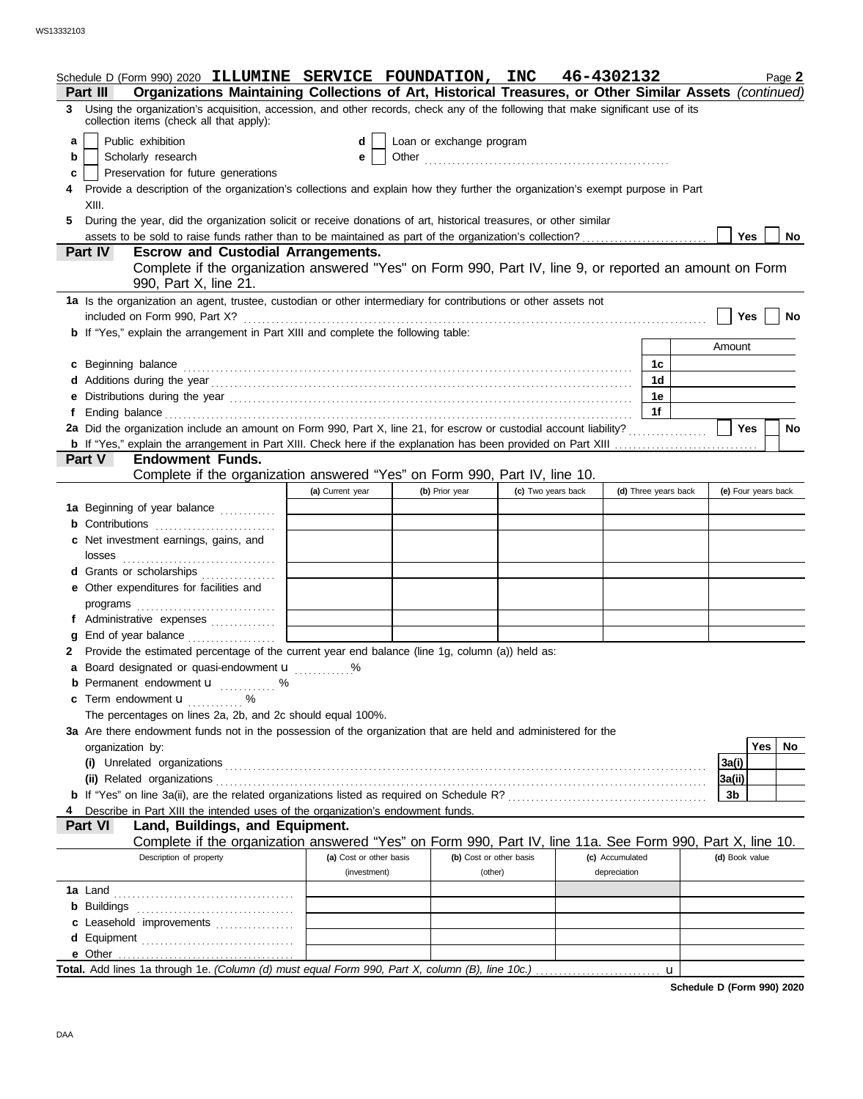|    | Schedule D (Form 990) 2020 ILLUMINE SERVICE FOUNDATION, INC $46-4302132$<br>Part III                                                                                                                                                         |                                         |                                    |                    |                                 |                      |                     |            | Page 2    |
|----|----------------------------------------------------------------------------------------------------------------------------------------------------------------------------------------------------------------------------------------------|-----------------------------------------|------------------------------------|--------------------|---------------------------------|----------------------|---------------------|------------|-----------|
|    | Organizations Maintaining Collections of Art, Historical Treasures, or Other Similar Assets (continued)<br>3 Using the organization's acquisition, accession, and other records, check any of the following that make significant use of its |                                         |                                    |                    |                                 |                      |                     |            |           |
|    | collection items (check all that apply):                                                                                                                                                                                                     |                                         |                                    |                    |                                 |                      |                     |            |           |
| a  | Public exhibition                                                                                                                                                                                                                            | d                                       | Loan or exchange program           |                    |                                 |                      |                     |            |           |
| b  | Scholarly research                                                                                                                                                                                                                           | е                                       |                                    |                    |                                 |                      |                     |            |           |
| c  | Preservation for future generations                                                                                                                                                                                                          |                                         |                                    |                    |                                 |                      |                     |            |           |
| 4  | Provide a description of the organization's collections and explain how they further the organization's exempt purpose in Part                                                                                                               |                                         |                                    |                    |                                 |                      |                     |            |           |
| 5. | XIII.<br>During the year, did the organization solicit or receive donations of art, historical treasures, or other similar                                                                                                                   |                                         |                                    |                    |                                 |                      |                     |            |           |
|    |                                                                                                                                                                                                                                              |                                         |                                    |                    |                                 |                      | Yes                 |            | No        |
|    | Part IV<br><b>Escrow and Custodial Arrangements.</b>                                                                                                                                                                                         |                                         |                                    |                    |                                 |                      |                     |            |           |
|    | Complete if the organization answered "Yes" on Form 990, Part IV, line 9, or reported an amount on Form                                                                                                                                      |                                         |                                    |                    |                                 |                      |                     |            |           |
|    | 990, Part X, line 21.                                                                                                                                                                                                                        |                                         |                                    |                    |                                 |                      |                     |            |           |
|    | 1a Is the organization an agent, trustee, custodian or other intermediary for contributions or other assets not                                                                                                                              |                                         |                                    |                    |                                 |                      |                     |            |           |
|    | included on Form 990, Part X?                                                                                                                                                                                                                |                                         |                                    |                    |                                 |                      | <b>Yes</b>          |            | No        |
|    | <b>b</b> If "Yes," explain the arrangement in Part XIII and complete the following table:                                                                                                                                                    |                                         |                                    |                    |                                 |                      |                     |            |           |
|    |                                                                                                                                                                                                                                              |                                         |                                    |                    |                                 |                      | Amount              |            |           |
| c  | Beginning balance                                                                                                                                                                                                                            |                                         |                                    |                    |                                 | 1c<br>1d             |                     |            |           |
|    |                                                                                                                                                                                                                                              |                                         |                                    |                    |                                 | 1e                   |                     |            |           |
| f  |                                                                                                                                                                                                                                              |                                         |                                    |                    |                                 | 1f                   |                     |            |           |
|    | 2a Did the organization include an amount on Form 990, Part X, line 21, for escrow or custodial account liability?                                                                                                                           |                                         |                                    |                    |                                 |                      | Yes                 |            | <b>No</b> |
|    |                                                                                                                                                                                                                                              |                                         |                                    |                    |                                 |                      |                     |            |           |
|    | Part V<br><b>Endowment Funds.</b>                                                                                                                                                                                                            |                                         |                                    |                    |                                 |                      |                     |            |           |
|    | Complete if the organization answered "Yes" on Form 990, Part IV, line 10.                                                                                                                                                                   |                                         |                                    |                    |                                 |                      |                     |            |           |
|    |                                                                                                                                                                                                                                              | (a) Current year                        | (b) Prior year                     | (c) Two years back |                                 | (d) Three years back | (e) Four years back |            |           |
|    | 1a Beginning of year balance                                                                                                                                                                                                                 |                                         |                                    |                    |                                 |                      |                     |            |           |
|    | <b>b</b> Contributions <b>contributions</b>                                                                                                                                                                                                  |                                         |                                    |                    |                                 |                      |                     |            |           |
|    | c Net investment earnings, gains, and                                                                                                                                                                                                        |                                         |                                    |                    |                                 |                      |                     |            |           |
|    | d Grants or scholarships                                                                                                                                                                                                                     |                                         |                                    |                    |                                 |                      |                     |            |           |
|    | e Other expenditures for facilities and                                                                                                                                                                                                      |                                         |                                    |                    |                                 |                      |                     |            |           |
|    |                                                                                                                                                                                                                                              |                                         |                                    |                    |                                 |                      |                     |            |           |
|    | f Administrative expenses                                                                                                                                                                                                                    |                                         |                                    |                    |                                 |                      |                     |            |           |
| g  |                                                                                                                                                                                                                                              |                                         |                                    |                    |                                 |                      |                     |            |           |
|    | 2 Provide the estimated percentage of the current year end balance (line 1g, column (a)) held as:                                                                                                                                            |                                         |                                    |                    |                                 |                      |                     |            |           |
|    | a Board designated or quasi-endowment u                                                                                                                                                                                                      | %                                       |                                    |                    |                                 |                      |                     |            |           |
| b  | Permanent endowment <b>u</b> %                                                                                                                                                                                                               |                                         |                                    |                    |                                 |                      |                     |            |           |
|    | c Term endowment u<br>.<br>℅<br>The percentages on lines 2a, 2b, and 2c should equal 100%.                                                                                                                                                   |                                         |                                    |                    |                                 |                      |                     |            |           |
|    | 3a Are there endowment funds not in the possession of the organization that are held and administered for the                                                                                                                                |                                         |                                    |                    |                                 |                      |                     |            |           |
|    | organization by:                                                                                                                                                                                                                             |                                         |                                    |                    |                                 |                      |                     | <b>Yes</b> | No        |
|    |                                                                                                                                                                                                                                              |                                         |                                    |                    |                                 |                      | 3a(i)               |            |           |
|    |                                                                                                                                                                                                                                              |                                         |                                    |                    |                                 |                      | 3a(ii)              |            |           |
|    |                                                                                                                                                                                                                                              |                                         |                                    |                    |                                 |                      | 3b                  |            |           |
| 4  | Describe in Part XIII the intended uses of the organization's endowment funds.                                                                                                                                                               |                                         |                                    |                    |                                 |                      |                     |            |           |
|    | Land, Buildings, and Equipment.<br><b>Part VI</b>                                                                                                                                                                                            |                                         |                                    |                    |                                 |                      |                     |            |           |
|    | Complete if the organization answered "Yes" on Form 990, Part IV, line 11a. See Form 990, Part X, line 10.                                                                                                                                   |                                         |                                    |                    |                                 |                      |                     |            |           |
|    | Description of property                                                                                                                                                                                                                      | (a) Cost or other basis<br>(investment) | (b) Cost or other basis<br>(other) |                    | (c) Accumulated<br>depreciation |                      | (d) Book value      |            |           |
|    |                                                                                                                                                                                                                                              |                                         |                                    |                    |                                 |                      |                     |            |           |
|    |                                                                                                                                                                                                                                              |                                         |                                    |                    |                                 |                      |                     |            |           |
|    | c Leasehold improvements                                                                                                                                                                                                                     |                                         |                                    |                    |                                 |                      |                     |            |           |
|    | d Equipment                                                                                                                                                                                                                                  |                                         |                                    |                    |                                 |                      |                     |            |           |
|    |                                                                                                                                                                                                                                              |                                         |                                    |                    |                                 |                      |                     |            |           |
|    |                                                                                                                                                                                                                                              |                                         |                                    |                    |                                 | $\mathbf{u}$         |                     |            |           |

**Schedule D (Form 990) 2020**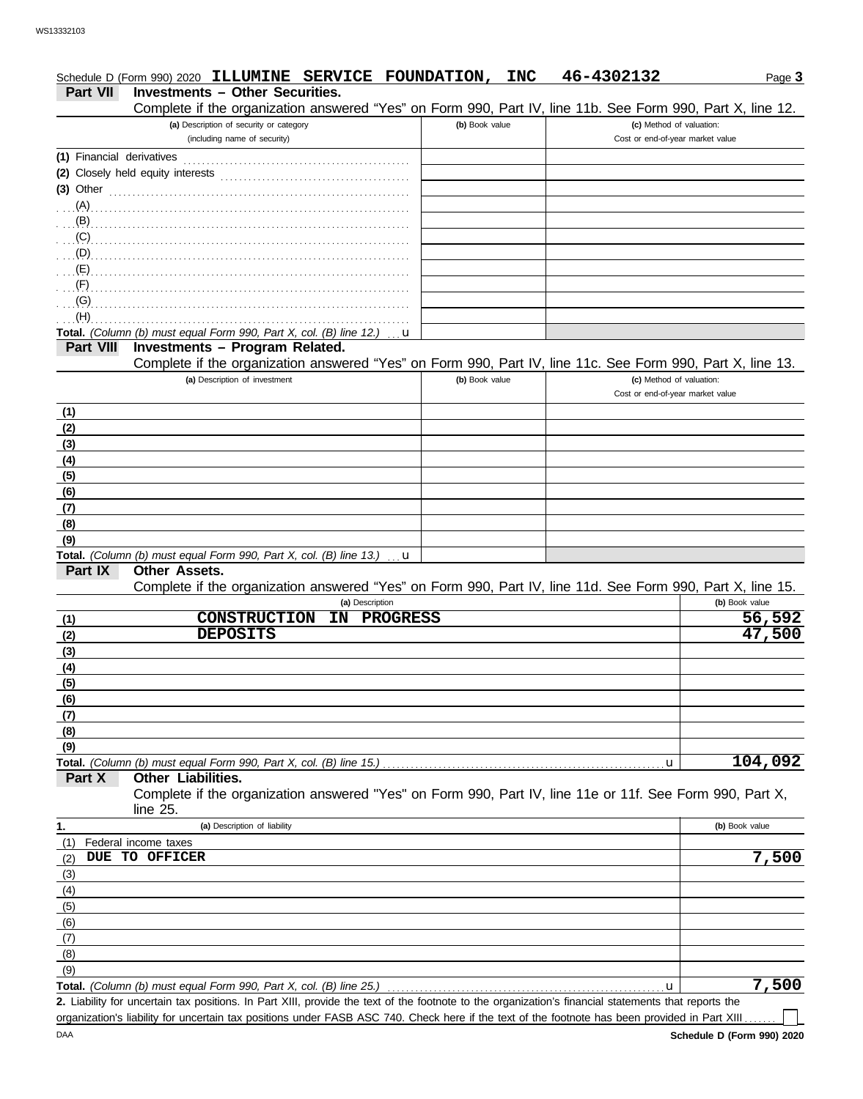|                           |                      | Schedule D (Form 990) 2020 ILLUMINE SERVICE FOUNDATION,                       |                 |                 |                | <b>INC</b> | 46-4302132                                                                                                                                           | Page 3         |
|---------------------------|----------------------|-------------------------------------------------------------------------------|-----------------|-----------------|----------------|------------|------------------------------------------------------------------------------------------------------------------------------------------------------|----------------|
| Part VII                  |                      | <b>Investments - Other Securities.</b>                                        |                 |                 |                |            |                                                                                                                                                      |                |
|                           |                      |                                                                               |                 |                 |                |            | Complete if the organization answered "Yes" on Form 990, Part IV, line 11b. See Form 990, Part X, line 12.                                           |                |
|                           |                      | (a) Description of security or category                                       |                 |                 | (b) Book value |            | (c) Method of valuation:                                                                                                                             |                |
|                           |                      | (including name of security)                                                  |                 |                 |                |            | Cost or end-of-year market value                                                                                                                     |                |
| (1) Financial derivatives |                      |                                                                               |                 |                 |                |            |                                                                                                                                                      |                |
|                           |                      |                                                                               |                 |                 |                |            |                                                                                                                                                      |                |
| $(3)$ Other               |                      |                                                                               |                 |                 |                |            |                                                                                                                                                      |                |
| (A)                       |                      |                                                                               |                 |                 |                |            |                                                                                                                                                      |                |
| (B)                       |                      |                                                                               |                 |                 |                |            |                                                                                                                                                      |                |
| (C)                       |                      |                                                                               |                 |                 |                |            |                                                                                                                                                      |                |
|                           |                      |                                                                               |                 |                 |                |            |                                                                                                                                                      |                |
|                           |                      |                                                                               |                 |                 |                |            |                                                                                                                                                      |                |
| $(F)$ .                   |                      |                                                                               |                 |                 |                |            |                                                                                                                                                      |                |
| (G)                       |                      |                                                                               |                 |                 |                |            |                                                                                                                                                      |                |
| (H)                       |                      |                                                                               |                 |                 |                |            |                                                                                                                                                      |                |
|                           |                      | Total. (Column (b) must equal Form 990, Part X, col. (B) line 12.)            |                 | <b>u</b>        |                |            |                                                                                                                                                      |                |
| <b>Part VIII</b>          |                      | Investments - Program Related.                                                |                 |                 |                |            |                                                                                                                                                      |                |
|                           |                      |                                                                               |                 |                 |                |            | Complete if the organization answered "Yes" on Form 990, Part IV, line 11c. See Form 990, Part X, line 13.                                           |                |
|                           |                      | (a) Description of investment                                                 |                 |                 | (b) Book value |            | (c) Method of valuation:                                                                                                                             |                |
|                           |                      |                                                                               |                 |                 |                |            | Cost or end-of-year market value                                                                                                                     |                |
| (1)                       |                      |                                                                               |                 |                 |                |            |                                                                                                                                                      |                |
| (2)                       |                      |                                                                               |                 |                 |                |            |                                                                                                                                                      |                |
| (3)                       |                      |                                                                               |                 |                 |                |            |                                                                                                                                                      |                |
| (4)                       |                      |                                                                               |                 |                 |                |            |                                                                                                                                                      |                |
| (5)                       |                      |                                                                               |                 |                 |                |            |                                                                                                                                                      |                |
| (6)                       |                      |                                                                               |                 |                 |                |            |                                                                                                                                                      |                |
| (7)                       |                      |                                                                               |                 |                 |                |            |                                                                                                                                                      |                |
| (8)                       |                      |                                                                               |                 |                 |                |            |                                                                                                                                                      |                |
| (9)                       |                      |                                                                               |                 |                 |                |            |                                                                                                                                                      |                |
|                           |                      | Total. (Column (b) must equal Form 990, Part X, col. (B) line 13.) $\ldots$ u |                 |                 |                |            |                                                                                                                                                      |                |
| Part IX                   | <b>Other Assets.</b> |                                                                               |                 |                 |                |            |                                                                                                                                                      |                |
|                           |                      |                                                                               |                 |                 |                |            | Complete if the organization answered "Yes" on Form 990, Part IV, line 11d. See Form 990, Part X, line 15.                                           |                |
|                           |                      |                                                                               | (a) Description |                 |                |            |                                                                                                                                                      | (b) Book value |
| (1)                       |                      | CONSTRUCTION                                                                  | IN              | <b>PROGRESS</b> |                |            |                                                                                                                                                      | 56,592         |
| (2)                       |                      | <b>DEPOSITS</b>                                                               |                 |                 |                |            |                                                                                                                                                      | 47,500         |
| (3)                       |                      |                                                                               |                 |                 |                |            |                                                                                                                                                      |                |
|                           |                      |                                                                               |                 |                 |                |            |                                                                                                                                                      |                |
| (4)                       |                      |                                                                               |                 |                 |                |            |                                                                                                                                                      |                |
| (5)                       |                      |                                                                               |                 |                 |                |            |                                                                                                                                                      |                |
| (6)                       |                      |                                                                               |                 |                 |                |            |                                                                                                                                                      |                |
| (7)                       |                      |                                                                               |                 |                 |                |            |                                                                                                                                                      |                |
| (8)                       |                      |                                                                               |                 |                 |                |            |                                                                                                                                                      |                |
| (9)                       |                      |                                                                               |                 |                 |                |            |                                                                                                                                                      | 104,092        |
| Part X                    | Other Liabilities.   | Total. (Column (b) must equal Form 990, Part X, col. (B) line 15.)            |                 |                 |                |            | u                                                                                                                                                    |                |
|                           |                      |                                                                               |                 |                 |                |            | Complete if the organization answered "Yes" on Form 990, Part IV, line 11e or 11f. See Form 990, Part X,                                             |                |
|                           | line 25.             |                                                                               |                 |                 |                |            |                                                                                                                                                      |                |
| 1.                        |                      | (a) Description of liability                                                  |                 |                 |                |            |                                                                                                                                                      | (b) Book value |
| (1)                       | Federal income taxes |                                                                               |                 |                 |                |            |                                                                                                                                                      |                |
| (2)                       | DUE TO OFFICER       |                                                                               |                 |                 |                |            |                                                                                                                                                      | 7,500          |
| (3)                       |                      |                                                                               |                 |                 |                |            |                                                                                                                                                      |                |
| (4)                       |                      |                                                                               |                 |                 |                |            |                                                                                                                                                      |                |
| (5)                       |                      |                                                                               |                 |                 |                |            |                                                                                                                                                      |                |
| (6)                       |                      |                                                                               |                 |                 |                |            |                                                                                                                                                      |                |
| (7)                       |                      |                                                                               |                 |                 |                |            |                                                                                                                                                      |                |
| (8)                       |                      |                                                                               |                 |                 |                |            |                                                                                                                                                      |                |
| (9)                       |                      |                                                                               |                 |                 |                |            |                                                                                                                                                      |                |
|                           |                      | Total. (Column (b) must equal Form 990, Part X, col. (B) line 25.)            |                 |                 |                |            | u                                                                                                                                                    | 7,500          |
|                           |                      |                                                                               |                 |                 |                |            | 2. Liability for uncertain tax positions. In Part XIII, provide the text of the footnote to the organization's financial statements that reports the |                |

organization's liability for uncertain tax positions under FASB ASC 740. Check here if the text of the footnote has been provided in Part XIII . . . . . . .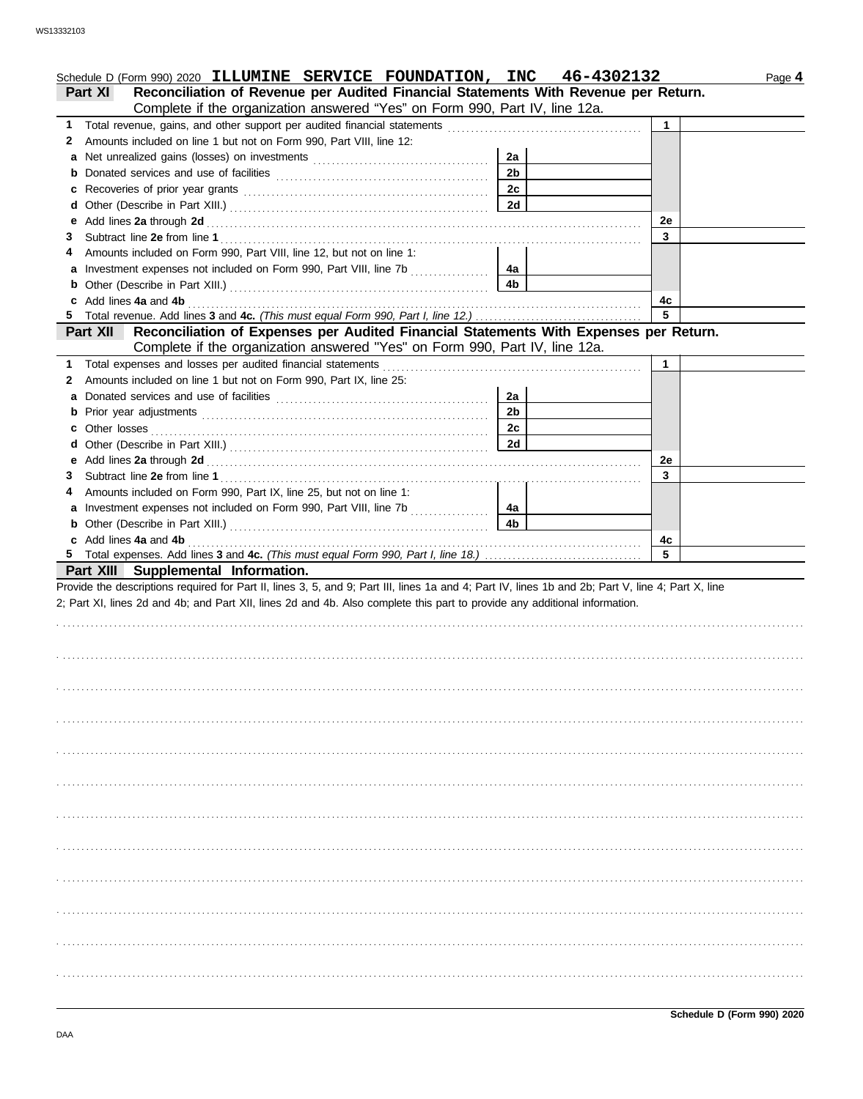|    | Schedule D (Form 990) 2020 ILLUMINE SERVICE FOUNDATION, INC 46-4302132                                                                                                                                                         |                |              | Page 4 |
|----|--------------------------------------------------------------------------------------------------------------------------------------------------------------------------------------------------------------------------------|----------------|--------------|--------|
|    | Reconciliation of Revenue per Audited Financial Statements With Revenue per Return.<br>Part XI                                                                                                                                 |                |              |        |
|    | Complete if the organization answered "Yes" on Form 990, Part IV, line 12a.                                                                                                                                                    |                |              |        |
| 1. |                                                                                                                                                                                                                                |                | 1            |        |
| 2  | Amounts included on line 1 but not on Form 990, Part VIII, line 12:                                                                                                                                                            |                |              |        |
| а  |                                                                                                                                                                                                                                | 2a             |              |        |
|    |                                                                                                                                                                                                                                | 2 <sub>b</sub> |              |        |
| с  | Recoveries of prior year grants [[11] Martin Martin Martin Martin Martin Martin Martin Martin Martin Martin Martin Martin Martin Martin Martin Martin Martin Martin Martin Martin Martin Martin Martin Martin Martin Martin Ma | 2c             |              |        |
| d  |                                                                                                                                                                                                                                | 2d             |              |        |
| е  |                                                                                                                                                                                                                                |                | 2e           |        |
| З  |                                                                                                                                                                                                                                |                | 3            |        |
|    | Amounts included on Form 990, Part VIII, line 12, but not on line 1:                                                                                                                                                           |                |              |        |
| а  | Investment expenses not included on Form 990, Part VIII, line 7b                                                                                                                                                               | 4a             |              |        |
|    |                                                                                                                                                                                                                                | 4b             |              |        |
| C  | Add lines 4a and 4b                                                                                                                                                                                                            |                | 4c           |        |
|    |                                                                                                                                                                                                                                |                | 5            |        |
|    | Reconciliation of Expenses per Audited Financial Statements With Expenses per Return.<br><b>Part XII</b>                                                                                                                       |                |              |        |
|    | Complete if the organization answered "Yes" on Form 990, Part IV, line 12a.                                                                                                                                                    |                |              |        |
| 1  | Total expenses and losses per audited financial statements                                                                                                                                                                     |                | $\mathbf{1}$ |        |
| 2  | Amounts included on line 1 but not on Form 990, Part IX, line 25:                                                                                                                                                              |                |              |        |
| а  |                                                                                                                                                                                                                                | 2a             |              |        |
|    |                                                                                                                                                                                                                                | 2 <sub>b</sub> |              |        |
| c  |                                                                                                                                                                                                                                | 2c             |              |        |
| d  |                                                                                                                                                                                                                                | 2d             |              |        |
| е  |                                                                                                                                                                                                                                |                | 2e           |        |
| З  |                                                                                                                                                                                                                                |                | 3            |        |
| 4  | Amounts included on Form 990, Part IX, line 25, but not on line 1:                                                                                                                                                             |                |              |        |
| a  |                                                                                                                                                                                                                                | 4a             |              |        |
| b  |                                                                                                                                                                                                                                | 4 <sub>b</sub> |              |        |
|    | c Add lines 4a and 4b                                                                                                                                                                                                          |                |              |        |
|    |                                                                                                                                                                                                                                |                | 4c<br>5      |        |
|    | Part XIII Supplemental Information.                                                                                                                                                                                            |                |              |        |
|    | Provide the descriptions required for Part II, lines 3, 5, and 9; Part III, lines 1a and 4; Part IV, lines 1b and 2b; Part V, line 4; Part X, line                                                                             |                |              |        |
|    | 2; Part XI, lines 2d and 4b; and Part XII, lines 2d and 4b. Also complete this part to provide any additional information.                                                                                                     |                |              |        |
|    |                                                                                                                                                                                                                                |                |              |        |
|    |                                                                                                                                                                                                                                |                |              |        |
|    |                                                                                                                                                                                                                                |                |              |        |
|    |                                                                                                                                                                                                                                |                |              |        |
|    |                                                                                                                                                                                                                                |                |              |        |
|    |                                                                                                                                                                                                                                |                |              |        |
|    |                                                                                                                                                                                                                                |                |              |        |
|    |                                                                                                                                                                                                                                |                |              |        |
|    |                                                                                                                                                                                                                                |                |              |        |
|    |                                                                                                                                                                                                                                |                |              |        |
|    |                                                                                                                                                                                                                                |                |              |        |
|    |                                                                                                                                                                                                                                |                |              |        |
|    |                                                                                                                                                                                                                                |                |              |        |
|    |                                                                                                                                                                                                                                |                |              |        |
|    |                                                                                                                                                                                                                                |                |              |        |
|    |                                                                                                                                                                                                                                |                |              |        |
|    |                                                                                                                                                                                                                                |                |              |        |
|    |                                                                                                                                                                                                                                |                |              |        |
|    |                                                                                                                                                                                                                                |                |              |        |
|    |                                                                                                                                                                                                                                |                |              |        |
|    |                                                                                                                                                                                                                                |                |              |        |
|    |                                                                                                                                                                                                                                |                |              |        |
|    |                                                                                                                                                                                                                                |                |              |        |
|    |                                                                                                                                                                                                                                |                |              |        |
|    |                                                                                                                                                                                                                                |                |              |        |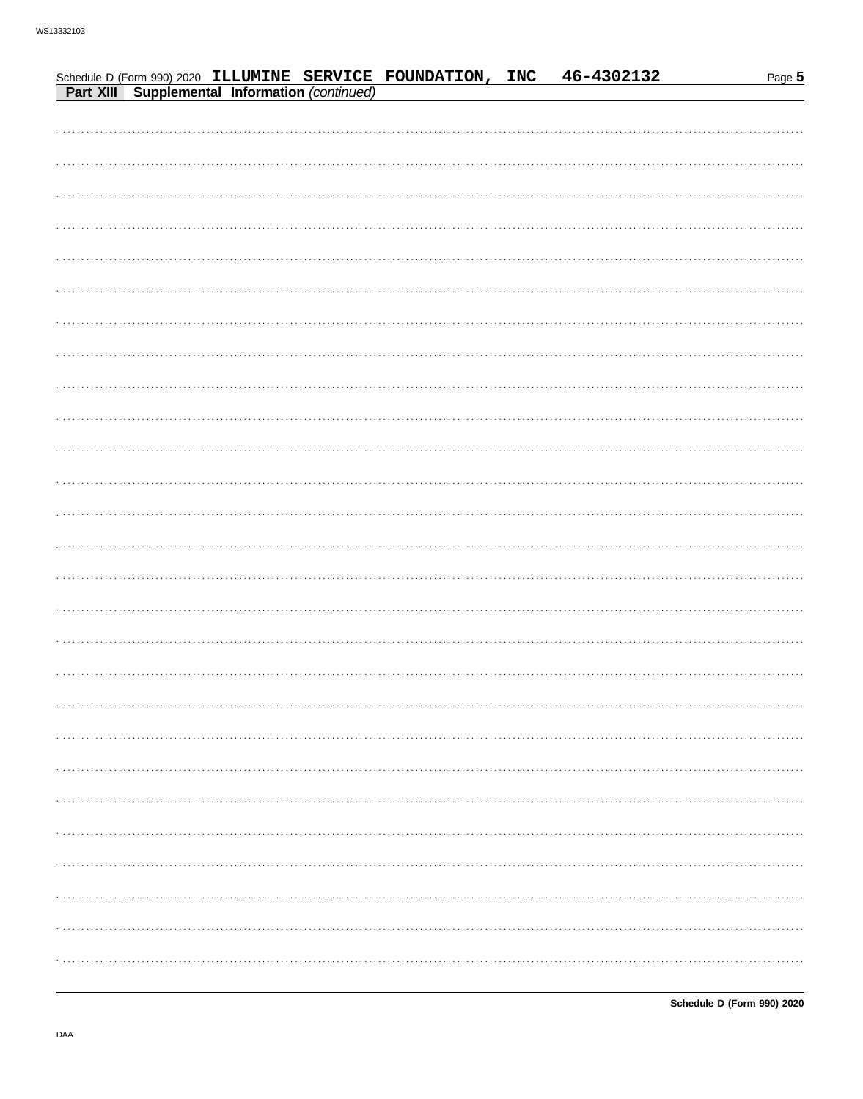|  |  |                                                                                                            | 46-4302132 | Page 5 |
|--|--|------------------------------------------------------------------------------------------------------------|------------|--------|
|  |  | Schedule D (Form 990) 2020 ILLUMINE SERVICE FOUNDATION, INC Part XIII Supplemental Information (continued) |            |        |
|  |  |                                                                                                            |            |        |
|  |  |                                                                                                            |            |        |
|  |  |                                                                                                            |            |        |
|  |  |                                                                                                            |            |        |
|  |  |                                                                                                            |            |        |
|  |  |                                                                                                            |            |        |
|  |  |                                                                                                            |            |        |
|  |  |                                                                                                            |            |        |
|  |  |                                                                                                            |            |        |
|  |  |                                                                                                            |            |        |
|  |  |                                                                                                            |            |        |
|  |  |                                                                                                            |            |        |
|  |  |                                                                                                            |            |        |
|  |  |                                                                                                            |            |        |
|  |  |                                                                                                            |            |        |
|  |  |                                                                                                            |            |        |
|  |  |                                                                                                            |            |        |
|  |  |                                                                                                            |            |        |
|  |  |                                                                                                            |            |        |
|  |  |                                                                                                            |            |        |
|  |  |                                                                                                            |            |        |
|  |  |                                                                                                            |            |        |
|  |  |                                                                                                            |            |        |
|  |  |                                                                                                            |            |        |
|  |  |                                                                                                            |            |        |
|  |  |                                                                                                            |            |        |
|  |  |                                                                                                            |            |        |
|  |  |                                                                                                            |            |        |
|  |  |                                                                                                            |            |        |
|  |  |                                                                                                            |            |        |
|  |  |                                                                                                            |            |        |
|  |  |                                                                                                            |            |        |
|  |  |                                                                                                            |            |        |
|  |  |                                                                                                            |            |        |
|  |  |                                                                                                            |            |        |
|  |  |                                                                                                            |            |        |
|  |  |                                                                                                            |            |        |
|  |  |                                                                                                            |            |        |
|  |  |                                                                                                            |            |        |
|  |  |                                                                                                            |            |        |
|  |  |                                                                                                            |            |        |
|  |  |                                                                                                            |            |        |
|  |  |                                                                                                            |            |        |
|  |  |                                                                                                            |            |        |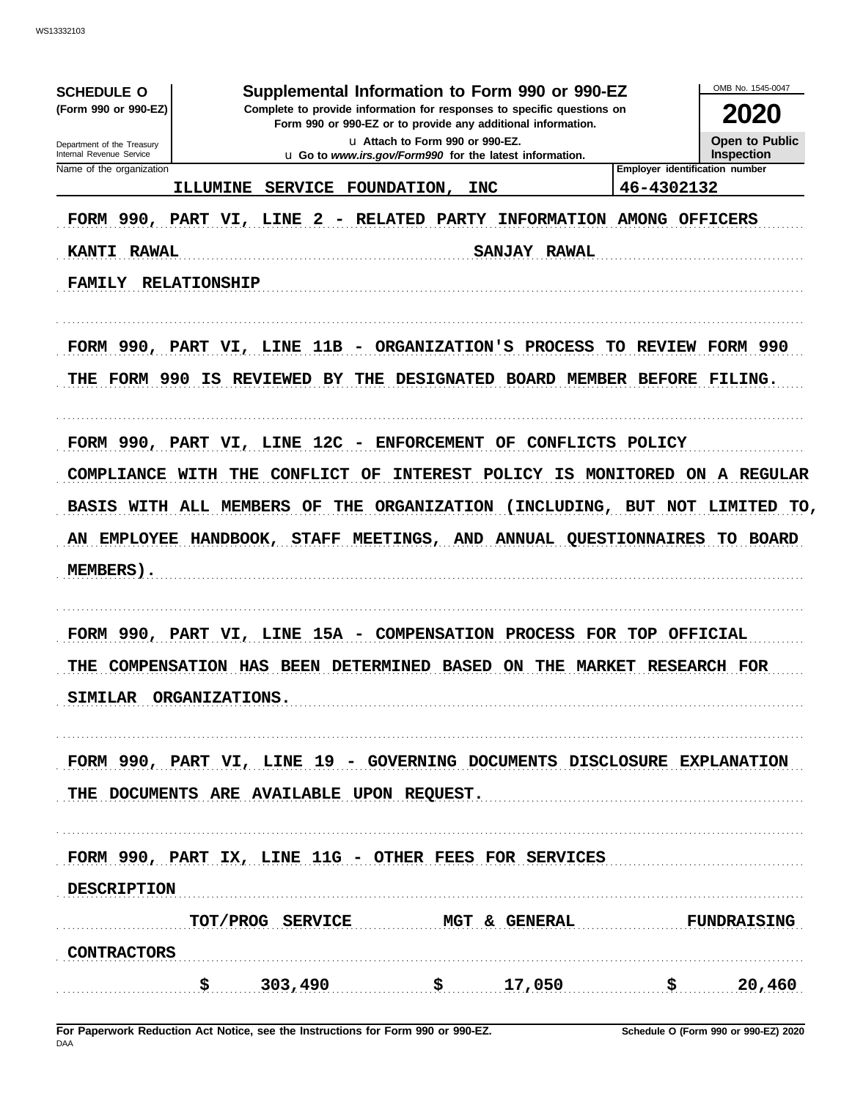| <b>SCHEDULE O</b>                                      | Supplemental Information to Form 990 or 990-EZ                                                                                                                                                                                                             | OMB No. 1545-0047                         |
|--------------------------------------------------------|------------------------------------------------------------------------------------------------------------------------------------------------------------------------------------------------------------------------------------------------------------|-------------------------------------------|
| (Form 990 or 990-EZ)                                   | Complete to provide information for responses to specific questions on                                                                                                                                                                                     | 2020                                      |
|                                                        | Form 990 or 990-EZ or to provide any additional information.<br>u Attach to Form 990 or 990-EZ.                                                                                                                                                            |                                           |
| Department of the Treasury<br>Internal Revenue Service | u Go to www.irs.gov/Form990 for the latest information.                                                                                                                                                                                                    | Open to Public<br><b>Inspection</b>       |
| Name of the organization                               |                                                                                                                                                                                                                                                            | Employer identification number            |
|                                                        | ILLUMINE<br><b>SERVICE</b><br><b>FOUNDATION,</b><br><b>INC</b>                                                                                                                                                                                             | 46-4302132                                |
|                                                        | FORM 990, PART VI, LINE 2 - RELATED PARTY                                                                                                                                                                                                                  | INFORMATION AMONG OFFICERS                |
| KANTI RAWAL                                            | <b>SANJAY RAWAL</b>                                                                                                                                                                                                                                        |                                           |
| <b>FAMILY</b>                                          | <b>RELATIONSHIP</b>                                                                                                                                                                                                                                        |                                           |
|                                                        | FORM 990, PART VI, LINE 11B - ORGANIZATION'S PROCESS TO REVIEW FORM 990<br>THE FORM 990 IS REVIEWED BY THE DESIGNATED BOARD MEMBER BEFORE FILING.                                                                                                          |                                           |
| MEMBERS).                                              | FORM 990, PART VI, LINE 12C - ENFORCEMENT OF CONFLICTS POLICY<br>COMPLIANCE WITH THE CONFLICT OF<br>BASIS WITH ALL MEMBERS OF THE ORGANIZATION (INCLUDING, BUT NOT LIMITED TO,<br>AN EMPLOYEE HANDBOOK, STAFF MEETINGS, AND ANNUAL QUESTIONNAIRES TO BOARD | INTEREST POLICY IS MONITORED ON A REGULAR |
|                                                        | FORM 990, PART VI, LINE 15A - COMPENSATION PROCESS FOR TOP OFFICIAL<br>THE COMPENSATION HAS BEEN DETERMINED BASED ON THE MARKET RESEARCH FOR                                                                                                               |                                           |
|                                                        | SIMILAR ORGANIZATIONS.<br>FORM 990, PART VI, LINE 19 - GOVERNING DOCUMENTS DISCLOSURE EXPLANATION<br>THE DOCUMENTS ARE AVAILABLE UPON REQUEST.                                                                                                             |                                           |
|                                                        | FORM 990, PART IX, LINE 11G - OTHER FEES FOR SERVICES<br>DESCRIPTION                                                                                                                                                                                       |                                           |
| <b>CONTRACTORS</b>                                     | TOT/PROG SERVICE MGT & GENERAL FUNDRAISING                                                                                                                                                                                                                 |                                           |
|                                                        |                                                                                                                                                                                                                                                            |                                           |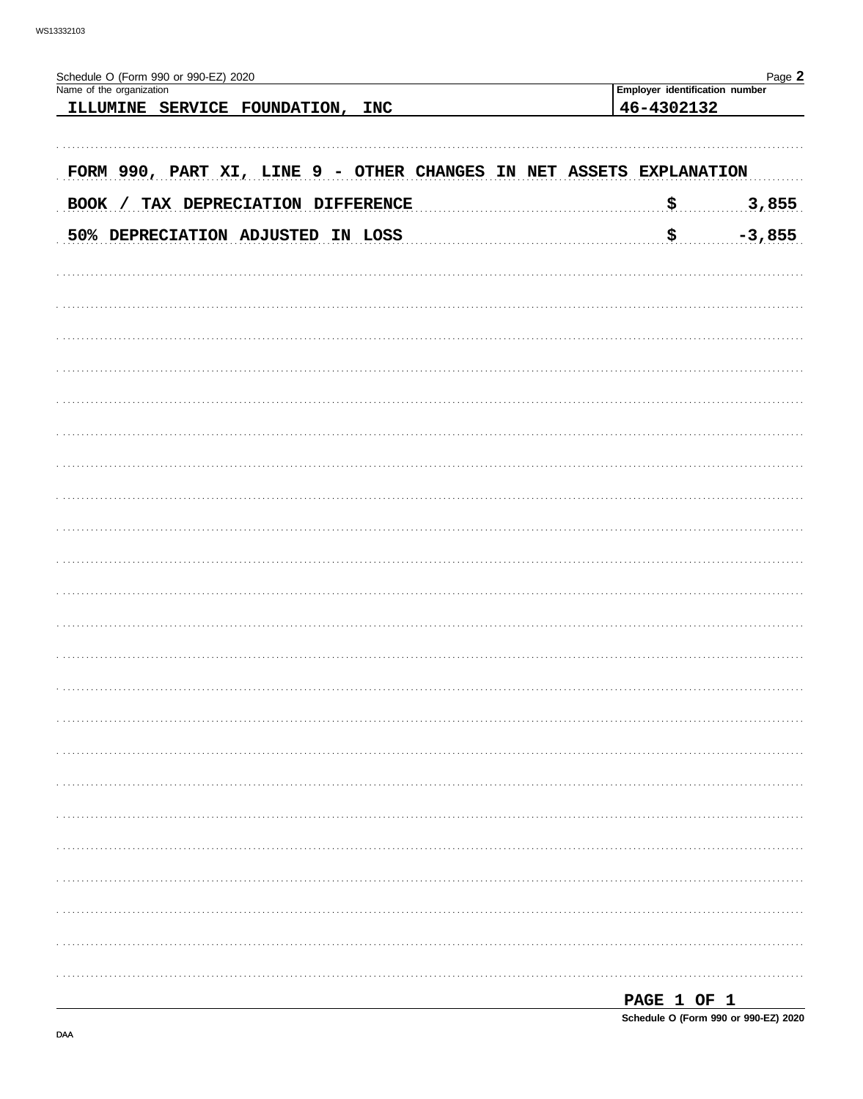| Schedule O (Form 990 or 990-EZ) 2020<br>Name of the organization    | Page 2<br>Employer identification number |  |  |  |  |  |  |  |
|---------------------------------------------------------------------|------------------------------------------|--|--|--|--|--|--|--|
| ILLUMINE SERVICE FOUNDATION, INC                                    | 46-4302132                               |  |  |  |  |  |  |  |
|                                                                     |                                          |  |  |  |  |  |  |  |
| FORM 990, PART XI, LINE 9 - OTHER CHANGES IN NET ASSETS EXPLANATION |                                          |  |  |  |  |  |  |  |
| BOOK / TAX DEPRECIATION DIFFERENCE                                  | \$<br>3,855                              |  |  |  |  |  |  |  |
| 50% DEPRECIATION ADJUSTED IN LOSS                                   | \$<br>$-3,855$                           |  |  |  |  |  |  |  |
|                                                                     |                                          |  |  |  |  |  |  |  |
|                                                                     |                                          |  |  |  |  |  |  |  |
|                                                                     |                                          |  |  |  |  |  |  |  |
|                                                                     |                                          |  |  |  |  |  |  |  |
|                                                                     |                                          |  |  |  |  |  |  |  |
|                                                                     |                                          |  |  |  |  |  |  |  |
|                                                                     |                                          |  |  |  |  |  |  |  |
|                                                                     |                                          |  |  |  |  |  |  |  |
|                                                                     |                                          |  |  |  |  |  |  |  |
|                                                                     |                                          |  |  |  |  |  |  |  |
|                                                                     |                                          |  |  |  |  |  |  |  |
|                                                                     |                                          |  |  |  |  |  |  |  |
|                                                                     |                                          |  |  |  |  |  |  |  |
|                                                                     |                                          |  |  |  |  |  |  |  |
|                                                                     |                                          |  |  |  |  |  |  |  |
|                                                                     |                                          |  |  |  |  |  |  |  |
|                                                                     |                                          |  |  |  |  |  |  |  |
|                                                                     |                                          |  |  |  |  |  |  |  |
|                                                                     |                                          |  |  |  |  |  |  |  |
|                                                                     |                                          |  |  |  |  |  |  |  |
|                                                                     |                                          |  |  |  |  |  |  |  |
|                                                                     |                                          |  |  |  |  |  |  |  |
|                                                                     |                                          |  |  |  |  |  |  |  |
|                                                                     |                                          |  |  |  |  |  |  |  |

PAGE 1 OF 1 Schedule O (Form 990 or 990-EZ) 2020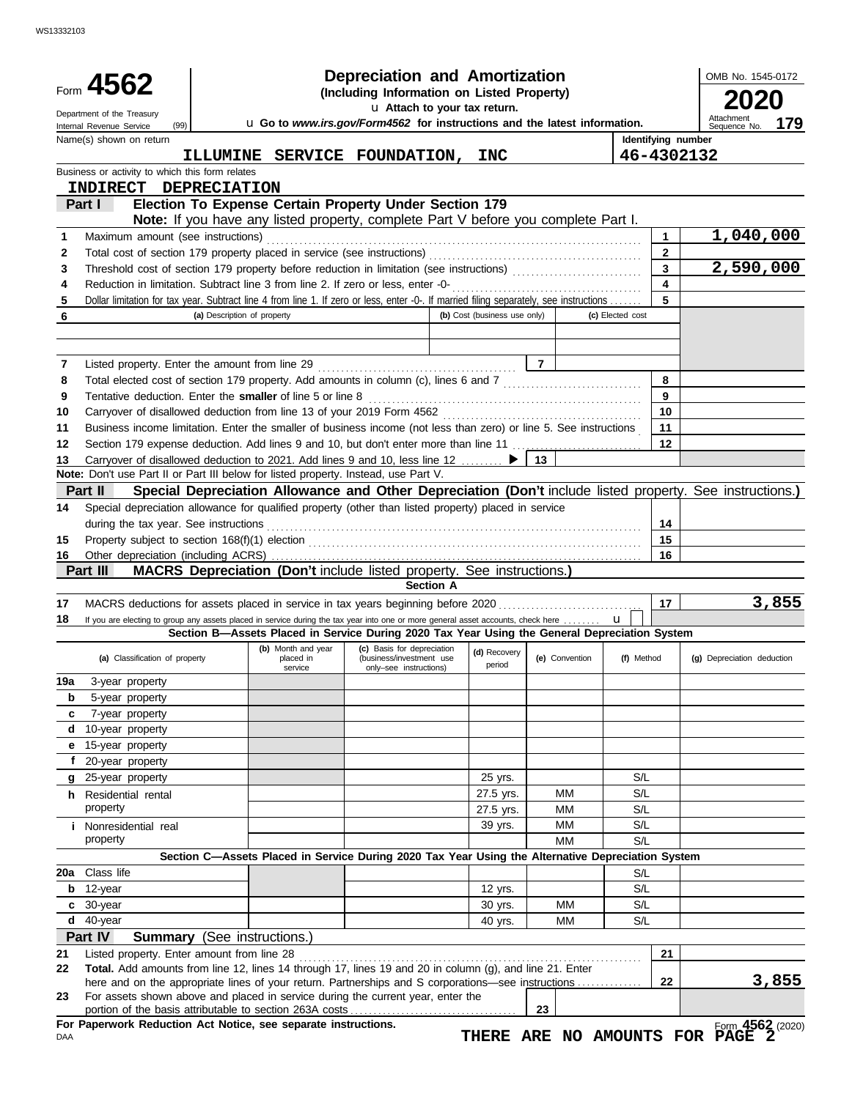|        | Form 4562                                                                       |                                                                                                                                                                                                                                    | OMB No. 1545-0172                                                                                         |                              |                                 |                    |                |                            |       |
|--------|---------------------------------------------------------------------------------|------------------------------------------------------------------------------------------------------------------------------------------------------------------------------------------------------------------------------------|-----------------------------------------------------------------------------------------------------------|------------------------------|---------------------------------|--------------------|----------------|----------------------------|-------|
|        | Department of the Treasury<br>(99)<br>Internal Revenue Service                  |                                                                                                                                                                                                                                    | u Attach to your tax return.<br>u Go to www.irs.gov/Form4562 for instructions and the latest information. |                              |                                 |                    |                | Attachment<br>Sequence No. | 179   |
|        | Name(s) shown on return                                                         |                                                                                                                                                                                                                                    |                                                                                                           |                              |                                 | Identifying number |                |                            |       |
|        |                                                                                 | ILLUMINE SERVICE FOUNDATION,                                                                                                                                                                                                       |                                                                                                           | <b>INC</b>                   |                                 | 46-4302132         |                |                            |       |
|        | Business or activity to which this form relates                                 |                                                                                                                                                                                                                                    |                                                                                                           |                              |                                 |                    |                |                            |       |
|        | <b>INDIRECT DEPRECIATION</b>                                                    |                                                                                                                                                                                                                                    |                                                                                                           |                              |                                 |                    |                |                            |       |
|        | Part I                                                                          | Election To Expense Certain Property Under Section 179                                                                                                                                                                             |                                                                                                           |                              |                                 |                    |                |                            |       |
|        |                                                                                 | <b>Note:</b> If you have any listed property, complete Part V before you complete Part I.                                                                                                                                          |                                                                                                           |                              |                                 |                    | 1              | 1,040,000                  |       |
| 1      | Maximum amount (see instructions)                                               | Total cost of section 179 property placed in service (see instructions)                                                                                                                                                            |                                                                                                           |                              |                                 |                    | $\overline{2}$ |                            |       |
| 2<br>3 |                                                                                 |                                                                                                                                                                                                                                    |                                                                                                           |                              |                                 |                    | $\overline{3}$ | 2,590,000                  |       |
| 4      |                                                                                 | Reduction in limitation. Subtract line 3 from line 2. If zero or less, enter -0-                                                                                                                                                   |                                                                                                           |                              |                                 |                    | 4              |                            |       |
| 5      |                                                                                 | Dollar limitation for tax year. Subtract line 4 from line 1. If zero or less, enter -0-. If married filing separately, see instructions                                                                                            |                                                                                                           |                              |                                 |                    | 5              |                            |       |
| 6      |                                                                                 | (a) Description of property                                                                                                                                                                                                        |                                                                                                           | (b) Cost (business use only) |                                 | (c) Elected cost   |                |                            |       |
|        |                                                                                 |                                                                                                                                                                                                                                    |                                                                                                           |                              |                                 |                    |                |                            |       |
|        |                                                                                 |                                                                                                                                                                                                                                    |                                                                                                           |                              |                                 |                    |                |                            |       |
| 7      |                                                                                 | Listed property. Enter the amount from line 29                                                                                                                                                                                     |                                                                                                           |                              | $\overline{7}$                  |                    |                |                            |       |
| 8      |                                                                                 | Total elected cost of section 179 property. Add amounts in column (c), lines 6 and 7 [[[[[[[[[[[[[[[[[[[[[[[[                                                                                                                      |                                                                                                           |                              |                                 |                    | 8              |                            |       |
| 9      |                                                                                 | Tentative deduction. Enter the smaller of line 5 or line 8                                                                                                                                                                         |                                                                                                           |                              |                                 |                    | 9              |                            |       |
| 10     |                                                                                 | Carryover of disallowed deduction from line 13 of your 2019 Form 4562                                                                                                                                                              |                                                                                                           |                              |                                 |                    | 10             |                            |       |
| 11     |                                                                                 | Business income limitation. Enter the smaller of business income (not less than zero) or line 5. See instructions                                                                                                                  |                                                                                                           |                              |                                 |                    | 11             |                            |       |
| 12     |                                                                                 | Section 179 expense deduction. Add lines 9 and 10, but don't enter more than line 11                                                                                                                                               |                                                                                                           |                              |                                 |                    | 12             |                            |       |
| 13     |                                                                                 | Carryover of disallowed deduction to 2021. Add lines 9 and 10, less line 12                                                                                                                                                        |                                                                                                           |                              | 13                              |                    |                |                            |       |
|        |                                                                                 | Note: Don't use Part II or Part III below for listed property. Instead, use Part V.                                                                                                                                                |                                                                                                           |                              |                                 |                    |                |                            |       |
|        | <b>Part II</b>                                                                  | Special Depreciation Allowance and Other Depreciation (Don't include listed property. See instructions.)                                                                                                                           |                                                                                                           |                              |                                 |                    |                |                            |       |
| 14     |                                                                                 | Special depreciation allowance for qualified property (other than listed property) placed in service                                                                                                                               |                                                                                                           |                              |                                 |                    |                |                            |       |
|        | during the tax year. See instructions                                           |                                                                                                                                                                                                                                    |                                                                                                           |                              |                                 |                    | 14             |                            |       |
| 15     |                                                                                 |                                                                                                                                                                                                                                    |                                                                                                           |                              |                                 |                    | 15             |                            |       |
| 16     |                                                                                 |                                                                                                                                                                                                                                    |                                                                                                           |                              |                                 |                    | 16             |                            |       |
|        | Part III                                                                        | MACRS Depreciation (Don't include listed property. See instructions.)                                                                                                                                                              |                                                                                                           |                              |                                 |                    |                |                            |       |
|        |                                                                                 |                                                                                                                                                                                                                                    | <b>Section A</b>                                                                                          |                              |                                 |                    |                |                            |       |
| 17     |                                                                                 | MACRS deductions for assets placed in service in tax years beginning before 2020                                                                                                                                                   |                                                                                                           |                              |                                 |                    | 17             |                            | 3,855 |
| 18     |                                                                                 | If you are electing to group any assets placed in service during the tax year into one or more general asset accounts, check here<br>Section B-Assets Placed in Service During 2020 Tax Year Using the General Depreciation System |                                                                                                           |                              |                                 | $\mathbf{u}$       |                |                            |       |
|        | (a) Classification of property                                                  | (b) Month and year<br>placed in<br>service                                                                                                                                                                                         | (c) Basis for depreciation<br>(business/investment use<br>only-see instructions)                          | (d) Recovery<br>period       | (e) Convention                  | (f) Method         |                | (g) Depreciation deduction |       |
| 19а    | 3-year property                                                                 |                                                                                                                                                                                                                                    |                                                                                                           |                              |                                 |                    |                |                            |       |
| b      | 5-year property                                                                 |                                                                                                                                                                                                                                    |                                                                                                           |                              |                                 |                    |                |                            |       |
| c      | 7-year property                                                                 |                                                                                                                                                                                                                                    |                                                                                                           |                              |                                 |                    |                |                            |       |
|        | d 10-year property                                                              |                                                                                                                                                                                                                                    |                                                                                                           |                              |                                 |                    |                |                            |       |
|        | e 15-year property                                                              |                                                                                                                                                                                                                                    |                                                                                                           |                              |                                 |                    |                |                            |       |
|        | f 20-year property                                                              |                                                                                                                                                                                                                                    |                                                                                                           |                              |                                 |                    |                |                            |       |
|        | g 25-year property                                                              |                                                                                                                                                                                                                                    |                                                                                                           | 25 yrs.                      |                                 | S/L                |                |                            |       |
|        | h Residential rental                                                            |                                                                                                                                                                                                                                    |                                                                                                           | 27.5 yrs.                    | ΜМ                              | S/L                |                |                            |       |
|        | property                                                                        |                                                                                                                                                                                                                                    |                                                                                                           | 27.5 yrs.                    | ΜМ                              | S/L                |                |                            |       |
|        | <i>i</i> Nonresidential real                                                    |                                                                                                                                                                                                                                    |                                                                                                           | 39 yrs.                      | ΜМ                              | S/L                |                |                            |       |
|        | property                                                                        |                                                                                                                                                                                                                                    |                                                                                                           |                              | MМ                              | S/L                |                |                            |       |
|        |                                                                                 | Section C-Assets Placed in Service During 2020 Tax Year Using the Alternative Depreciation System                                                                                                                                  |                                                                                                           |                              |                                 |                    |                |                            |       |
|        | 20a Class life                                                                  |                                                                                                                                                                                                                                    |                                                                                                           |                              |                                 | S/L                |                |                            |       |
|        | <b>b</b> 12-year                                                                | 12 yrs.                                                                                                                                                                                                                            |                                                                                                           |                              |                                 | S/L                |                |                            |       |
|        | c 30-year                                                                       | S/L<br>MМ<br>30 yrs.                                                                                                                                                                                                               |                                                                                                           |                              |                                 |                    |                |                            |       |
|        | $d$ 40-year                                                                     |                                                                                                                                                                                                                                    |                                                                                                           | 40 yrs.                      | MМ                              | S/L                |                |                            |       |
|        | Part IV                                                                         | <b>Summary</b> (See instructions.)                                                                                                                                                                                                 |                                                                                                           |                              |                                 |                    |                |                            |       |
| 21     | Listed property. Enter amount from line 28                                      |                                                                                                                                                                                                                                    |                                                                                                           |                              |                                 |                    | 21             |                            |       |
| 22     |                                                                                 | Total. Add amounts from line 12, lines 14 through 17, lines 19 and 20 in column (g), and line 21. Enter<br>here and on the appropriate lines of your return. Partnerships and S corporations—see instructions                      |                                                                                                           |                              |                                 |                    | 22             |                            | 3,855 |
| 23     |                                                                                 |                                                                                                                                                                                                                                    |                                                                                                           |                              |                                 |                    |                |                            |       |
|        | For assets shown above and placed in service during the current year, enter the |                                                                                                                                                                                                                                    |                                                                                                           |                              |                                 |                    |                |                            |       |
|        |                                                                                 |                                                                                                                                                                                                                                    |                                                                                                           |                              | 23                              |                    |                |                            |       |
| DAA    |                                                                                 | For Paperwork Reduction Act Notice, see separate instructions.                                                                                                                                                                     |                                                                                                           |                              | THERE ARE NO AMOUNTS FOR PAGE 2 |                    |                | Form 4562 (2020)           |       |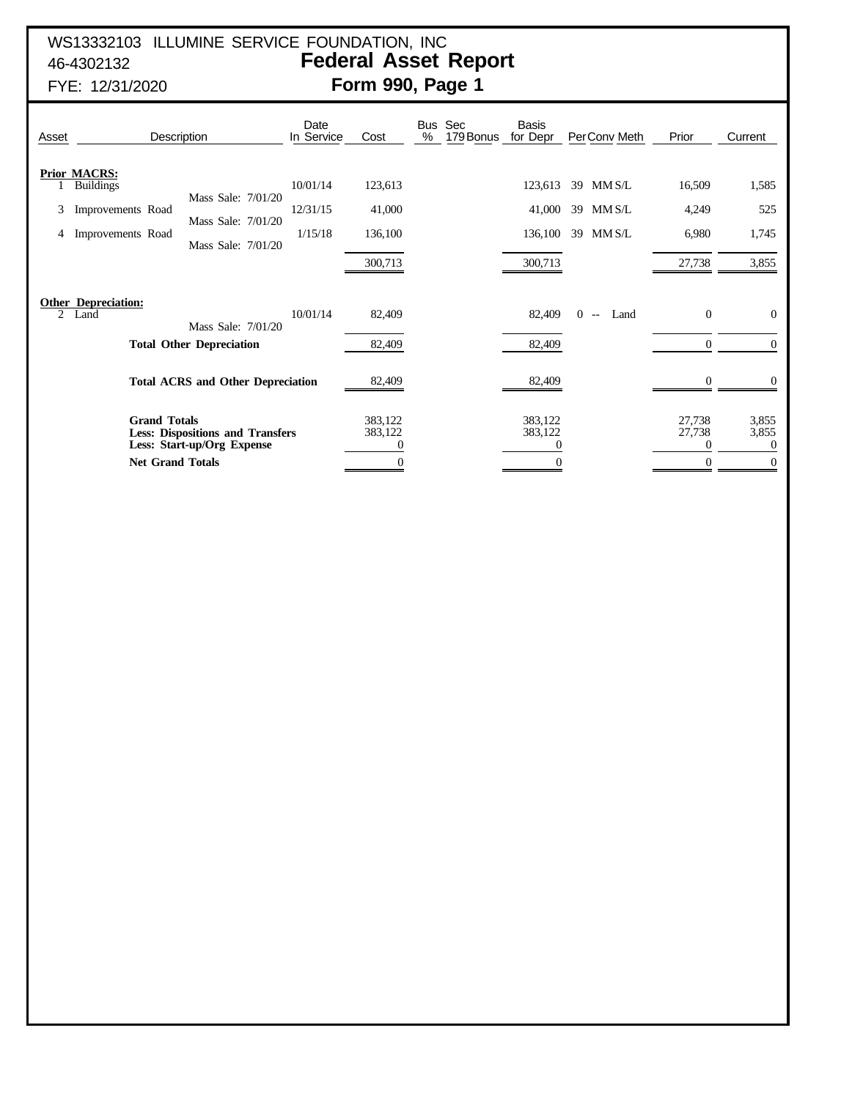# WS13332103 ILLUMINE SERVICE FOUNDATION, INC 46-4302132 **Federal Asset Report** FYE: 12/31/2020 **Form 990, Page 1**

| Asset  | Description                                                                       |                                                                                                   | Date<br>In Service              | Cost                                    | Sec<br>Bus<br>%<br>179 Bonus | <b>Basis</b><br>for Depr                | PerConv Meth                        | Prior                              | Current                                |
|--------|-----------------------------------------------------------------------------------|---------------------------------------------------------------------------------------------------|---------------------------------|-----------------------------------------|------------------------------|-----------------------------------------|-------------------------------------|------------------------------------|----------------------------------------|
| 3<br>4 | <b>Prior MACRS:</b><br><b>Buildings</b><br>Improvements Road<br>Improvements Road | Mass Sale: 7/01/20<br>Mass Sale: 7/01/20<br>Mass Sale: 7/01/20                                    | 10/01/14<br>12/31/15<br>1/15/18 | 123,613<br>41,000<br>136,100<br>300,713 |                              | 123,613<br>41,000<br>136,100<br>300,713 | 39 MM S/L<br>39 MM S/L<br>39 MM S/L | 16,509<br>4,249<br>6,980<br>27,738 | 1,585<br>525<br>1,745<br>3,855         |
| 2      | <b>Other Depreciation:</b><br>Land                                                | Mass Sale: 7/01/20<br><b>Total Other Depreciation</b><br><b>Total ACRS and Other Depreciation</b> | 10/01/14                        | 82,409<br>82,409<br>82,409              |                              | 82,409<br>82,409<br>82,409              | $0 -$<br>Land                       | $\Omega$<br>$\Omega$               | $\theta$<br>$\Omega$<br>$\Omega$       |
|        | <b>Grand Totals</b><br><b>Net Grand Totals</b>                                    | <b>Less: Dispositions and Transfers</b><br>Less: Start-up/Org Expense                             |                                 | 383,122<br>383,122<br>$\Omega$          |                              | 383,122<br>383,122                      |                                     | 27,738<br>27,738<br>0              | 3,855<br>3,855<br>$\theta$<br>$\Omega$ |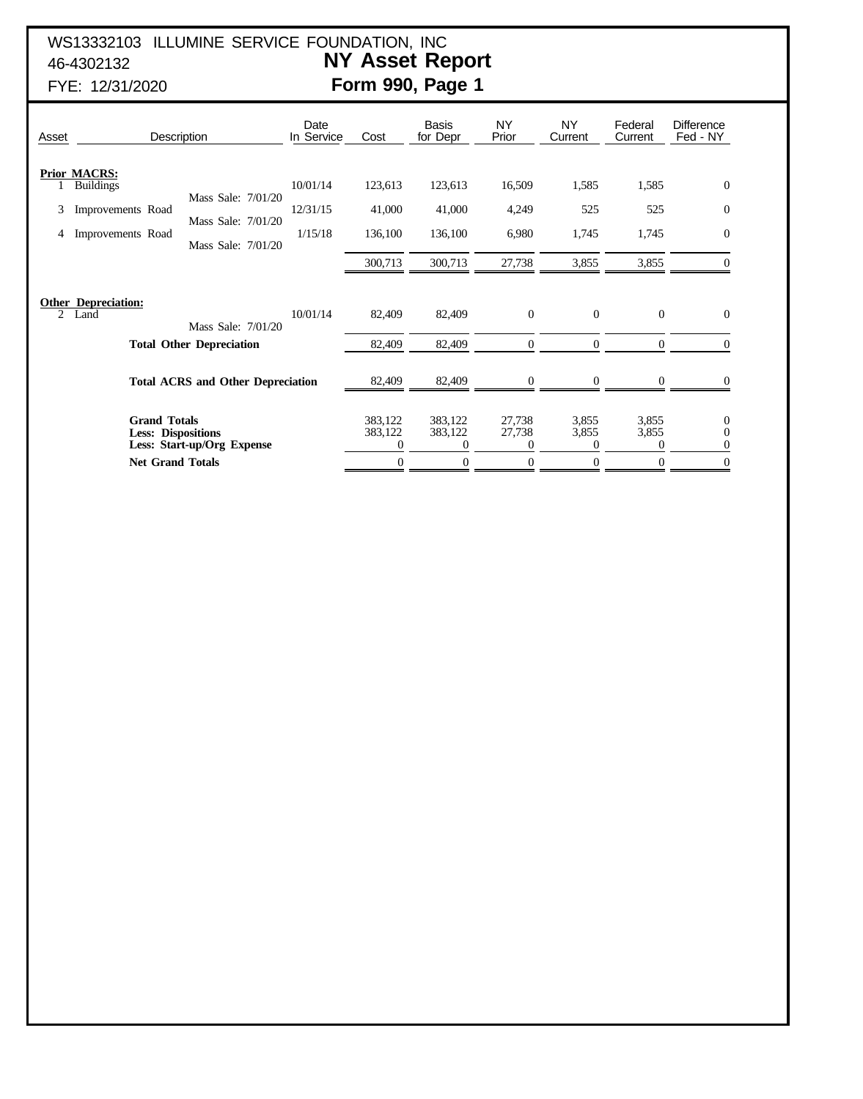# WS13332103 ILLUMINE SERVICE FOUNDATION, INC 46-4302132 **NY Asset Report** FYE: 12/31/2020 **Form 990, Page 1**

| Asset  | <b>Description</b>                                                                                                                                  | Date<br>In Service              | Cost                                     | <b>Basis</b><br>for Depr                | NY<br>Prior                                  | <b>NY</b><br>Current                   | Federal<br>Current                         | <b>Difference</b><br>Fed - NY                  |
|--------|-----------------------------------------------------------------------------------------------------------------------------------------------------|---------------------------------|------------------------------------------|-----------------------------------------|----------------------------------------------|----------------------------------------|--------------------------------------------|------------------------------------------------|
| 3<br>4 | <b>Prior MACRS:</b><br><b>Buildings</b><br>Mass Sale: 7/01/20<br>Improvements Road<br>Mass Sale: 7/01/20<br>Improvements Road<br>Mass Sale: 7/01/20 | 10/01/14<br>12/31/15<br>1/15/18 | 123,613<br>41,000<br>136,100<br>300,713  | 123,613<br>41,000<br>136,100<br>300,713 | 16,509<br>4,249<br>6,980<br>27,738           | 1,585<br>525<br>1,745<br>3,855         | 1,585<br>525<br>1,745<br>3,855             | $\mathbf{0}$<br>$\overline{0}$<br>$\mathbf{0}$ |
| 2      | <b>Other Depreciation:</b><br>Land<br>Mass Sale: 7/01/20<br><b>Total Other Depreciation</b>                                                         | 10/01/14                        | 82,409<br>82,409                         | 82,409<br>82,409                        | $\overline{0}$<br>$\Omega$                   | $\overline{0}$<br>$\Omega$             | $\theta$<br>$\Omega$                       | $\overline{0}$<br>$\Omega$                     |
|        | <b>Total ACRS and Other Depreciation</b><br><b>Grand Totals</b><br><b>Less: Dispositions</b><br>Less: Start-up/Org Expense                          |                                 | 82,409<br>383,122<br>383,122<br>$\Omega$ | 82,409<br>383,122<br>383,122<br>0       | $\mathbf{0}$<br>27,738<br>27,738<br>$\Omega$ | $\Omega$<br>3,855<br>3,855<br>$\Omega$ | $\mathbf{0}$<br>3,855<br>3,855<br>$\Omega$ | 0<br>$\theta$<br>$\theta$<br>$\Omega$          |
|        | <b>Net Grand Totals</b>                                                                                                                             |                                 | $\overline{0}$                           | $\theta$                                | $\Omega$                                     | 0                                      | $\theta$                                   | $\overline{0}$                                 |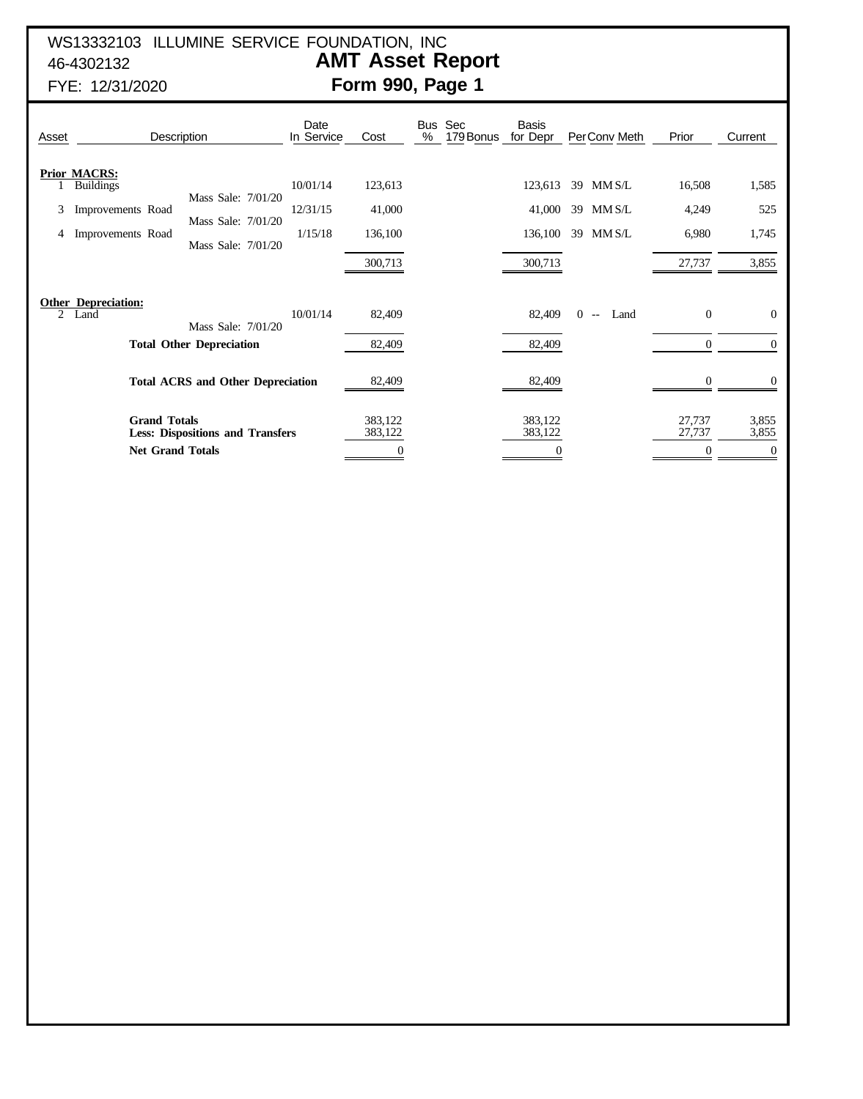# WS13332103 ILLUMINE SERVICE FOUNDATION, INC 46-4302132 **AMT Asset Report** FYE: 12/31/2020 **Form 990, P**

| <b>AMT Asset Report</b> |  |
|-------------------------|--|
| Form 990, Page 1        |  |

| Asset | Description                                                                                                                                         | Date<br>In Service              | Cost                                    | Bus Sec<br>%<br>179 Bonus | <b>Basis</b><br>for Depr     | Per Conv Meth                               | Prior                              | Current                            |
|-------|-----------------------------------------------------------------------------------------------------------------------------------------------------|---------------------------------|-----------------------------------------|---------------------------|------------------------------|---------------------------------------------|------------------------------------|------------------------------------|
| 3     | <b>Prior MACRS:</b><br><b>Buildings</b><br>Mass Sale: 7/01/20<br>Improvements Road<br>Mass Sale: 7/01/20<br>Improvements Road<br>Mass Sale: 7/01/20 | 10/01/14<br>12/31/15<br>1/15/18 | 123,613<br>41,000<br>136,100<br>300,713 |                           | 41,000<br>136,100<br>300,713 | 123,613 39 MM S/L<br>39 MM S/L<br>39 MM S/L | 16,508<br>4,249<br>6,980<br>27,737 | 1,585<br>525<br>1,745<br>3,855     |
| 2     | <b>Other Depreciation:</b><br>Land<br>Mass Sale: 7/01/20<br><b>Total Other Depreciation</b>                                                         | 10/01/14                        | 82,409<br>82,409                        |                           | 82,409<br>82,409             | $0 -$<br>Land                               | $\mathbf{0}$<br>$\Omega$           | 0<br>$\overline{0}$                |
|       | <b>Total ACRS and Other Depreciation</b>                                                                                                            |                                 | 82,409                                  |                           | 82,409                       |                                             | $\Omega$                           | $\Omega$                           |
|       | <b>Grand Totals</b><br><b>Less: Dispositions and Transfers</b><br><b>Net Grand Totals</b>                                                           |                                 | 383,122<br>383,122                      |                           | 383,122<br>383,122<br>0      |                                             | 27,737<br>27,737<br>$\overline{0}$ | 3,855<br>3,855<br>$\boldsymbol{0}$ |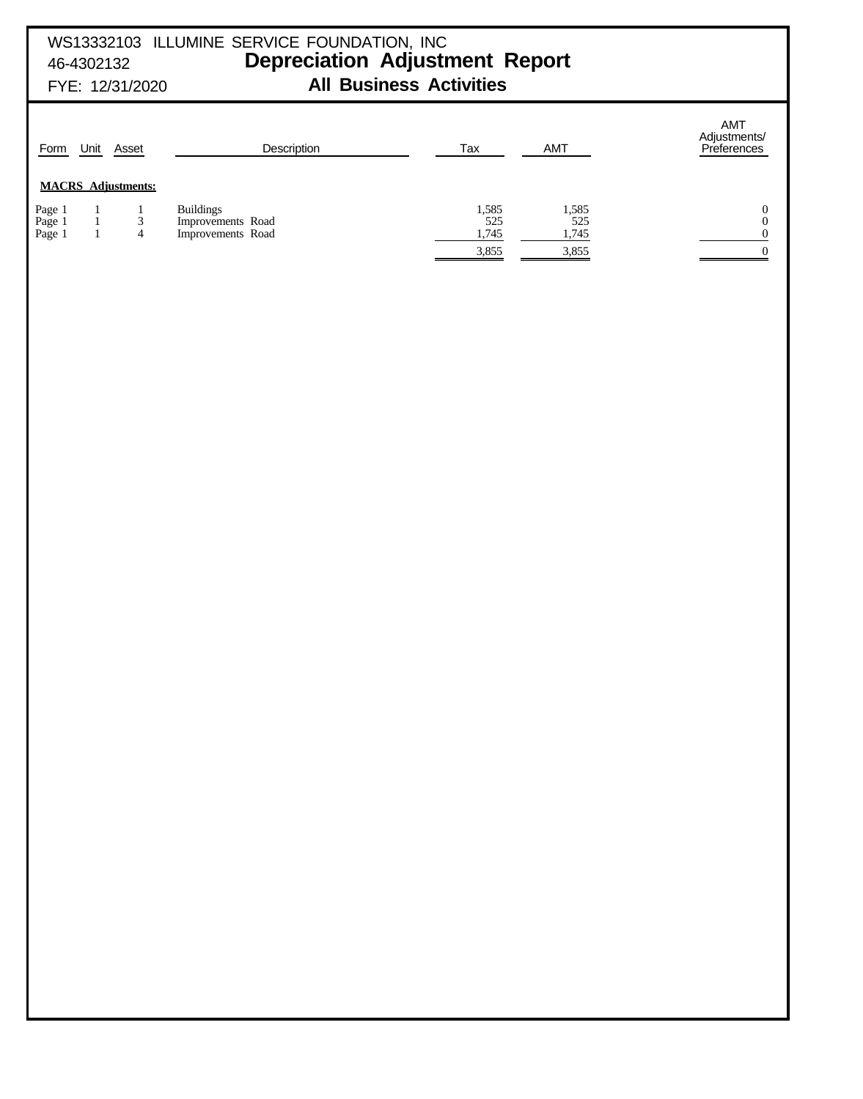# WS13332103 ILLUMINE SERVICE FOUNDATION, INC 46-4302132 **Depreciation Adjustment Report** FYE: 12/31/2020 **All Business Activities**

| Form<br><b>MACRS</b> Adjustments: | Unit | Asset | Description       | Tax   | <b>AMT</b> | AMT<br>Adjustments/<br>Preferences |
|-----------------------------------|------|-------|-------------------|-------|------------|------------------------------------|
| Page 1                            |      |       | <b>Buildings</b>  | 1,585 | 1,585      | $\mathbf{0}$                       |
| Page 1                            |      | ◠     | Improvements Road | 525   | 525        | $\mathbf{0}$                       |
| Page 1                            |      | 4     | Improvements Road | 1,745 | 1,745      | $\Omega$                           |
|                                   |      |       |                   | 3,855 | 3,855      | $\Omega$                           |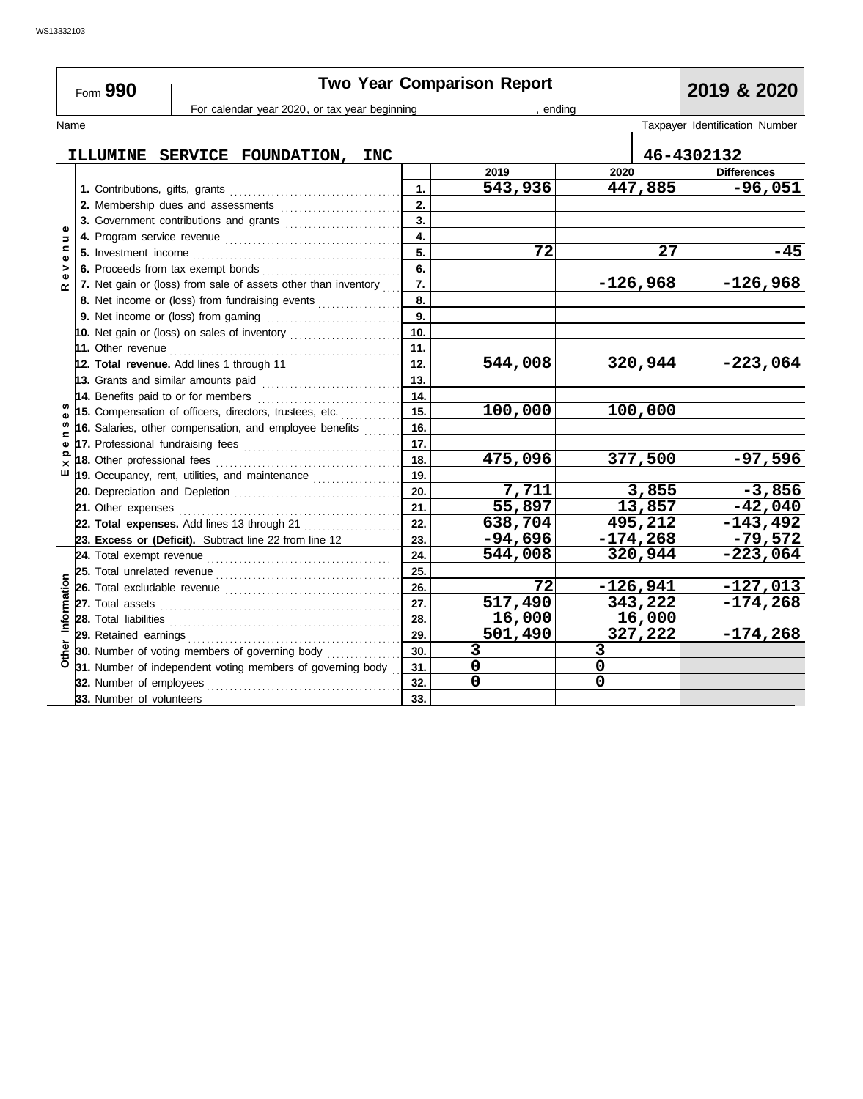|               | Form 990                            |                                                                           |     | <b>Two Year Comparison Report</b> |             | 2019 & 2020                    |
|---------------|-------------------------------------|---------------------------------------------------------------------------|-----|-----------------------------------|-------------|--------------------------------|
|               |                                     | For calendar year 2020, or tax year beginning                             |     |                                   | , ending    |                                |
| Name          |                                     |                                                                           |     |                                   |             | Taxpayer Identification Number |
|               |                                     | ILLUMINE SERVICE FOUNDATION, INC                                          |     |                                   |             | 46-4302132                     |
|               |                                     |                                                                           |     | 2019                              | 2020        | <b>Differences</b>             |
|               |                                     |                                                                           | 1.  | $\overline{543,936}$              | 447,885     | $-96,051$                      |
|               |                                     | 2. Membership dues and assessments                                        | 2.  |                                   |             |                                |
|               |                                     |                                                                           | 3.  |                                   |             |                                |
| $\Rightarrow$ |                                     |                                                                           | 4.  |                                   |             |                                |
| c             |                                     |                                                                           | 5.  | 72                                | 27          | $-45$                          |
|               |                                     |                                                                           | 6.  |                                   |             |                                |
|               |                                     | 7. Net gain or (loss) from sale of assets other than inventory            | 7.  |                                   | $-126,968$  | $-126,968$                     |
|               |                                     | 8. Net income or (loss) from fundraising events                           | 8.  |                                   |             |                                |
|               |                                     |                                                                           | 9.  |                                   |             |                                |
|               |                                     | 10. Net gain or (loss) on sales of inventory                              | 10. |                                   |             |                                |
|               |                                     |                                                                           | 11. |                                   |             |                                |
|               |                                     | 12. Total revenue. Add lines 1 through 11                                 | 12. | 544,008                           | 320,944     | $-223,064$                     |
|               | 13. Grants and similar amounts paid |                                                                           | 13. |                                   |             |                                |
|               | 14. Benefits paid to or for members |                                                                           | 14. |                                   |             |                                |
|               |                                     | 15. Compensation of officers, directors, trustees, etc.                   | 15. | 100,000                           | 100,000     |                                |
|               |                                     | 16. Salaries, other compensation, and employee benefits                   | 16. |                                   |             |                                |
| Ф             |                                     |                                                                           | 17. |                                   |             |                                |
| $\times$      | 18. Other professional fees         |                                                                           | 18. | 475,096                           | 377,500     | $-97,596$                      |
| ш             |                                     | 19. Occupancy, rent, utilities, and maintenance                           | 19. |                                   |             |                                |
|               |                                     | 20. Depreciation and Depletion                                            | 20. | 7,711                             | 3,855       | $-3,856$                       |
|               |                                     |                                                                           | 21. | 55,897                            | 13,857      | $-42,040$                      |
|               |                                     | 22. Total expenses. Add lines 13 through 21                               | 22. | 638,704                           | 495,212     | $-143,492$                     |
|               |                                     | 23. Excess or (Deficit). Subtract line 22 from line 12                    | 23. | $-94,696$                         | $-174,268$  | $-79,572$                      |
|               |                                     |                                                                           | 24. | 544,008                           | 320,944     | $-223,064$                     |
|               |                                     | 25. Total unrelated revenue <i>communically contained as a communical</i> | 25. |                                   |             |                                |
|               |                                     |                                                                           | 26. | 72                                | $-126,941$  | $-127,013$                     |
|               |                                     |                                                                           | 27. | 517,490                           | 343,222     | $-174,268$                     |
| Information   |                                     |                                                                           | 28. | 16,000                            | 16,000      |                                |
|               |                                     |                                                                           | 29. | 501,490                           | 327,222     | $-174,268$                     |
|               |                                     | 30. Number of voting members of governing body                            | 30. | 3                                 | 3           |                                |
|               |                                     | 31. Number of independent voting members of governing body                | 31. | 0                                 | $\mathbf 0$ |                                |
|               | 32. Number of employees             |                                                                           | 32. | 0                                 | 0           |                                |
|               | 33. Number of volunteers            |                                                                           | 33. |                                   |             |                                |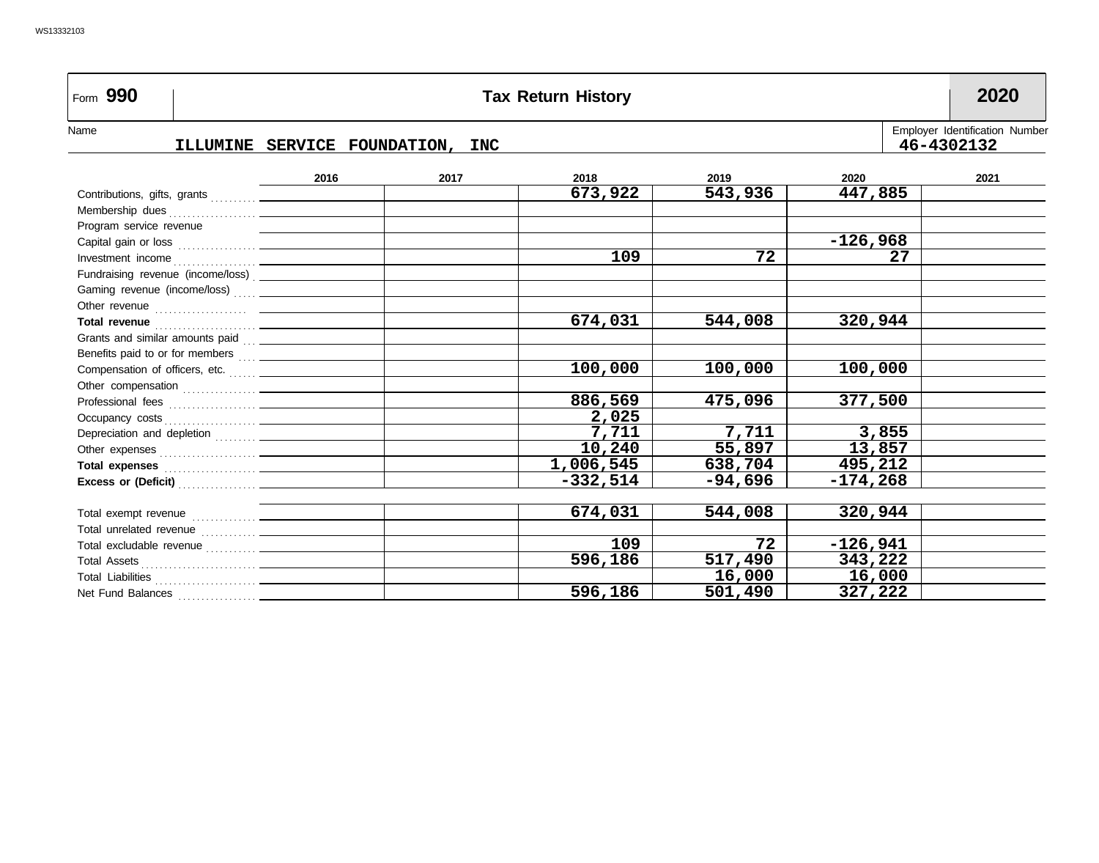| Form 990                                                                                                                                                                                                                            | <b>Tax Return History</b>        |      |                     |                 |                   |                                              |  |  |  |  |
|-------------------------------------------------------------------------------------------------------------------------------------------------------------------------------------------------------------------------------------|----------------------------------|------|---------------------|-----------------|-------------------|----------------------------------------------|--|--|--|--|
| Name                                                                                                                                                                                                                                | ILLUMINE SERVICE FOUNDATION, INC |      |                     |                 |                   | Employer Identification Number<br>46-4302132 |  |  |  |  |
|                                                                                                                                                                                                                                     | 2016                             | 2017 | 2018                | 2019            | 2020              | 2021                                         |  |  |  |  |
|                                                                                                                                                                                                                                     |                                  |      | 673,922             | 543,936         | 447,885           |                                              |  |  |  |  |
|                                                                                                                                                                                                                                     |                                  |      |                     |                 |                   |                                              |  |  |  |  |
| Program service revenue                                                                                                                                                                                                             |                                  |      |                     |                 |                   |                                              |  |  |  |  |
|                                                                                                                                                                                                                                     |                                  |      |                     |                 | $-126,968$        |                                              |  |  |  |  |
|                                                                                                                                                                                                                                     |                                  |      | 109                 | 72              | 27                |                                              |  |  |  |  |
|                                                                                                                                                                                                                                     |                                  |      |                     |                 |                   |                                              |  |  |  |  |
| Gaming revenue (income/loss)  ________                                                                                                                                                                                              |                                  |      |                     |                 |                   |                                              |  |  |  |  |
|                                                                                                                                                                                                                                     |                                  |      |                     |                 |                   |                                              |  |  |  |  |
|                                                                                                                                                                                                                                     |                                  |      | 674,031             | 544,008         | 320,944           |                                              |  |  |  |  |
|                                                                                                                                                                                                                                     |                                  |      |                     |                 |                   |                                              |  |  |  |  |
|                                                                                                                                                                                                                                     |                                  |      |                     |                 |                   |                                              |  |  |  |  |
|                                                                                                                                                                                                                                     |                                  |      | 100,000             | 100,000         | 100,000           |                                              |  |  |  |  |
|                                                                                                                                                                                                                                     |                                  |      |                     |                 |                   |                                              |  |  |  |  |
|                                                                                                                                                                                                                                     |                                  |      | 886,569             | 475,096         | 377,500           |                                              |  |  |  |  |
|                                                                                                                                                                                                                                     |                                  |      | 2,025               |                 |                   |                                              |  |  |  |  |
| Depreciation and depletion  __________                                                                                                                                                                                              |                                  |      | 7,711               | 7,711<br>55,897 | 3,855             |                                              |  |  |  |  |
|                                                                                                                                                                                                                                     |                                  |      | 10,240<br>1,006,545 | 638,704         | 13,857<br>495,212 |                                              |  |  |  |  |
| Total expenses <b>contained</b> and the contact of the contact of the contact of the contact of the contact of the contact of the contact of the contact of the contact of the contact of the contact of the contact of the contact |                                  |      | $-332,514$          | $-94,696$       | $-174,268$        |                                              |  |  |  |  |
|                                                                                                                                                                                                                                     |                                  |      |                     |                 |                   |                                              |  |  |  |  |
|                                                                                                                                                                                                                                     |                                  |      | 674,031             | 544,008         | 320,944           |                                              |  |  |  |  |
|                                                                                                                                                                                                                                     |                                  |      |                     |                 |                   |                                              |  |  |  |  |
| Total excludable revenue  ________________                                                                                                                                                                                          |                                  |      | 109                 | 72              | $-126,941$        |                                              |  |  |  |  |
|                                                                                                                                                                                                                                     |                                  |      | 596,186             | 517,490         | 343,222           |                                              |  |  |  |  |
|                                                                                                                                                                                                                                     |                                  |      |                     | 16,000          | 16,000            |                                              |  |  |  |  |
|                                                                                                                                                                                                                                     |                                  |      | 596,186             | 501,490         | 327,222           |                                              |  |  |  |  |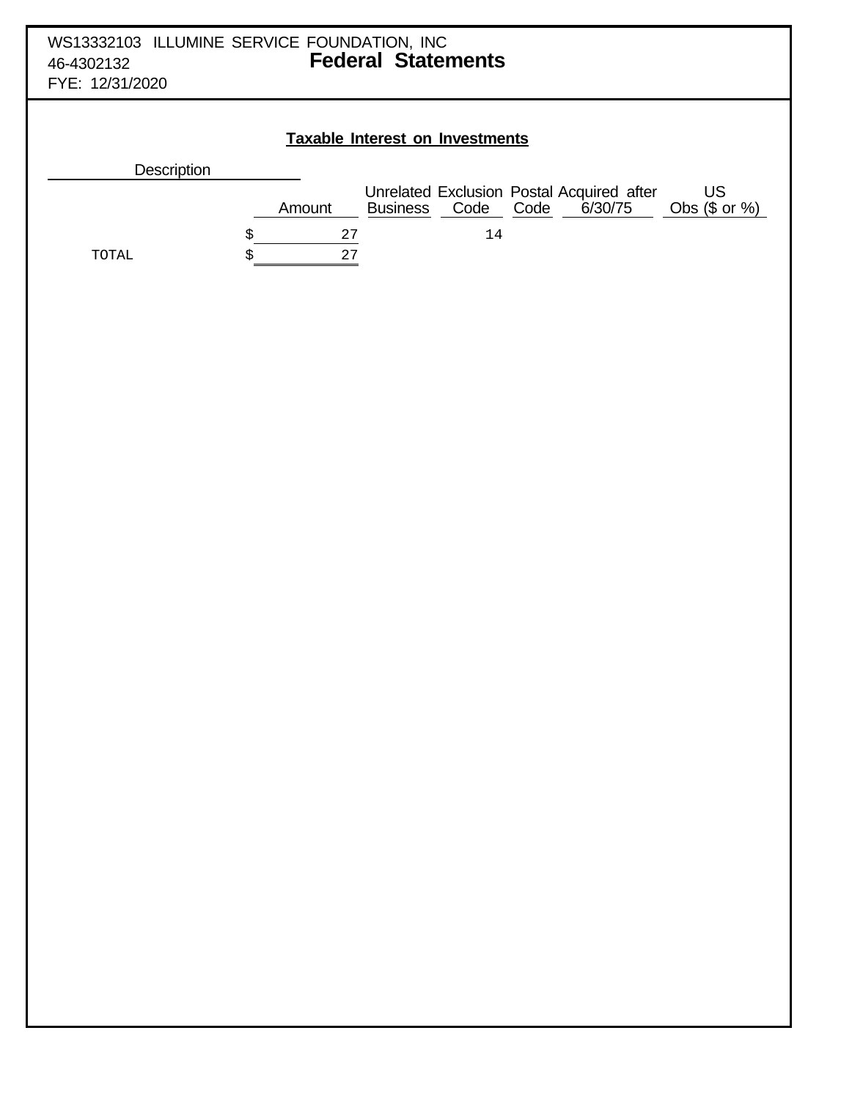# **Taxable Interest on Investments**

| <b>Description</b> |        |                 |           |                                                      |                        |
|--------------------|--------|-----------------|-----------|------------------------------------------------------|------------------------|
|                    | Amount | <b>Business</b> | Code Code | Unrelated Exclusion Postal Acquired after<br>6/30/75 | US<br>Obs $(\$$ or $%$ |
|                    |        |                 | 14        |                                                      |                        |
| TOTAL              |        |                 |           |                                                      |                        |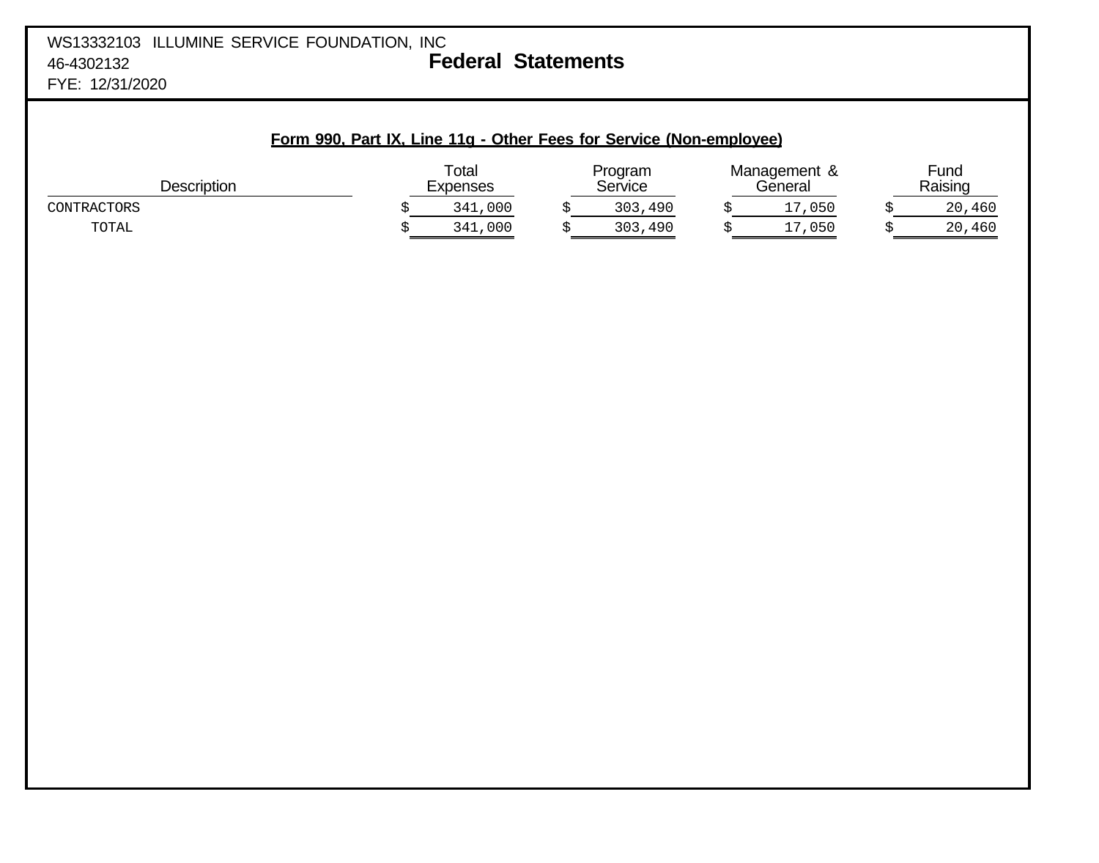| Form 990, Part IX, Line 11g - Other Fees for Service (Non-employee) |  |                          |  |                    |  |                         |  |                 |
|---------------------------------------------------------------------|--|--------------------------|--|--------------------|--|-------------------------|--|-----------------|
| Description                                                         |  | Total<br><b>Expenses</b> |  | Program<br>Service |  | Management &<br>General |  | Fund<br>Raising |
| CONTRACTORS                                                         |  | 341,000                  |  | 303,490            |  | 17,050                  |  | 20,460          |
| TOTAL                                                               |  | 341,000                  |  | 303,490            |  | 17,050                  |  | 20,460          |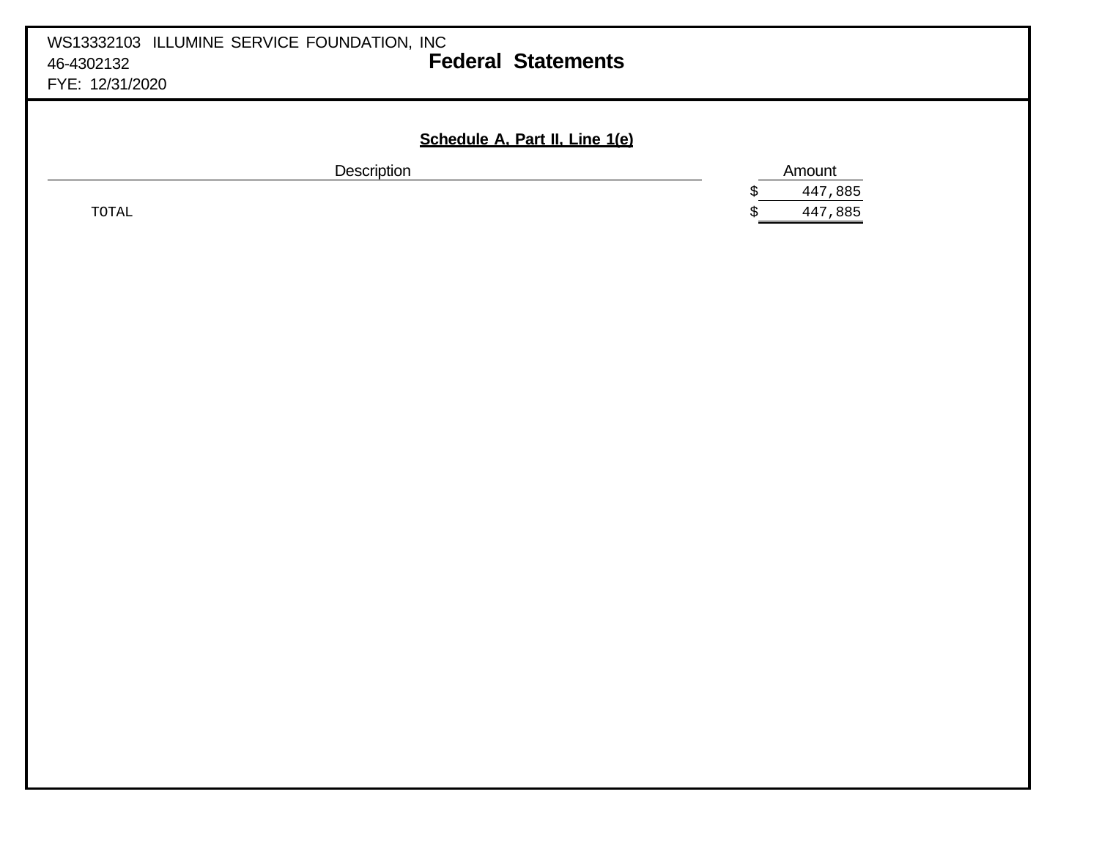| WS13332103 ILLUMINE SERVICE FOUNDATION, INC<br><b>Federal Statements</b><br>46-4302132<br>FYE: 12/31/2020 |                    |
|-----------------------------------------------------------------------------------------------------------|--------------------|
| Schedule A, Part II, Line 1(e)<br>Description                                                             | Amount             |
| TOTAL                                                                                                     | 447,885<br>447,885 |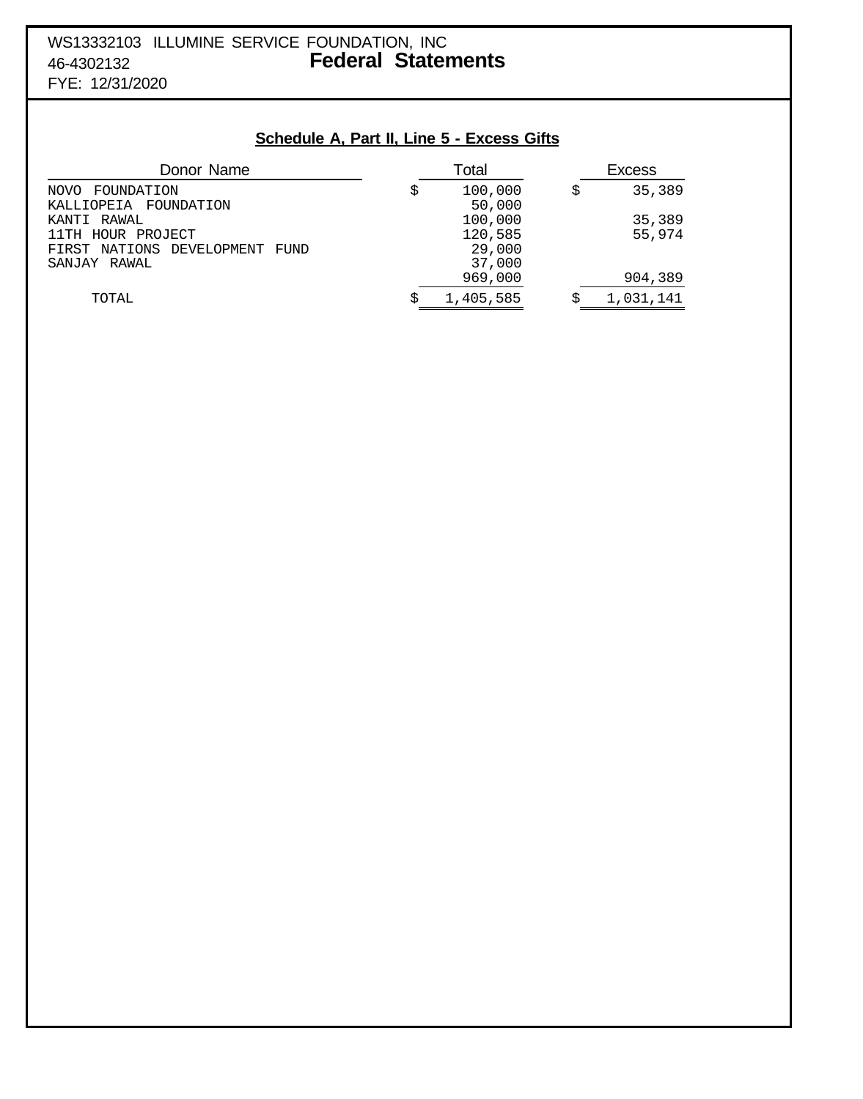## **Schedule A, Part II, Line 5 - Excess Gifts**

| Donor Name                                  | Total                   | <b>Excess</b> |
|---------------------------------------------|-------------------------|---------------|
| FOUNDATION<br>NOVO<br>KALLIOPEIA FOUNDATION | \$<br>100,000<br>50,000 | 35,389        |
| KANTI RAWAL                                 | 100,000                 | 35,389        |
| 11TH HOUR PROJECT                           | 120,585                 | 55,974        |
| NATIONS DEVELOPMENT FUND<br>FIRST           | 29,000                  |               |
| SANJAY RAWAL                                | 37,000                  |               |
|                                             | 969,000                 | 904,389       |
| TOTAL                                       | 1,405,585               | 1,031,141     |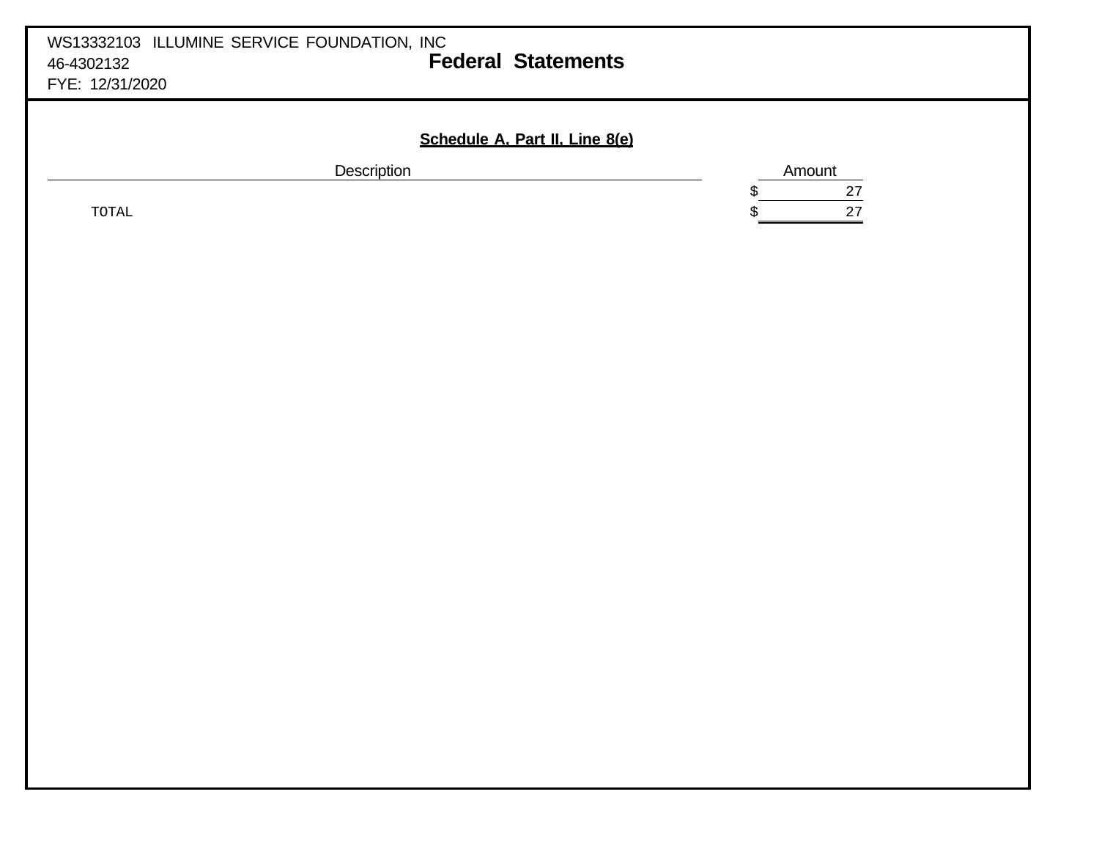| WS13332103 ILLUMINE SERVICE FOUNDATION, INC<br><b>Federal Statements</b><br>46-4302132<br>FYE: 12/31/2020 |        |  |  |  |
|-----------------------------------------------------------------------------------------------------------|--------|--|--|--|
| Schedule A, Part II, Line 8(e)                                                                            |        |  |  |  |
| <b>Description</b>                                                                                        | Amount |  |  |  |
|                                                                                                           | 27     |  |  |  |
| TOTAL                                                                                                     | 27     |  |  |  |
|                                                                                                           |        |  |  |  |